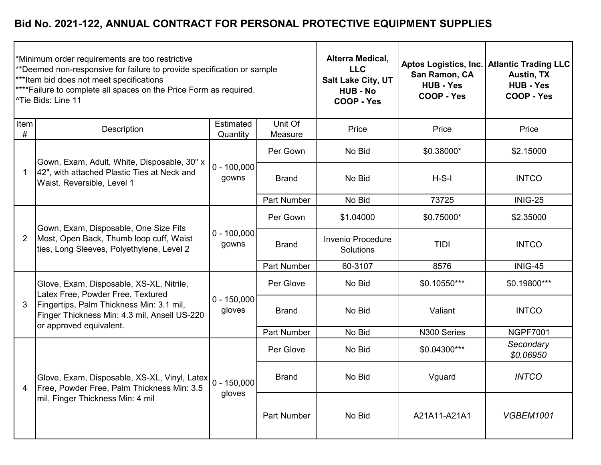|                | Minimum order requirements are too restrictive<br>**Deemed non-responsive for failure to provide specification or sample<br>*** Item bid does not meet specifications<br>****Failure to complete all spaces on the Price Form as required.<br><sup>^Tie Bids: Line 11</sup> |                         | Alterra Medical,<br><b>LLC</b><br>Salt Lake City, UT<br><b>HUB - No</b><br><b>COOP - Yes</b> | San Ramon, CA<br><b>HUB - Yes</b><br>COOP - Yes | Aptos Logistics, Inc.   Atlantic Trading LLC<br><b>Austin, TX</b><br><b>HUB - Yes</b><br><b>COOP - Yes</b> |                        |
|----------------|-----------------------------------------------------------------------------------------------------------------------------------------------------------------------------------------------------------------------------------------------------------------------------|-------------------------|----------------------------------------------------------------------------------------------|-------------------------------------------------|------------------------------------------------------------------------------------------------------------|------------------------|
| Item<br>#      | Description                                                                                                                                                                                                                                                                 | Estimated<br>Quantity   | Unit Of<br>Measure                                                                           | Price                                           | Price                                                                                                      | Price                  |
|                | Gown, Exam, Adult, White, Disposable, 30" x                                                                                                                                                                                                                                 |                         | Per Gown                                                                                     | No Bid                                          | \$0.38000*                                                                                                 | \$2.15000              |
|                | 42", with attached Plastic Ties at Neck and<br>Waist. Reversible, Level 1                                                                                                                                                                                                   | $0 - 100,000$<br>gowns  | <b>Brand</b>                                                                                 | No Bid                                          | $H-S-I$                                                                                                    | <b>INTCO</b>           |
|                |                                                                                                                                                                                                                                                                             |                         | <b>Part Number</b>                                                                           | No Bid                                          | 73725                                                                                                      | INIG-25                |
| $\overline{2}$ | Gown, Exam, Disposable, One Size Fits<br>Most, Open Back, Thumb loop cuff, Waist<br>ties, Long Sleeves, Polyethylene, Level 2                                                                                                                                               | $0 - 100,000$<br>gowns  | Per Gown                                                                                     | \$1.04000                                       | \$0.75000*                                                                                                 | \$2.35000              |
|                |                                                                                                                                                                                                                                                                             |                         | <b>Brand</b>                                                                                 | Invenio Procedure<br>Solutions                  | TIDI                                                                                                       | <b>INTCO</b>           |
|                |                                                                                                                                                                                                                                                                             |                         | <b>Part Number</b>                                                                           | 60-3107                                         | 8576                                                                                                       | INIG-45                |
|                | Glove, Exam, Disposable, XS-XL, Nitrile,<br>Latex Free, Powder Free, Textured                                                                                                                                                                                               |                         | Per Glove                                                                                    | No Bid                                          | \$0.10550***                                                                                               | \$0.19800***           |
| 3              | Fingertips, Palm Thickness Min: 3.1 mil,<br>Finger Thickness Min: 4.3 mil, Ansell US-220<br>or approved equivalent.                                                                                                                                                         | $0 - 150,000$<br>gloves | <b>Brand</b>                                                                                 | No Bid                                          | Valiant                                                                                                    | <b>INTCO</b>           |
|                |                                                                                                                                                                                                                                                                             |                         | <b>Part Number</b>                                                                           | No Bid                                          | N300 Series                                                                                                | <b>NGPF7001</b>        |
|                |                                                                                                                                                                                                                                                                             |                         | Per Glove                                                                                    | No Bid                                          | \$0.04300***                                                                                               | Secondary<br>\$0.06950 |
| 4              | Glove, Exam, Disposable, XS-XL, Vinyl, Latex   0 - 150,000<br>Free, Powder Free, Palm Thickness Min: 3.5<br>mil, Finger Thickness Min: 4 mil                                                                                                                                | gloves                  | <b>Brand</b>                                                                                 | No Bid                                          | Vguard                                                                                                     | <b>INTCO</b>           |
|                |                                                                                                                                                                                                                                                                             |                         | Part Number                                                                                  | No Bid                                          | A21A11-A21A1                                                                                               | <b>VGBEM1001</b>       |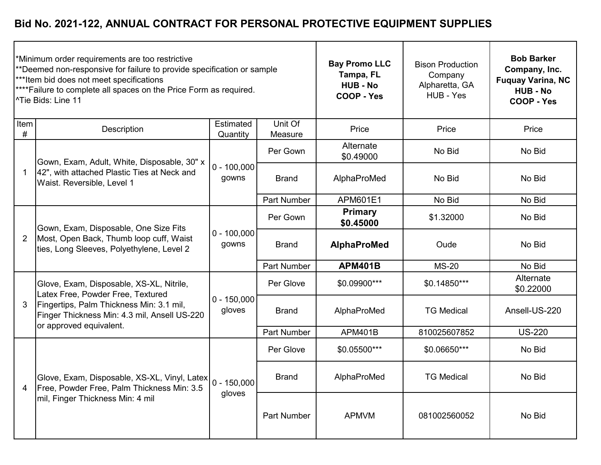|                | *Minimum order requirements are too restrictive<br>**Deemed non-responsive for failure to provide specification or sample<br>***Item bid does not meet specifications<br>**** Failure to complete all spaces on the Price Form as required.<br><sup>^Tie</sup> Bids: Line 11 |                         | <b>Bay Promo LLC</b><br>Tampa, FL<br><b>HUB - No</b><br>COOP - Yes | <b>Bison Production</b><br>Company<br>Alpharetta, GA<br>HUB - Yes | <b>Bob Barker</b><br>Company, Inc.<br><b>Fuquay Varina, NC</b><br><b>HUB - No</b><br>COOP - Yes |                        |
|----------------|------------------------------------------------------------------------------------------------------------------------------------------------------------------------------------------------------------------------------------------------------------------------------|-------------------------|--------------------------------------------------------------------|-------------------------------------------------------------------|-------------------------------------------------------------------------------------------------|------------------------|
| Item<br>$\#$   | Description                                                                                                                                                                                                                                                                  | Estimated<br>Quantity   | Unit Of<br>Measure                                                 | Price                                                             | Price                                                                                           | Price                  |
|                | Gown, Exam, Adult, White, Disposable, 30" x                                                                                                                                                                                                                                  |                         | Per Gown                                                           | Alternate<br>\$0.49000                                            | No Bid                                                                                          | No Bid                 |
| -1             | 42", with attached Plastic Ties at Neck and<br>Waist. Reversible, Level 1                                                                                                                                                                                                    | $0 - 100,000$<br>gowns  | <b>Brand</b>                                                       | AlphaProMed                                                       | No Bid                                                                                          | No Bid                 |
|                |                                                                                                                                                                                                                                                                              |                         | <b>Part Number</b>                                                 | APM601E1                                                          | No Bid                                                                                          | No Bid                 |
| $\overline{2}$ | Gown, Exam, Disposable, One Size Fits<br>Most, Open Back, Thumb loop cuff, Waist<br>ties, Long Sleeves, Polyethylene, Level 2                                                                                                                                                | $0 - 100,000$<br>gowns  | Per Gown                                                           | <b>Primary</b><br>\$0.45000                                       | \$1.32000                                                                                       | No Bid                 |
|                |                                                                                                                                                                                                                                                                              |                         | <b>Brand</b>                                                       | AlphaProMed                                                       | Oude                                                                                            | No Bid                 |
|                |                                                                                                                                                                                                                                                                              |                         | <b>Part Number</b>                                                 | <b>APM401B</b>                                                    | <b>MS-20</b>                                                                                    | No Bid                 |
|                | Glove, Exam, Disposable, XS-XL, Nitrile,<br>Latex Free, Powder Free, Textured                                                                                                                                                                                                |                         | Per Glove                                                          | \$0.09900***                                                      | \$0.14850***                                                                                    | Alternate<br>\$0.22000 |
| 3              | Fingertips, Palm Thickness Min: 3.1 mil,<br>Finger Thickness Min: 4.3 mil, Ansell US-220<br>or approved equivalent.                                                                                                                                                          | $0 - 150,000$<br>gloves | <b>Brand</b>                                                       | AlphaProMed                                                       | <b>TG Medical</b>                                                                               | Ansell-US-220          |
|                |                                                                                                                                                                                                                                                                              |                         | <b>Part Number</b>                                                 | <b>APM401B</b>                                                    | 810025607852                                                                                    | <b>US-220</b>          |
|                |                                                                                                                                                                                                                                                                              |                         | Per Glove                                                          | \$0.05500***                                                      | \$0.06650***                                                                                    | No Bid                 |
| 4              | Glove, Exam, Disposable, XS-XL, Vinyl, Latex<br>Free, Powder Free, Palm Thickness Min: 3.5<br>mil, Finger Thickness Min: 4 mil                                                                                                                                               | $ 0 - 150,000 $         | <b>Brand</b>                                                       | AlphaProMed                                                       | <b>TG Medical</b>                                                                               | No Bid                 |
|                |                                                                                                                                                                                                                                                                              | gloves                  | Part Number                                                        | <b>APMVM</b>                                                      | 081002560052                                                                                    | No Bid                 |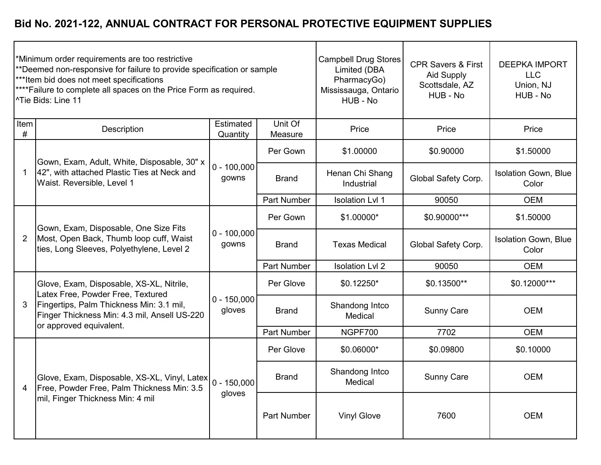|                | *Minimum order requirements are too restrictive<br>**Deemed non-responsive for failure to provide specification or sample<br>*** Item bid does not meet specifications<br>**** Failure to complete all spaces on the Price Form as required.<br><sup>^Tie</sup> Bids: Line 11 |                         | <b>Campbell Drug Stores</b><br>Limited (DBA<br>PharmacyGo)<br>Mississauga, Ontario<br>HUB - No | <b>CPR Savers &amp; First</b><br><b>Aid Supply</b><br>Scottsdale, AZ<br>HUB - No | <b>DEEPKA IMPORT</b><br><b>LLC</b><br>Union, NJ<br>HUB - No |                                      |
|----------------|-------------------------------------------------------------------------------------------------------------------------------------------------------------------------------------------------------------------------------------------------------------------------------|-------------------------|------------------------------------------------------------------------------------------------|----------------------------------------------------------------------------------|-------------------------------------------------------------|--------------------------------------|
| Item<br>$\#$   | Description                                                                                                                                                                                                                                                                   | Estimated<br>Quantity   | Unit Of<br>Measure                                                                             | Price                                                                            | Price                                                       | Price                                |
|                | Gown, Exam, Adult, White, Disposable, 30" x                                                                                                                                                                                                                                   |                         | Per Gown                                                                                       | \$1.00000                                                                        | \$0.90000                                                   | \$1.50000                            |
| -1             | 42", with attached Plastic Ties at Neck and<br>Waist. Reversible, Level 1                                                                                                                                                                                                     | $0 - 100,000$<br>gowns  | <b>Brand</b>                                                                                   | Henan Chi Shang<br>Industrial                                                    | Global Safety Corp.                                         | <b>Isolation Gown, Blue</b><br>Color |
|                |                                                                                                                                                                                                                                                                               |                         | Part Number                                                                                    | <b>Isolation LvI 1</b>                                                           | 90050                                                       | <b>OEM</b>                           |
| $\overline{2}$ | Gown, Exam, Disposable, One Size Fits<br>Most, Open Back, Thumb loop cuff, Waist<br>ties, Long Sleeves, Polyethylene, Level 2                                                                                                                                                 | $0 - 100,000$<br>gowns  | Per Gown                                                                                       | \$1.00000*                                                                       | \$0.90000***                                                | \$1.50000                            |
|                |                                                                                                                                                                                                                                                                               |                         | <b>Brand</b>                                                                                   | <b>Texas Medical</b>                                                             | Global Safety Corp.                                         | <b>Isolation Gown, Blue</b><br>Color |
|                |                                                                                                                                                                                                                                                                               |                         | Part Number                                                                                    | <b>Isolation LvI 2</b>                                                           | 90050                                                       | <b>OEM</b>                           |
|                | Glove, Exam, Disposable, XS-XL, Nitrile,<br>Latex Free, Powder Free, Textured                                                                                                                                                                                                 |                         | Per Glove                                                                                      | \$0.12250*                                                                       | \$0.13500**                                                 | \$0.12000***                         |
| 3              | Fingertips, Palm Thickness Min: 3.1 mil,<br>Finger Thickness Min: 4.3 mil, Ansell US-220<br>or approved equivalent.                                                                                                                                                           | $0 - 150,000$<br>gloves | <b>Brand</b>                                                                                   | Shandong Intco<br>Medical                                                        | <b>Sunny Care</b>                                           | <b>OEM</b>                           |
|                |                                                                                                                                                                                                                                                                               |                         | Part Number                                                                                    | NGPF700                                                                          | 7702                                                        | <b>OEM</b>                           |
|                |                                                                                                                                                                                                                                                                               |                         | Per Glove                                                                                      | \$0.06000*                                                                       | \$0.09800                                                   | \$0.10000                            |
| 4              | Glove, Exam, Disposable, XS-XL, Vinyl, Latex<br>Free, Powder Free, Palm Thickness Min: 3.5<br>mil, Finger Thickness Min: 4 mil                                                                                                                                                | $0 - 150,000$<br>gloves | <b>Brand</b>                                                                                   | Shandong Intco<br>Medical                                                        | <b>Sunny Care</b>                                           | <b>OEM</b>                           |
|                |                                                                                                                                                                                                                                                                               |                         | Part Number                                                                                    | <b>Vinyl Glove</b>                                                               | 7600                                                        | <b>OEM</b>                           |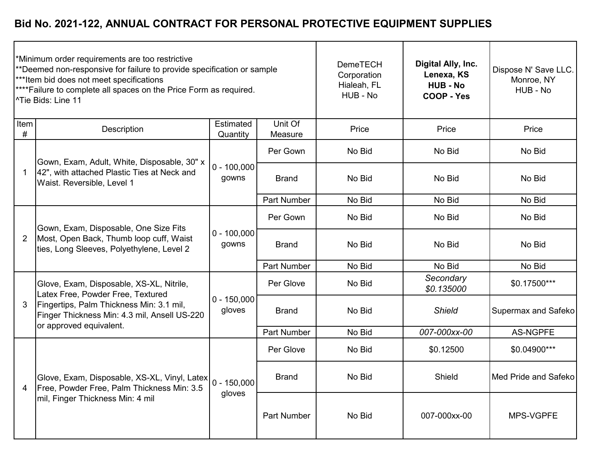| Minimum order requirements are too restrictive<br>**Deemed non-responsive for failure to provide specification or sample<br>***Item bid does not meet specifications<br><sup>****</sup> Failure to complete all spaces on the Price Form as required.<br><sup>^Tie Bids: Line 11</sup> |                                                                                                                                |                         |                    | <b>DemeTECH</b><br>Corporation<br>Hialeah, FL<br>HUB - No | Digital Ally, Inc.<br>Lenexa, KS<br><b>HUB - No</b><br>COOP - Yes | Dispose N' Save LLC.<br>Monroe, NY<br>HUB - No |
|----------------------------------------------------------------------------------------------------------------------------------------------------------------------------------------------------------------------------------------------------------------------------------------|--------------------------------------------------------------------------------------------------------------------------------|-------------------------|--------------------|-----------------------------------------------------------|-------------------------------------------------------------------|------------------------------------------------|
| Item<br>#                                                                                                                                                                                                                                                                              | Description                                                                                                                    | Estimated<br>Quantity   | Unit Of<br>Measure | Price                                                     | Price                                                             | Price                                          |
|                                                                                                                                                                                                                                                                                        | Gown, Exam, Adult, White, Disposable, 30" x                                                                                    |                         | Per Gown           | No Bid                                                    | No Bid                                                            | No Bid                                         |
|                                                                                                                                                                                                                                                                                        | 42", with attached Plastic Ties at Neck and<br>Waist. Reversible, Level 1                                                      | $0 - 100,000$<br>gowns  | <b>Brand</b>       | No Bid                                                    | No Bid                                                            | No Bid                                         |
|                                                                                                                                                                                                                                                                                        |                                                                                                                                |                         | <b>Part Number</b> | No Bid                                                    | No Bid                                                            | No Bid                                         |
| $\overline{2}$                                                                                                                                                                                                                                                                         | Gown, Exam, Disposable, One Size Fits<br>Most, Open Back, Thumb loop cuff, Waist<br>ties, Long Sleeves, Polyethylene, Level 2  | $0 - 100,000$<br>gowns  | Per Gown           | No Bid                                                    | No Bid                                                            | No Bid                                         |
|                                                                                                                                                                                                                                                                                        |                                                                                                                                |                         | <b>Brand</b>       | No Bid                                                    | No Bid                                                            | No Bid                                         |
|                                                                                                                                                                                                                                                                                        |                                                                                                                                |                         | <b>Part Number</b> | No Bid                                                    | No Bid                                                            | No Bid                                         |
|                                                                                                                                                                                                                                                                                        | Glove, Exam, Disposable, XS-XL, Nitrile,<br>Latex Free, Powder Free, Textured                                                  | $0 - 150,000$<br>gloves | Per Glove          | No Bid                                                    | Secondary<br>\$0.135000                                           | \$0.17500***                                   |
| 3                                                                                                                                                                                                                                                                                      | Fingertips, Palm Thickness Min: 3.1 mil,<br>Finger Thickness Min: 4.3 mil, Ansell US-220<br>or approved equivalent.            |                         | <b>Brand</b>       | No Bid                                                    | <b>Shield</b>                                                     | <b>Supermax and Safeko</b>                     |
|                                                                                                                                                                                                                                                                                        |                                                                                                                                |                         | Part Number        | No Bid                                                    | 007-000xx-00                                                      | <b>AS-NGPFE</b>                                |
|                                                                                                                                                                                                                                                                                        |                                                                                                                                |                         | Per Glove          | No Bid                                                    | \$0.12500                                                         | \$0.04900***                                   |
| 4                                                                                                                                                                                                                                                                                      | Glove, Exam, Disposable, XS-XL, Vinyl, Latex<br>Free, Powder Free, Palm Thickness Min: 3.5<br>mil, Finger Thickness Min: 4 mil | $0 - 150,000$<br>gloves | <b>Brand</b>       | No Bid                                                    | Shield                                                            | Med Pride and Safeko                           |
|                                                                                                                                                                                                                                                                                        |                                                                                                                                |                         | Part Number        | No Bid                                                    | 007-000xx-00                                                      | MPS-VGPFE                                      |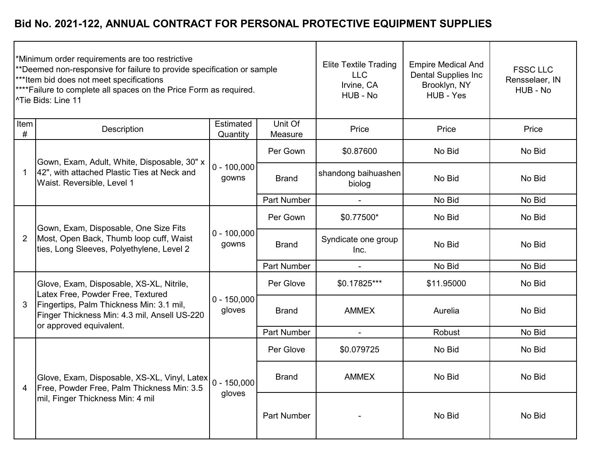|                | *Minimum order requirements are too restrictive<br>**Deemed non-responsive for failure to provide specification or sample<br>*** Item bid does not meet specifications<br>**** Failure to complete all spaces on the Price Form as required.<br><sup>^</sup> Tie Bids: Line 11 |                         | <b>Elite Textile Trading</b><br><b>LLC</b><br>Irvine, CA<br>HUB - No | <b>Empire Medical And</b><br><b>Dental Supplies Inc</b><br>Brooklyn, NY<br>HUB - Yes | <b>FSSC LLC</b><br>Rensselaer, IN<br>HUB - No |        |
|----------------|--------------------------------------------------------------------------------------------------------------------------------------------------------------------------------------------------------------------------------------------------------------------------------|-------------------------|----------------------------------------------------------------------|--------------------------------------------------------------------------------------|-----------------------------------------------|--------|
| Item<br>#      | Description                                                                                                                                                                                                                                                                    | Estimated<br>Quantity   | Unit Of<br>Measure                                                   | Price                                                                                | Price                                         | Price  |
|                | Gown, Exam, Adult, White, Disposable, 30" x                                                                                                                                                                                                                                    |                         | Per Gown                                                             | \$0.87600                                                                            | No Bid                                        | No Bid |
| 1              | 42", with attached Plastic Ties at Neck and<br>Waist. Reversible, Level 1                                                                                                                                                                                                      | $0 - 100,000$<br>gowns  | <b>Brand</b>                                                         | shandong baihuashen<br>biolog                                                        | No Bid                                        | No Bid |
|                |                                                                                                                                                                                                                                                                                |                         | <b>Part Number</b>                                                   |                                                                                      | No Bid                                        | No Bid |
| $\overline{2}$ | Gown, Exam, Disposable, One Size Fits<br>Most, Open Back, Thumb loop cuff, Waist<br>ties, Long Sleeves, Polyethylene, Level 2                                                                                                                                                  | $0 - 100,000$<br>gowns  | Per Gown                                                             | \$0.77500*                                                                           | No Bid                                        | No Bid |
|                |                                                                                                                                                                                                                                                                                |                         | <b>Brand</b>                                                         | Syndicate one group<br>Inc.                                                          | No Bid                                        | No Bid |
|                |                                                                                                                                                                                                                                                                                |                         | Part Number                                                          |                                                                                      | No Bid                                        | No Bid |
|                | Glove, Exam, Disposable, XS-XL, Nitrile,<br>Latex Free, Powder Free, Textured                                                                                                                                                                                                  |                         | Per Glove                                                            | \$0.17825***                                                                         | \$11.95000                                    | No Bid |
| 3              | Fingertips, Palm Thickness Min: 3.1 mil,<br>Finger Thickness Min: 4.3 mil, Ansell US-220<br>or approved equivalent.                                                                                                                                                            | $0 - 150,000$<br>gloves | <b>Brand</b>                                                         | <b>AMMEX</b>                                                                         | Aurelia                                       | No Bid |
|                |                                                                                                                                                                                                                                                                                |                         | <b>Part Number</b>                                                   | $\blacksquare$                                                                       | Robust                                        | No Bid |
|                |                                                                                                                                                                                                                                                                                |                         | Per Glove                                                            | \$0.079725                                                                           | No Bid                                        | No Bid |
| 4              | Glove, Exam, Disposable, XS-XL, Vinyl, Latex<br>Free, Powder Free, Palm Thickness Min: 3.5                                                                                                                                                                                     | $0 - 150,000$<br>gloves | <b>Brand</b>                                                         | <b>AMMEX</b>                                                                         | No Bid                                        | No Bid |
|                | mil, Finger Thickness Min: 4 mil                                                                                                                                                                                                                                               |                         | Part Number                                                          |                                                                                      | No Bid                                        | No Bid |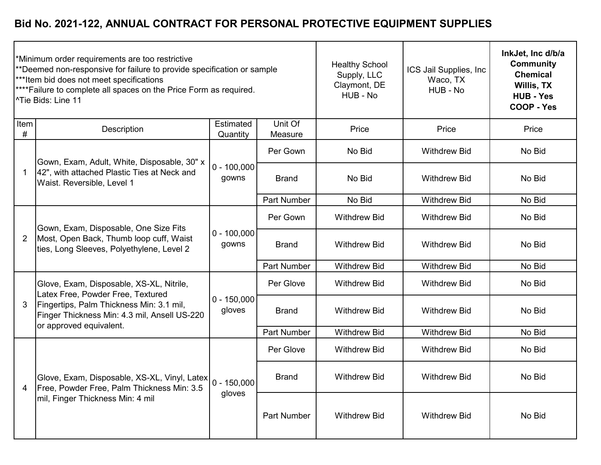|           | Minimum order requirements are too restrictive<br>**Deemed non-responsive for failure to provide specification or sample<br>*** Item bid does not meet specifications<br><sup>****</sup> Failure to complete all spaces on the Price Form as required.<br><sup>1</sup> Tie Bids: Line 11 |                         | <b>Healthy School</b><br>Supply, LLC<br>Claymont, DE<br>HUB - No | ICS Jail Supplies, Inc<br>Waco, TX<br>HUB - No | InkJet, Inc d/b/a<br><b>Community</b><br><b>Chemical</b><br>Willis, TX<br><b>HUB - Yes</b><br><b>COOP - Yes</b> |        |
|-----------|------------------------------------------------------------------------------------------------------------------------------------------------------------------------------------------------------------------------------------------------------------------------------------------|-------------------------|------------------------------------------------------------------|------------------------------------------------|-----------------------------------------------------------------------------------------------------------------|--------|
| Item<br># | Description                                                                                                                                                                                                                                                                              | Estimated<br>Quantity   | Unit Of<br>Measure                                               | Price                                          | Price                                                                                                           | Price  |
|           | Gown, Exam, Adult, White, Disposable, 30" x                                                                                                                                                                                                                                              |                         | Per Gown                                                         | No Bid                                         | <b>Withdrew Bid</b>                                                                                             | No Bid |
|           | 42", with attached Plastic Ties at Neck and<br>Waist. Reversible, Level 1                                                                                                                                                                                                                | $0 - 100,000$<br>gowns  | <b>Brand</b>                                                     | No Bid                                         | <b>Withdrew Bid</b>                                                                                             | No Bid |
|           |                                                                                                                                                                                                                                                                                          |                         | <b>Part Number</b>                                               | No Bid                                         | <b>Withdrew Bid</b>                                                                                             | No Bid |
| 2         | Gown, Exam, Disposable, One Size Fits<br>Most, Open Back, Thumb loop cuff, Waist<br>ties, Long Sleeves, Polyethylene, Level 2                                                                                                                                                            | $0 - 100,000$<br>gowns  | Per Gown                                                         | <b>Withdrew Bid</b>                            | <b>Withdrew Bid</b>                                                                                             | No Bid |
|           |                                                                                                                                                                                                                                                                                          |                         | <b>Brand</b>                                                     | <b>Withdrew Bid</b>                            | <b>Withdrew Bid</b>                                                                                             | No Bid |
|           |                                                                                                                                                                                                                                                                                          |                         | <b>Part Number</b>                                               | <b>Withdrew Bid</b>                            | <b>Withdrew Bid</b>                                                                                             | No Bid |
|           | Glove, Exam, Disposable, XS-XL, Nitrile,<br>Latex Free, Powder Free, Textured                                                                                                                                                                                                            | $0 - 150,000$<br>gloves | Per Glove                                                        | <b>Withdrew Bid</b>                            | <b>Withdrew Bid</b>                                                                                             | No Bid |
| 3         | Fingertips, Palm Thickness Min: 3.1 mil,<br>Finger Thickness Min: 4.3 mil, Ansell US-220<br>or approved equivalent.                                                                                                                                                                      |                         | <b>Brand</b>                                                     | <b>Withdrew Bid</b>                            | <b>Withdrew Bid</b>                                                                                             | No Bid |
|           |                                                                                                                                                                                                                                                                                          |                         | <b>Part Number</b>                                               | <b>Withdrew Bid</b>                            | <b>Withdrew Bid</b>                                                                                             | No Bid |
|           |                                                                                                                                                                                                                                                                                          |                         | Per Glove                                                        | <b>Withdrew Bid</b>                            | <b>Withdrew Bid</b>                                                                                             | No Bid |
| 4         | Glove, Exam, Disposable, XS-XL, Vinyl, Latex 0 - 150,000<br>Free, Powder Free, Palm Thickness Min: 3.5<br>mil, Finger Thickness Min: 4 mil                                                                                                                                               | gloves                  | <b>Brand</b>                                                     | <b>Withdrew Bid</b>                            | <b>Withdrew Bid</b>                                                                                             | No Bid |
|           |                                                                                                                                                                                                                                                                                          |                         | <b>Part Number</b>                                               | <b>Withdrew Bid</b>                            | <b>Withdrew Bid</b>                                                                                             | No Bid |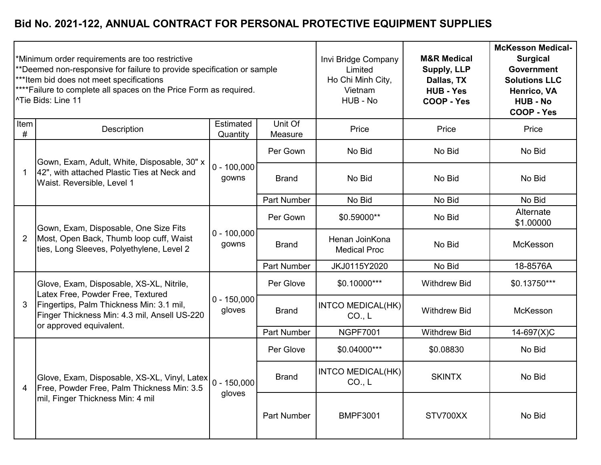|                | *Minimum order requirements are too restrictive<br>**Deemed non-responsive for failure to provide specification or sample<br>***Item bid does not meet specifications<br>**** Failure to complete all spaces on the Price Form as required.<br><sup>^Tie Bids: Line 11</sup> |                         | Invi Bridge Company<br>Limited<br>Ho Chi Minh City,<br>Vietnam<br>HUB - No | <b>M&amp;R Medical</b><br><b>Supply, LLP</b><br>Dallas, TX<br><b>HUB - Yes</b><br>COOP - Yes | <b>McKesson Medical-</b><br><b>Surgical</b><br>Government<br><b>Solutions LLC</b><br>Henrico, VA<br><b>HUB - No</b><br><b>COOP - Yes</b> |                        |
|----------------|------------------------------------------------------------------------------------------------------------------------------------------------------------------------------------------------------------------------------------------------------------------------------|-------------------------|----------------------------------------------------------------------------|----------------------------------------------------------------------------------------------|------------------------------------------------------------------------------------------------------------------------------------------|------------------------|
| Item<br>#      | Description                                                                                                                                                                                                                                                                  | Estimated<br>Quantity   | Unit Of<br>Measure                                                         | Price                                                                                        | Price                                                                                                                                    | Price                  |
|                | Gown, Exam, Adult, White, Disposable, 30" x                                                                                                                                                                                                                                  |                         | Per Gown                                                                   | No Bid                                                                                       | No Bid                                                                                                                                   | No Bid                 |
| 1              | 42", with attached Plastic Ties at Neck and<br>Waist. Reversible, Level 1                                                                                                                                                                                                    | $0 - 100,000$<br>gowns  | <b>Brand</b>                                                               | No Bid                                                                                       | No Bid                                                                                                                                   | No Bid                 |
|                |                                                                                                                                                                                                                                                                              |                         | Part Number                                                                | No Bid                                                                                       | No Bid                                                                                                                                   | No Bid                 |
| $\overline{2}$ | Gown, Exam, Disposable, One Size Fits<br>Most, Open Back, Thumb loop cuff, Waist<br>ties, Long Sleeves, Polyethylene, Level 2                                                                                                                                                | $0 - 100,000$<br>gowns  | Per Gown                                                                   | \$0.59000**                                                                                  | No Bid                                                                                                                                   | Alternate<br>\$1.00000 |
|                |                                                                                                                                                                                                                                                                              |                         | <b>Brand</b>                                                               | Henan JoinKona<br><b>Medical Proc</b>                                                        | No Bid                                                                                                                                   | McKesson               |
|                |                                                                                                                                                                                                                                                                              |                         | <b>Part Number</b>                                                         | JKJ0115Y2020                                                                                 | No Bid                                                                                                                                   | 18-8576A               |
|                | Glove, Exam, Disposable, XS-XL, Nitrile,<br>Latex Free, Powder Free, Textured                                                                                                                                                                                                |                         | Per Glove                                                                  | \$0.10000***                                                                                 | <b>Withdrew Bid</b>                                                                                                                      | \$0.13750***           |
| 3              | Fingertips, Palm Thickness Min: 3.1 mil,<br>Finger Thickness Min: 4.3 mil, Ansell US-220<br>or approved equivalent.                                                                                                                                                          | $0 - 150,000$<br>gloves | <b>Brand</b>                                                               | INTCO MEDICAL(HK)<br>CO <sub>1</sub> L                                                       | <b>Withdrew Bid</b>                                                                                                                      | McKesson               |
|                |                                                                                                                                                                                                                                                                              |                         | <b>Part Number</b>                                                         | <b>NGPF7001</b>                                                                              | <b>Withdrew Bid</b>                                                                                                                      | 14-697(X)C             |
|                |                                                                                                                                                                                                                                                                              |                         | Per Glove                                                                  | \$0.04000***                                                                                 | \$0.08830                                                                                                                                | No Bid                 |
| 4              | Glove, Exam, Disposable, XS-XL, Vinyl, Latex 0 - 150,000<br>Free, Powder Free, Palm Thickness Min: 3.5<br>mil, Finger Thickness Min: 4 mil                                                                                                                                   | gloves                  | <b>Brand</b>                                                               | INTCO MEDICAL(HK)<br>CO <sub>1</sub> , L                                                     | <b>SKINTX</b>                                                                                                                            | No Bid                 |
|                |                                                                                                                                                                                                                                                                              |                         | <b>Part Number</b>                                                         | <b>BMPF3001</b>                                                                              | STV700XX                                                                                                                                 | No Bid                 |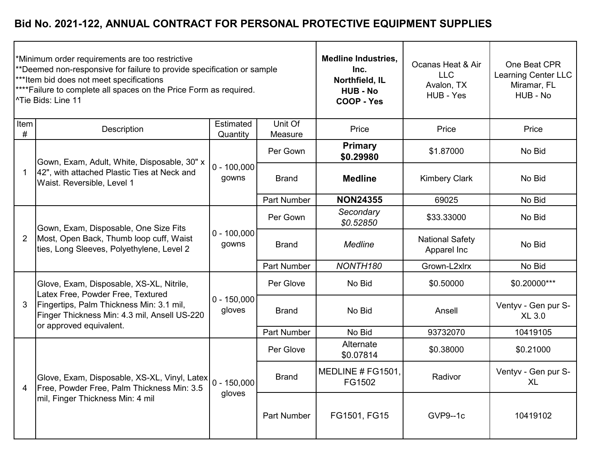|                | *Minimum order requirements are too restrictive<br>**Deemed non-responsive for failure to provide specification or sample<br>*** Item bid does not meet specifications<br>**** Failure to complete all spaces on the Price Form as required.<br><sup>^Tie</sup> Bids: Line 11 |                           | <b>Medline Industries,</b><br>Inc.<br>Northfield, IL<br><b>HUB - No</b><br><b>COOP - Yes</b> | Ocanas Heat & Air<br><b>LLC</b><br>Avalon, TX<br>HUB - Yes | One Beat CPR<br>Learning Center LLC<br>Miramar, FL<br>HUB - No |                                      |
|----------------|-------------------------------------------------------------------------------------------------------------------------------------------------------------------------------------------------------------------------------------------------------------------------------|---------------------------|----------------------------------------------------------------------------------------------|------------------------------------------------------------|----------------------------------------------------------------|--------------------------------------|
| Item<br>$\#$   | Description                                                                                                                                                                                                                                                                   | Estimated<br>Quantity     | Unit Of<br>Measure                                                                           | Price                                                      | Price                                                          | Price                                |
|                | Gown, Exam, Adult, White, Disposable, 30" x                                                                                                                                                                                                                                   |                           | Per Gown                                                                                     | <b>Primary</b><br>\$0.29980                                | \$1.87000                                                      | No Bid                               |
|                | 42", with attached Plastic Ties at Neck and<br>Waist. Reversible, Level 1                                                                                                                                                                                                     | $0 - 100,000$<br>gowns    | <b>Brand</b>                                                                                 | <b>Medline</b>                                             | <b>Kimbery Clark</b>                                           | No Bid                               |
|                |                                                                                                                                                                                                                                                                               |                           | <b>Part Number</b>                                                                           | <b>NON24355</b>                                            | 69025                                                          | No Bid                               |
| $\overline{2}$ | Gown, Exam, Disposable, One Size Fits<br>Most, Open Back, Thumb loop cuff, Waist<br>ties, Long Sleeves, Polyethylene, Level 2                                                                                                                                                 | $0 - 100,000$<br>gowns    | Per Gown                                                                                     | Secondary<br>\$0.52850                                     | \$33.33000                                                     | No Bid                               |
|                |                                                                                                                                                                                                                                                                               |                           | <b>Brand</b>                                                                                 | <b>Medline</b>                                             | <b>National Safety</b><br>Apparel Inc                          | No Bid                               |
|                |                                                                                                                                                                                                                                                                               |                           | Part Number                                                                                  | NONTH180                                                   | Grown-L2xlrx                                                   | No Bid                               |
|                | Glove, Exam, Disposable, XS-XL, Nitrile,<br>Latex Free, Powder Free, Textured                                                                                                                                                                                                 |                           | Per Glove                                                                                    | No Bid                                                     | \$0.50000                                                      | \$0.20000***                         |
| 3              | Fingertips, Palm Thickness Min: 3.1 mil,<br>Finger Thickness Min: 4.3 mil, Ansell US-220<br>or approved equivalent.                                                                                                                                                           | $0 - 150,000$<br>gloves   | <b>Brand</b>                                                                                 | No Bid                                                     | Ansell                                                         | Ventyv - Gen pur S-<br><b>XL 3.0</b> |
|                |                                                                                                                                                                                                                                                                               |                           | Part Number                                                                                  | No Bid                                                     | 93732070                                                       | 10419105                             |
|                |                                                                                                                                                                                                                                                                               |                           | Per Glove                                                                                    | Alternate<br>\$0.07814                                     | \$0.38000                                                      | \$0.21000                            |
| 4              | Glove, Exam, Disposable, XS-XL, Vinyl, Latex<br>Free, Powder Free, Palm Thickness Min: 3.5<br>mil, Finger Thickness Min: 4 mil                                                                                                                                                | $ 0 - 150,000 $<br>gloves | <b>Brand</b>                                                                                 | MEDLINE # FG1501,<br>FG1502                                | Radivor                                                        | Ventyv - Gen pur S-<br><b>XL</b>     |
|                |                                                                                                                                                                                                                                                                               |                           | Part Number                                                                                  | FG1501, FG15                                               | GVP9--1c                                                       | 10419102                             |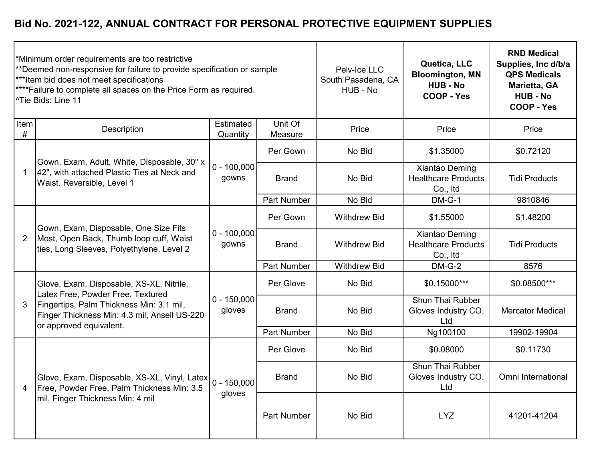|                | *Minimum order requirements are too restrictive<br>**Deemed non-responsive for failure to provide specification or sample<br>***Item bid does not meet specifications<br>**** Failure to complete all spaces on the Price Form as required.<br><sup>^Tie</sup> Bids: Line 11 |                         | Pelv-Ice LLC<br>South Pasadena, CA<br>HUB - No | Quetica, LLC<br><b>Bloomington, MN</b><br><b>HUB - No</b><br>COOP - Yes | <b>RND Medical</b><br>Supplies, Inc d/b/a<br><b>QPS Medicals</b><br>Marietta, GA<br><b>HUB - No</b><br>COOP - Yes |                         |
|----------------|------------------------------------------------------------------------------------------------------------------------------------------------------------------------------------------------------------------------------------------------------------------------------|-------------------------|------------------------------------------------|-------------------------------------------------------------------------|-------------------------------------------------------------------------------------------------------------------|-------------------------|
| Item<br>#      | Description                                                                                                                                                                                                                                                                  | Estimated<br>Quantity   | Unit Of<br>Measure                             | Price                                                                   | Price                                                                                                             | Price                   |
|                | Gown, Exam, Adult, White, Disposable, 30" x                                                                                                                                                                                                                                  |                         | Per Gown                                       | No Bid                                                                  | \$1.35000                                                                                                         | \$0.72120               |
|                | 42", with attached Plastic Ties at Neck and<br>Waist. Reversible, Level 1                                                                                                                                                                                                    | $0 - 100,000$<br>gowns  | <b>Brand</b>                                   | No Bid                                                                  | Xiantao Deming<br><b>Healthcare Products</b><br>Co., Itd                                                          | <b>Tidi Products</b>    |
|                |                                                                                                                                                                                                                                                                              |                         | Part Number                                    | No Bid                                                                  | $DM-G-1$                                                                                                          | 9810846                 |
| $\overline{2}$ | Gown, Exam, Disposable, One Size Fits<br>Most, Open Back, Thumb loop cuff, Waist<br>ties, Long Sleeves, Polyethylene, Level 2                                                                                                                                                | $0 - 100,000$<br>gowns  | Per Gown                                       | <b>Withdrew Bid</b>                                                     | \$1.55000                                                                                                         | \$1.48200               |
|                |                                                                                                                                                                                                                                                                              |                         | <b>Brand</b>                                   | <b>Withdrew Bid</b>                                                     | Xiantao Deming<br><b>Healthcare Products</b><br>Co., Itd                                                          | <b>Tidi Products</b>    |
|                |                                                                                                                                                                                                                                                                              |                         | <b>Part Number</b>                             | <b>Withdrew Bid</b>                                                     | $DM-G-2$                                                                                                          | 8576                    |
|                | Glove, Exam, Disposable, XS-XL, Nitrile,<br>Latex Free, Powder Free, Textured                                                                                                                                                                                                |                         | Per Glove                                      | No Bid                                                                  | \$0.15000***                                                                                                      | \$0.08500***            |
| 3              | Fingertips, Palm Thickness Min: 3.1 mil,<br>Finger Thickness Min: 4.3 mil, Ansell US-220<br>or approved equivalent.                                                                                                                                                          | $0 - 150,000$<br>gloves | <b>Brand</b>                                   | No Bid                                                                  | Shun Thai Rubber<br>Gloves Industry CO.<br>Ltd                                                                    | <b>Mercator Medical</b> |
|                |                                                                                                                                                                                                                                                                              |                         | <b>Part Number</b>                             | No Bid                                                                  | Ng100100                                                                                                          | 19902-19904             |
|                |                                                                                                                                                                                                                                                                              |                         | Per Glove                                      | No Bid                                                                  | \$0.08000                                                                                                         | \$0.11730               |
| 4              | Glove, Exam, Disposable, XS-XL, Vinyl, Latex 0 - 150,000<br>Free, Powder Free, Palm Thickness Min: 3.5<br>mil, Finger Thickness Min: 4 mil                                                                                                                                   | gloves                  | <b>Brand</b>                                   | No Bid                                                                  | Shun Thai Rubber<br>Gloves Industry CO.<br>Ltd                                                                    | Omni International      |
|                |                                                                                                                                                                                                                                                                              |                         | Part Number                                    | No Bid                                                                  | LYZ                                                                                                               | 41201-41204             |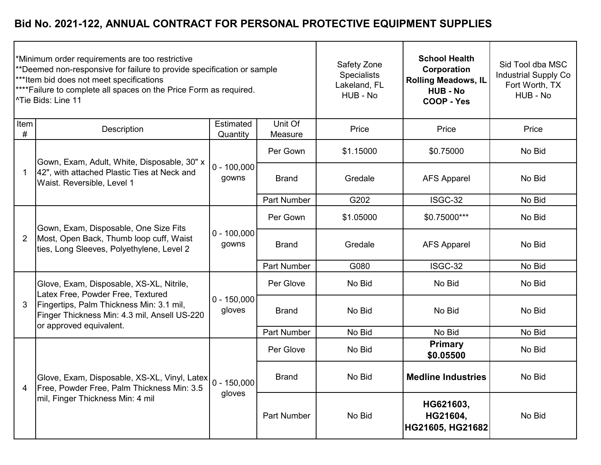|                | *Minimum order requirements are too restrictive<br>**Deemed non-responsive for failure to provide specification or sample<br>***Item bid does not meet specifications<br>**** Failure to complete all spaces on the Price Form as required.<br><sup>^Tie</sup> Bids: Line 11 |                           | Safety Zone<br><b>Specialists</b><br>Lakeland, FL<br>HUB - No | <b>School Health</b><br>Corporation<br><b>Rolling Meadows, IL</b><br><b>HUB - No</b><br>COOP - Yes | Sid Tool dba MSC<br><b>Industrial Supply Co</b><br>Fort Worth, TX<br>HUB - No |        |
|----------------|------------------------------------------------------------------------------------------------------------------------------------------------------------------------------------------------------------------------------------------------------------------------------|---------------------------|---------------------------------------------------------------|----------------------------------------------------------------------------------------------------|-------------------------------------------------------------------------------|--------|
| Item<br>$\#$   | Description                                                                                                                                                                                                                                                                  | Estimated<br>Quantity     | Unit Of<br>Measure                                            | Price                                                                                              | Price                                                                         | Price  |
|                | Gown, Exam, Adult, White, Disposable, 30" x                                                                                                                                                                                                                                  |                           | Per Gown                                                      | \$1.15000                                                                                          | \$0.75000                                                                     | No Bid |
| -1             | 42", with attached Plastic Ties at Neck and<br>Waist. Reversible, Level 1                                                                                                                                                                                                    | $0 - 100,000$<br>gowns    | <b>Brand</b>                                                  | Gredale                                                                                            | <b>AFS Apparel</b>                                                            | No Bid |
|                |                                                                                                                                                                                                                                                                              |                           | <b>Part Number</b>                                            | G202                                                                                               | ISGC-32                                                                       | No Bid |
| $\overline{2}$ | Gown, Exam, Disposable, One Size Fits<br>Most, Open Back, Thumb loop cuff, Waist<br>ties, Long Sleeves, Polyethylene, Level 2                                                                                                                                                | $0 - 100,000$<br>gowns    | Per Gown                                                      | \$1.05000                                                                                          | \$0.75000***                                                                  | No Bid |
|                |                                                                                                                                                                                                                                                                              |                           | <b>Brand</b>                                                  | Gredale                                                                                            | <b>AFS Apparel</b>                                                            | No Bid |
|                |                                                                                                                                                                                                                                                                              |                           | <b>Part Number</b>                                            | G080                                                                                               | ISGC-32                                                                       | No Bid |
|                | Glove, Exam, Disposable, XS-XL, Nitrile,<br>Latex Free, Powder Free, Textured                                                                                                                                                                                                |                           | Per Glove                                                     | No Bid                                                                                             | No Bid                                                                        | No Bid |
| 3              | Fingertips, Palm Thickness Min: 3.1 mil,<br>Finger Thickness Min: 4.3 mil, Ansell US-220<br>or approved equivalent.                                                                                                                                                          | $0 - 150,000$<br>gloves   | <b>Brand</b>                                                  | No Bid                                                                                             | No Bid                                                                        | No Bid |
|                |                                                                                                                                                                                                                                                                              |                           | Part Number                                                   | No Bid                                                                                             | No Bid                                                                        | No Bid |
|                |                                                                                                                                                                                                                                                                              |                           | Per Glove                                                     | No Bid                                                                                             | <b>Primary</b><br>\$0.05500                                                   | No Bid |
| 4              | Glove, Exam, Disposable, XS-XL, Vinyl, Latex<br>Free, Powder Free, Palm Thickness Min: 3.5<br>mil, Finger Thickness Min: 4 mil                                                                                                                                               | $ 0 - 150,000 $<br>gloves | <b>Brand</b>                                                  | No Bid                                                                                             | <b>Medline Industries</b>                                                     | No Bid |
|                |                                                                                                                                                                                                                                                                              |                           | Part Number                                                   | No Bid                                                                                             | HG621603,<br>HG21604,<br>HG21605, HG21682                                     | No Bid |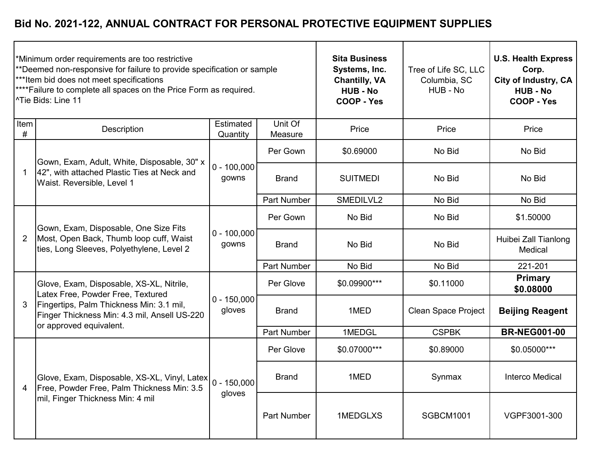|              | Minimum order requirements are too restrictive<br>**Deemed non-responsive for failure to provide specification or sample<br>*** Item bid does not meet specifications<br>****Failure to complete all spaces on the Price Form as required.<br><sup>^Tie Bids: Line 11</sup> |                         | <b>Sita Business</b><br>Systems, Inc.<br><b>Chantilly, VA</b><br><b>HUB - No</b><br>COOP - Yes | Tree of Life SC, LLC<br>Columbia, SC<br>HUB - No | <b>U.S. Health Express</b><br>Corp.<br>City of Industry, CA<br><b>HUB - No</b><br>COOP - Yes |                                 |
|--------------|-----------------------------------------------------------------------------------------------------------------------------------------------------------------------------------------------------------------------------------------------------------------------------|-------------------------|------------------------------------------------------------------------------------------------|--------------------------------------------------|----------------------------------------------------------------------------------------------|---------------------------------|
| Item<br>$\#$ | Description                                                                                                                                                                                                                                                                 | Estimated<br>Quantity   | Unit Of<br>Measure                                                                             | Price                                            | Price                                                                                        | Price                           |
|              | Gown, Exam, Adult, White, Disposable, 30" x                                                                                                                                                                                                                                 |                         | Per Gown                                                                                       | \$0.69000                                        | No Bid                                                                                       | No Bid                          |
|              | 42", with attached Plastic Ties at Neck and<br>Waist. Reversible, Level 1                                                                                                                                                                                                   | $0 - 100,000$<br>gowns  | <b>Brand</b>                                                                                   | <b>SUITMEDI</b>                                  | No Bid                                                                                       | No Bid                          |
|              |                                                                                                                                                                                                                                                                             |                         | <b>Part Number</b>                                                                             | SMEDILVL2                                        | No Bid                                                                                       | No Bid                          |
| 2            | Gown, Exam, Disposable, One Size Fits<br>Most, Open Back, Thumb loop cuff, Waist<br>ties, Long Sleeves, Polyethylene, Level 2                                                                                                                                               | $0 - 100,000$<br>gowns  | Per Gown                                                                                       | No Bid                                           | No Bid                                                                                       | \$1.50000                       |
|              |                                                                                                                                                                                                                                                                             |                         | <b>Brand</b>                                                                                   | No Bid                                           | No Bid                                                                                       | Huibei Zall Tianlong<br>Medical |
|              |                                                                                                                                                                                                                                                                             |                         | <b>Part Number</b>                                                                             | No Bid                                           | No Bid                                                                                       | 221-201                         |
|              | Glove, Exam, Disposable, XS-XL, Nitrile,<br>Latex Free, Powder Free, Textured                                                                                                                                                                                               |                         | Per Glove                                                                                      | \$0.09900***                                     | \$0.11000                                                                                    | <b>Primary</b><br>\$0.08000     |
| 3            | Fingertips, Palm Thickness Min: 3.1 mil,<br>Finger Thickness Min: 4.3 mil, Ansell US-220<br>or approved equivalent.                                                                                                                                                         | $0 - 150,000$<br>gloves | <b>Brand</b>                                                                                   | 1MED                                             | <b>Clean Space Project</b>                                                                   | <b>Beijing Reagent</b>          |
|              |                                                                                                                                                                                                                                                                             |                         | <b>Part Number</b>                                                                             | 1MEDGL                                           | <b>CSPBK</b>                                                                                 | <b>BR-NEG001-00</b>             |
|              |                                                                                                                                                                                                                                                                             |                         | Per Glove                                                                                      | \$0.07000***                                     | \$0.89000                                                                                    | \$0.05000***                    |
| 4            | Glove, Exam, Disposable, XS-XL, Vinyl, Latex 0 - 150,000<br>Free, Powder Free, Palm Thickness Min: 3.5<br>mil, Finger Thickness Min: 4 mil                                                                                                                                  |                         | <b>Brand</b>                                                                                   | 1MED                                             | Synmax                                                                                       | <b>Interco Medical</b>          |
|              |                                                                                                                                                                                                                                                                             | gloves                  | <b>Part Number</b>                                                                             | 1MEDGLXS                                         | SGBCM1001                                                                                    | VGPF3001-300                    |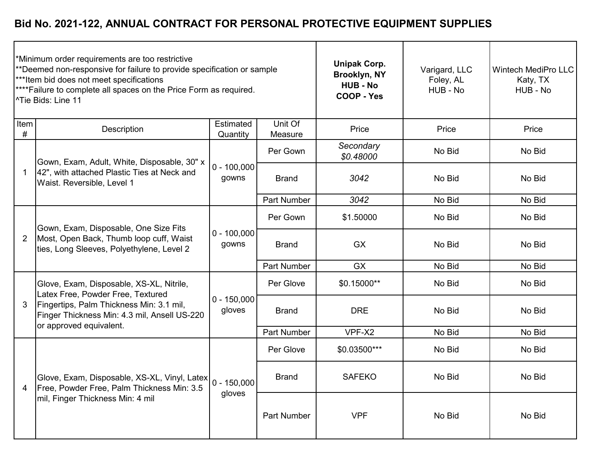| *Minimum order requirements are too restrictive<br>**Deemed non-responsive for failure to provide specification or sample<br>*** Item bid does not meet specifications<br>**** Failure to complete all spaces on the Price Form as required.<br><sup>^Tie</sup> Bids: Line 11 |                                                                                                                                |                              |                    | <b>Unipak Corp.</b><br>Brooklyn, NY<br><b>HUB - No</b><br>COOP - Yes | Varigard, LLC<br>Foley, AL<br>HUB - No | <b>Wintech MediPro LLC</b><br>Katy, TX<br>HUB - No |
|-------------------------------------------------------------------------------------------------------------------------------------------------------------------------------------------------------------------------------------------------------------------------------|--------------------------------------------------------------------------------------------------------------------------------|------------------------------|--------------------|----------------------------------------------------------------------|----------------------------------------|----------------------------------------------------|
| Item<br>#                                                                                                                                                                                                                                                                     | Description                                                                                                                    | <b>Estimated</b><br>Quantity | Unit Of<br>Measure | Price                                                                | Price                                  | Price                                              |
|                                                                                                                                                                                                                                                                               | Gown, Exam, Adult, White, Disposable, 30" x                                                                                    |                              | Per Gown           | Secondary<br>\$0.48000                                               | No Bid                                 | No Bid                                             |
|                                                                                                                                                                                                                                                                               | 42", with attached Plastic Ties at Neck and<br>Waist. Reversible, Level 1                                                      | $0 - 100,000$<br>gowns       | <b>Brand</b>       | 3042                                                                 | No Bid                                 | No Bid                                             |
|                                                                                                                                                                                                                                                                               |                                                                                                                                |                              | <b>Part Number</b> | 3042                                                                 | No Bid                                 | No Bid                                             |
| $\overline{2}$                                                                                                                                                                                                                                                                | Gown, Exam, Disposable, One Size Fits<br>Most, Open Back, Thumb loop cuff, Waist<br>ties, Long Sleeves, Polyethylene, Level 2  | $0 - 100,000$<br>gowns       | Per Gown           | \$1.50000                                                            | No Bid                                 | No Bid                                             |
|                                                                                                                                                                                                                                                                               |                                                                                                                                |                              | <b>Brand</b>       | <b>GX</b>                                                            | No Bid                                 | No Bid                                             |
|                                                                                                                                                                                                                                                                               |                                                                                                                                |                              | Part Number        | <b>GX</b>                                                            | No Bid                                 | No Bid                                             |
|                                                                                                                                                                                                                                                                               | Glove, Exam, Disposable, XS-XL, Nitrile,<br>Latex Free, Powder Free, Textured                                                  |                              | Per Glove          | \$0.15000**                                                          | No Bid                                 | No Bid                                             |
| 3                                                                                                                                                                                                                                                                             | Fingertips, Palm Thickness Min: 3.1 mil,<br>Finger Thickness Min: 4.3 mil, Ansell US-220<br>or approved equivalent.            | $0 - 150,000$<br>gloves      | <b>Brand</b>       | <b>DRE</b>                                                           | No Bid                                 | No Bid                                             |
|                                                                                                                                                                                                                                                                               |                                                                                                                                |                              | Part Number        | VPF-X2                                                               | No Bid                                 | No Bid                                             |
|                                                                                                                                                                                                                                                                               |                                                                                                                                |                              | Per Glove          | \$0.03500***                                                         | No Bid                                 | No Bid                                             |
| 4                                                                                                                                                                                                                                                                             | Glove, Exam, Disposable, XS-XL, Vinyl, Latex<br>Free, Powder Free, Palm Thickness Min: 3.5<br>mil, Finger Thickness Min: 4 mil | $0 - 150,000$<br>gloves      | <b>Brand</b>       | <b>SAFEKO</b>                                                        | No Bid                                 | No Bid                                             |
|                                                                                                                                                                                                                                                                               |                                                                                                                                |                              | Part Number        | <b>VPF</b>                                                           | No Bid                                 | No Bid                                             |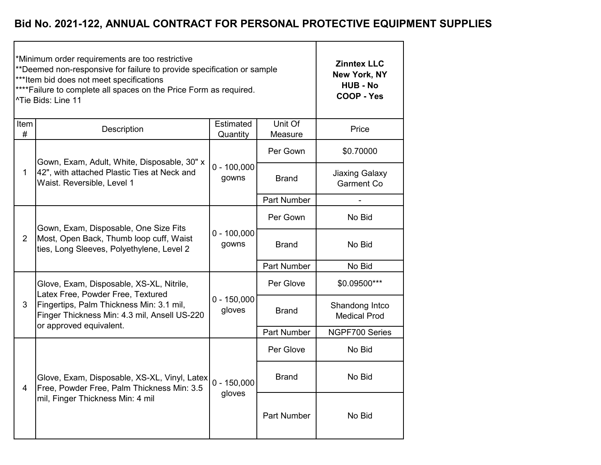|                | *Minimum order requirements are too restrictive<br>**Deemed non-responsive for failure to provide specification or sample<br>***Item bid does not meet specifications<br>**** Failure to complete all spaces on the Price Form as required.<br><sup>^Tie</sup> Bids: Line 11 | <b>Zinntex LLC</b><br>New York, NY<br><b>HUB - No</b><br><b>COOP - Yes</b> |                    |                                            |
|----------------|------------------------------------------------------------------------------------------------------------------------------------------------------------------------------------------------------------------------------------------------------------------------------|----------------------------------------------------------------------------|--------------------|--------------------------------------------|
| Item<br>#      | Description                                                                                                                                                                                                                                                                  | Estimated<br>Quantity                                                      | Unit Of<br>Measure | Price                                      |
|                | Gown, Exam, Adult, White, Disposable, 30" x<br>42", with attached Plastic Ties at Neck and<br>Waist. Reversible, Level 1                                                                                                                                                     |                                                                            | Per Gown           | \$0.70000                                  |
| $\mathbf{1}$   |                                                                                                                                                                                                                                                                              | $0 - 100,000$<br>gowns                                                     | <b>Brand</b>       | <b>Jiaxing Galaxy</b><br><b>Garment Co</b> |
|                |                                                                                                                                                                                                                                                                              |                                                                            | Part Number        |                                            |
| $\overline{2}$ | Gown, Exam, Disposable, One Size Fits<br>Most, Open Back, Thumb loop cuff, Waist<br>ties, Long Sleeves, Polyethylene, Level 2                                                                                                                                                |                                                                            | Per Gown           | No Bid                                     |
|                |                                                                                                                                                                                                                                                                              | $0 - 100,000$<br>gowns                                                     | <b>Brand</b>       | No Bid                                     |
|                |                                                                                                                                                                                                                                                                              |                                                                            | Part Number        | No Bid                                     |
|                | Glove, Exam, Disposable, XS-XL, Nitrile,<br>Latex Free, Powder Free, Textured                                                                                                                                                                                                |                                                                            | Per Glove          | \$0.09500***                               |
| 3              | Fingertips, Palm Thickness Min: 3.1 mil,<br>Finger Thickness Min: 4.3 mil, Ansell US-220<br>or approved equivalent.                                                                                                                                                          | $0 - 150,000$<br>gloves                                                    | <b>Brand</b>       | Shandong Intco<br><b>Medical Prod</b>      |
|                |                                                                                                                                                                                                                                                                              |                                                                            | Part Number        | NGPF700 Series                             |
|                |                                                                                                                                                                                                                                                                              |                                                                            | Per Glove          | No Bid                                     |
| $\overline{4}$ | Glove, Exam, Disposable, XS-XL, Vinyl, Latex $\Big 0 - 150,000\Big $<br>Free, Powder Free, Palm Thickness Min: 3.5                                                                                                                                                           |                                                                            | <b>Brand</b>       | No Bid                                     |
|                | mil, Finger Thickness Min: 4 mil                                                                                                                                                                                                                                             | gloves                                                                     | <b>Part Number</b> | No Bid                                     |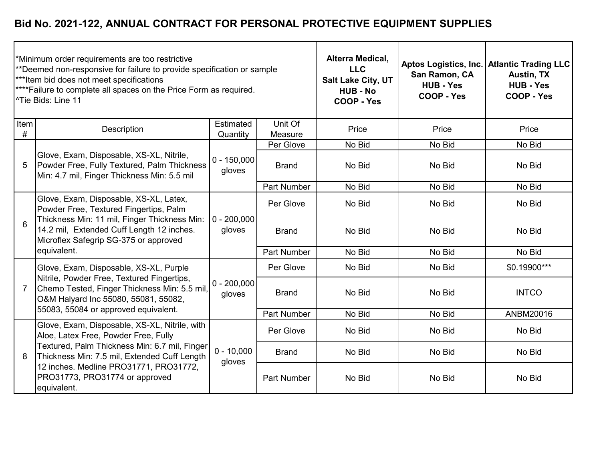| *Minimum order requirements are too restrictive<br>**Deemed non-responsive for failure to provide specification or sample<br>*** Item bid does not meet specifications<br>**** Failure to complete all spaces on the Price Form as required.<br><sup>^</sup> Tie Bids: Line 11 |                                                                                                                                                                                                                        |                         |                    | Alterra Medical,<br><b>LLC</b><br>Salt Lake City, UT<br><b>HUB - No</b><br>COOP - Yes | San Ramon, CA<br><b>HUB - Yes</b><br><b>COOP - Yes</b> | Aptos Logistics, Inc.   Atlantic Trading LLC<br><b>Austin, TX</b><br><b>HUB - Yes</b><br>COOP - Yes |
|--------------------------------------------------------------------------------------------------------------------------------------------------------------------------------------------------------------------------------------------------------------------------------|------------------------------------------------------------------------------------------------------------------------------------------------------------------------------------------------------------------------|-------------------------|--------------------|---------------------------------------------------------------------------------------|--------------------------------------------------------|-----------------------------------------------------------------------------------------------------|
| Item<br>#                                                                                                                                                                                                                                                                      | Description                                                                                                                                                                                                            | Estimated<br>Quantity   | Unit Of<br>Measure | Price                                                                                 | Price                                                  | Price                                                                                               |
|                                                                                                                                                                                                                                                                                |                                                                                                                                                                                                                        |                         | Per Glove          | No Bid                                                                                | No Bid                                                 | No Bid                                                                                              |
| $\overline{5}$                                                                                                                                                                                                                                                                 | Glove, Exam, Disposable, XS-XL, Nitrile,<br>Powder Free, Fully Textured, Palm Thickness<br>Min: 4.7 mil, Finger Thickness Min: 5.5 mil                                                                                 | $0 - 150,000$<br>gloves | <b>Brand</b>       | No Bid                                                                                | No Bid                                                 | No Bid                                                                                              |
|                                                                                                                                                                                                                                                                                |                                                                                                                                                                                                                        |                         | Part Number        | No Bid                                                                                | No Bid                                                 | No Bid                                                                                              |
| 6                                                                                                                                                                                                                                                                              | Glove, Exam, Disposable, XS-XL, Latex,<br>Powder Free, Textured Fingertips, Palm<br>Thickness Min: 11 mil, Finger Thickness Min:<br>14.2 mil, Extended Cuff Length 12 inches.<br>Microflex Safegrip SG-375 or approved | $0 - 200,000$<br>gloves | Per Glove          | No Bid                                                                                | No Bid                                                 | No Bid                                                                                              |
|                                                                                                                                                                                                                                                                                |                                                                                                                                                                                                                        |                         | <b>Brand</b>       | No Bid                                                                                | No Bid                                                 | No Bid                                                                                              |
|                                                                                                                                                                                                                                                                                | equivalent.                                                                                                                                                                                                            |                         | <b>Part Number</b> | No Bid                                                                                | No Bid                                                 | No Bid                                                                                              |
|                                                                                                                                                                                                                                                                                | Glove, Exam, Disposable, XS-XL, Purple                                                                                                                                                                                 |                         | Per Glove          | No Bid                                                                                | No Bid                                                 | \$0.19900***                                                                                        |
| 7                                                                                                                                                                                                                                                                              | Nitrile, Powder Free, Textured Fingertips,<br>Chemo Tested, Finger Thickness Min: 5.5 mil,<br>O&M Halyard Inc 55080, 55081, 55082,                                                                                     | $0 - 200,000$<br>gloves | <b>Brand</b>       | No Bid                                                                                | No Bid                                                 | <b>INTCO</b>                                                                                        |
|                                                                                                                                                                                                                                                                                | 55083, 55084 or approved equivalent.                                                                                                                                                                                   |                         | <b>Part Number</b> | No Bid                                                                                | No Bid                                                 | ANBM20016                                                                                           |
|                                                                                                                                                                                                                                                                                | Glove, Exam, Disposable, XS-XL, Nitrile, with<br>Aloe, Latex Free, Powder Free, Fully                                                                                                                                  |                         | Per Glove          | No Bid                                                                                | No Bid                                                 | No Bid                                                                                              |
| 8                                                                                                                                                                                                                                                                              | Textured, Palm Thickness Min: 6.7 mil, Finger<br>Thickness Min: 7.5 mil, Extended Cuff Length<br>12 inches. Medline PRO31771, PRO31772,<br>PRO31773, PRO31774 or approved<br>equivalent.                               | $0 - 10,000$<br>gloves  | <b>Brand</b>       | No Bid                                                                                | No Bid                                                 | No Bid                                                                                              |
|                                                                                                                                                                                                                                                                                |                                                                                                                                                                                                                        |                         | <b>Part Number</b> | No Bid                                                                                | No Bid                                                 | No Bid                                                                                              |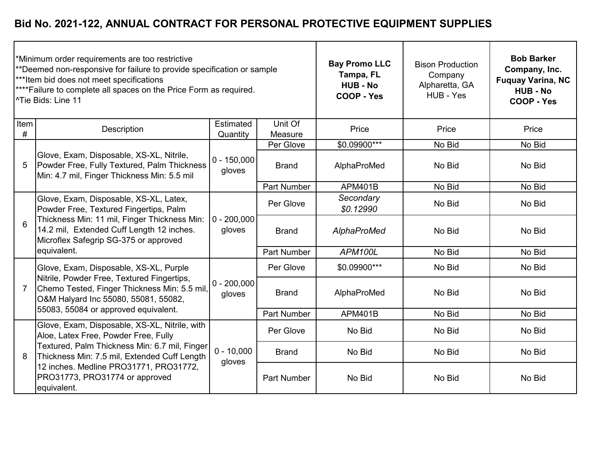| *Minimum order requirements are too restrictive<br>**Deemed non-responsive for failure to provide specification or sample<br>*** Item bid does not meet specifications<br>**** Failure to complete all spaces on the Price Form as required.<br><sup>^</sup> Tie Bids: Line 11 |                                                                                                                                                                                                                        |                         |                    | <b>Bay Promo LLC</b><br>Tampa, FL<br><b>HUB - No</b><br><b>COOP - Yes</b> | <b>Bison Production</b><br>Company<br>Alpharetta, GA<br>HUB - Yes | <b>Bob Barker</b><br>Company, Inc.<br><b>Fuquay Varina, NC</b><br><b>HUB - No</b><br>COOP - Yes |
|--------------------------------------------------------------------------------------------------------------------------------------------------------------------------------------------------------------------------------------------------------------------------------|------------------------------------------------------------------------------------------------------------------------------------------------------------------------------------------------------------------------|-------------------------|--------------------|---------------------------------------------------------------------------|-------------------------------------------------------------------|-------------------------------------------------------------------------------------------------|
| Item<br>#                                                                                                                                                                                                                                                                      | Description                                                                                                                                                                                                            | Estimated<br>Quantity   | Unit Of<br>Measure | Price                                                                     | Price                                                             | Price                                                                                           |
|                                                                                                                                                                                                                                                                                |                                                                                                                                                                                                                        |                         | Per Glove          | \$0.09900***                                                              | No Bid                                                            | No Bid                                                                                          |
| 5                                                                                                                                                                                                                                                                              | Glove, Exam, Disposable, XS-XL, Nitrile,<br>Powder Free, Fully Textured, Palm Thickness<br>Min: 4.7 mil, Finger Thickness Min: 5.5 mil                                                                                 | $0 - 150,000$<br>gloves | <b>Brand</b>       | AlphaProMed                                                               | No Bid                                                            | No Bid                                                                                          |
|                                                                                                                                                                                                                                                                                |                                                                                                                                                                                                                        |                         | <b>Part Number</b> | <b>APM401B</b>                                                            | No Bid                                                            | No Bid                                                                                          |
| 6                                                                                                                                                                                                                                                                              | Glove, Exam, Disposable, XS-XL, Latex,<br>Powder Free, Textured Fingertips, Palm<br>Thickness Min: 11 mil, Finger Thickness Min:<br>14.2 mil, Extended Cuff Length 12 inches.<br>Microflex Safegrip SG-375 or approved | $0 - 200,000$<br>gloves | Per Glove          | Secondary<br>\$0.12990                                                    | No Bid                                                            | No Bid                                                                                          |
|                                                                                                                                                                                                                                                                                |                                                                                                                                                                                                                        |                         | <b>Brand</b>       | AlphaProMed                                                               | No Bid                                                            | No Bid                                                                                          |
|                                                                                                                                                                                                                                                                                | equivalent.                                                                                                                                                                                                            |                         | <b>Part Number</b> | APM100L                                                                   | No Bid                                                            | No Bid                                                                                          |
|                                                                                                                                                                                                                                                                                | Glove, Exam, Disposable, XS-XL, Purple                                                                                                                                                                                 |                         | Per Glove          | \$0.09900***                                                              | No Bid                                                            | No Bid                                                                                          |
| 7                                                                                                                                                                                                                                                                              | Nitrile, Powder Free, Textured Fingertips,<br>Chemo Tested, Finger Thickness Min: 5.5 mil,<br>O&M Halyard Inc 55080, 55081, 55082,                                                                                     | $0 - 200,000$<br>gloves | <b>Brand</b>       | AlphaProMed                                                               | No Bid                                                            | No Bid                                                                                          |
|                                                                                                                                                                                                                                                                                | 55083, 55084 or approved equivalent.                                                                                                                                                                                   |                         | <b>Part Number</b> | <b>APM401B</b>                                                            | No Bid                                                            | No Bid                                                                                          |
|                                                                                                                                                                                                                                                                                | Glove, Exam, Disposable, XS-XL, Nitrile, with<br>Aloe, Latex Free, Powder Free, Fully                                                                                                                                  |                         | Per Glove          | No Bid                                                                    | No Bid                                                            | No Bid                                                                                          |
| 8                                                                                                                                                                                                                                                                              | Textured, Palm Thickness Min: 6.7 mil, Finger<br>Thickness Min: 7.5 mil, Extended Cuff Length<br>12 inches. Medline PRO31771, PRO31772,<br>PRO31773, PRO31774 or approved<br>equivalent.                               | $0 - 10,000$<br>gloves  | <b>Brand</b>       | No Bid                                                                    | No Bid                                                            | No Bid                                                                                          |
|                                                                                                                                                                                                                                                                                |                                                                                                                                                                                                                        |                         | <b>Part Number</b> | No Bid                                                                    | No Bid                                                            | No Bid                                                                                          |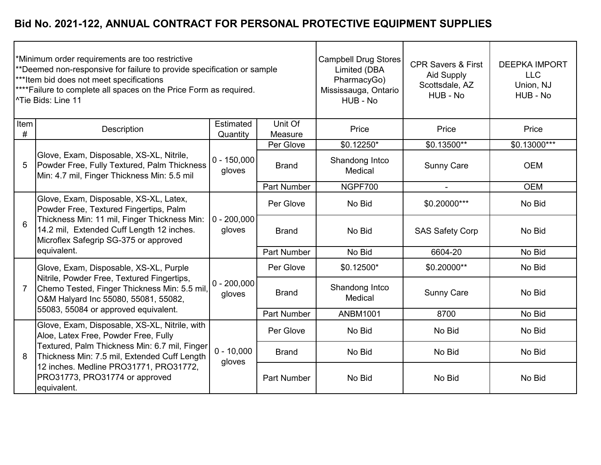| *Minimum order requirements are too restrictive<br>**Deemed non-responsive for failure to provide specification or sample<br>***Item bid does not meet specifications<br>**** Failure to complete all spaces on the Price Form as required.<br><sup>^Tie</sup> Bids: Line 11 |                                                                                                                                                                                                                        |                         |                    | <b>Campbell Drug Stores</b><br>Limited (DBA<br>PharmacyGo)<br>Mississauga, Ontario<br>HUB - No | <b>CPR Savers &amp; First</b><br><b>Aid Supply</b><br>Scottsdale, AZ<br>HUB - No | <b>DEEPKA IMPORT</b><br><b>LLC</b><br>Union, NJ<br>HUB - No |
|------------------------------------------------------------------------------------------------------------------------------------------------------------------------------------------------------------------------------------------------------------------------------|------------------------------------------------------------------------------------------------------------------------------------------------------------------------------------------------------------------------|-------------------------|--------------------|------------------------------------------------------------------------------------------------|----------------------------------------------------------------------------------|-------------------------------------------------------------|
| Item<br>#                                                                                                                                                                                                                                                                    | Description                                                                                                                                                                                                            | Estimated<br>Quantity   | Unit Of<br>Measure | Price                                                                                          | Price                                                                            | Price                                                       |
|                                                                                                                                                                                                                                                                              | Glove, Exam, Disposable, XS-XL, Nitrile,<br>Powder Free, Fully Textured, Palm Thickness<br>Min: 4.7 mil, Finger Thickness Min: 5.5 mil                                                                                 |                         | Per Glove          | \$0.12250*                                                                                     | \$0.13500**                                                                      | $$0.13000***$                                               |
| 5                                                                                                                                                                                                                                                                            |                                                                                                                                                                                                                        | $0 - 150,000$<br>gloves | <b>Brand</b>       | Shandong Intco<br>Medical                                                                      | <b>Sunny Care</b>                                                                | <b>OEM</b>                                                  |
|                                                                                                                                                                                                                                                                              |                                                                                                                                                                                                                        |                         | <b>Part Number</b> | NGPF700                                                                                        |                                                                                  | <b>OEM</b>                                                  |
| 6                                                                                                                                                                                                                                                                            | Glove, Exam, Disposable, XS-XL, Latex,<br>Powder Free, Textured Fingertips, Palm<br>Thickness Min: 11 mil, Finger Thickness Min:<br>14.2 mil, Extended Cuff Length 12 inches.<br>Microflex Safegrip SG-375 or approved | $0 - 200,000$<br>gloves | Per Glove          | No Bid                                                                                         | \$0.20000***                                                                     | No Bid                                                      |
|                                                                                                                                                                                                                                                                              |                                                                                                                                                                                                                        |                         | <b>Brand</b>       | No Bid                                                                                         | <b>SAS Safety Corp</b>                                                           | No Bid                                                      |
|                                                                                                                                                                                                                                                                              | equivalent.                                                                                                                                                                                                            |                         | <b>Part Number</b> | No Bid                                                                                         | 6604-20                                                                          | No Bid                                                      |
|                                                                                                                                                                                                                                                                              | Glove, Exam, Disposable, XS-XL, Purple                                                                                                                                                                                 |                         | Per Glove          | \$0.12500*                                                                                     | \$0.20000**                                                                      | No Bid                                                      |
| 7                                                                                                                                                                                                                                                                            | Nitrile, Powder Free, Textured Fingertips,<br>Chemo Tested, Finger Thickness Min: 5.5 mil,<br>O&M Halyard Inc 55080, 55081, 55082,                                                                                     | $0 - 200,000$<br>gloves | <b>Brand</b>       | Shandong Intco<br>Medical                                                                      | <b>Sunny Care</b>                                                                | No Bid                                                      |
|                                                                                                                                                                                                                                                                              | 55083, 55084 or approved equivalent.                                                                                                                                                                                   |                         | Part Number        | <b>ANBM1001</b>                                                                                | 8700                                                                             | No Bid                                                      |
|                                                                                                                                                                                                                                                                              | Glove, Exam, Disposable, XS-XL, Nitrile, with<br>Aloe, Latex Free, Powder Free, Fully                                                                                                                                  |                         | Per Glove          | No Bid                                                                                         | No Bid                                                                           | No Bid                                                      |
| 8                                                                                                                                                                                                                                                                            | Textured, Palm Thickness Min: 6.7 mil, Finger<br>Thickness Min: 7.5 mil, Extended Cuff Length                                                                                                                          | $0 - 10,000$<br>gloves  | <b>Brand</b>       | No Bid                                                                                         | No Bid                                                                           | No Bid                                                      |
|                                                                                                                                                                                                                                                                              | 12 inches. Medline PRO31771, PRO31772,<br>PRO31773, PRO31774 or approved<br>equivalent.                                                                                                                                |                         | <b>Part Number</b> | No Bid                                                                                         | No Bid                                                                           | No Bid                                                      |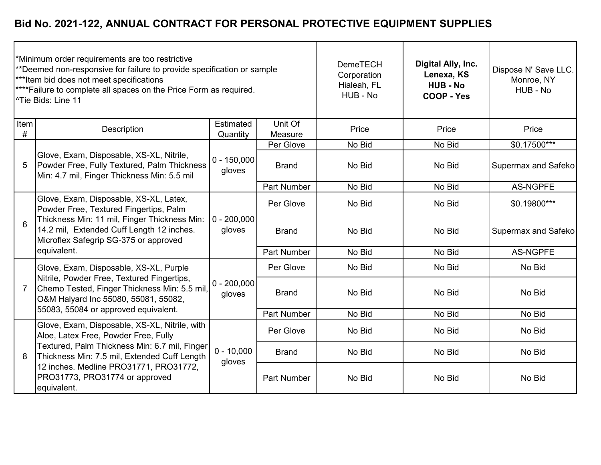| *Minimum order requirements are too restrictive<br>**Deemed non-responsive for failure to provide specification or sample<br>*** Item bid does not meet specifications<br>**** Failure to complete all spaces on the Price Form as required.<br><sup>^Tie</sup> Bids: Line 11 |                                                                                                                                                                                                                        |                         |                    | <b>DemeTECH</b><br>Corporation<br>Hialeah, FL<br>HUB - No | Digital Ally, Inc.<br>Lenexa, KS<br><b>HUB - No</b><br>COOP - Yes | Dispose N' Save LLC.<br>Monroe, NY<br>HUB - No |
|-------------------------------------------------------------------------------------------------------------------------------------------------------------------------------------------------------------------------------------------------------------------------------|------------------------------------------------------------------------------------------------------------------------------------------------------------------------------------------------------------------------|-------------------------|--------------------|-----------------------------------------------------------|-------------------------------------------------------------------|------------------------------------------------|
| Item<br>#                                                                                                                                                                                                                                                                     | Description                                                                                                                                                                                                            | Estimated<br>Quantity   | Unit Of<br>Measure | Price                                                     | Price                                                             | Price                                          |
|                                                                                                                                                                                                                                                                               |                                                                                                                                                                                                                        |                         | Per Glove          | No Bid                                                    | No Bid                                                            | $$0.17500***$                                  |
| 5                                                                                                                                                                                                                                                                             | Glove, Exam, Disposable, XS-XL, Nitrile,<br>Powder Free, Fully Textured, Palm Thickness<br>Min: 4.7 mil, Finger Thickness Min: 5.5 mil                                                                                 | $0 - 150,000$<br>gloves | <b>Brand</b>       | No Bid                                                    | No Bid                                                            | <b>Supermax and Safeko</b>                     |
|                                                                                                                                                                                                                                                                               |                                                                                                                                                                                                                        |                         | <b>Part Number</b> | No Bid                                                    | No Bid                                                            | <b>AS-NGPFE</b>                                |
| 6                                                                                                                                                                                                                                                                             | Glove, Exam, Disposable, XS-XL, Latex,<br>Powder Free, Textured Fingertips, Palm<br>Thickness Min: 11 mil, Finger Thickness Min:<br>14.2 mil, Extended Cuff Length 12 inches.<br>Microflex Safegrip SG-375 or approved | $0 - 200,000$<br>gloves | Per Glove          | No Bid                                                    | No Bid                                                            | \$0.19800***                                   |
|                                                                                                                                                                                                                                                                               |                                                                                                                                                                                                                        |                         | <b>Brand</b>       | No Bid                                                    | No Bid                                                            | <b>Supermax and Safeko</b>                     |
|                                                                                                                                                                                                                                                                               | equivalent.                                                                                                                                                                                                            |                         | <b>Part Number</b> | No Bid                                                    | No Bid                                                            | <b>AS-NGPFE</b>                                |
|                                                                                                                                                                                                                                                                               | Glove, Exam, Disposable, XS-XL, Purple                                                                                                                                                                                 |                         | Per Glove          | No Bid                                                    | No Bid                                                            | No Bid                                         |
| $\overline{7}$                                                                                                                                                                                                                                                                | Nitrile, Powder Free, Textured Fingertips,<br>Chemo Tested, Finger Thickness Min: 5.5 mil,<br>O&M Halyard Inc 55080, 55081, 55082,                                                                                     | $0 - 200,000$<br>gloves | <b>Brand</b>       | No Bid                                                    | No Bid                                                            | No Bid                                         |
|                                                                                                                                                                                                                                                                               | 55083, 55084 or approved equivalent.                                                                                                                                                                                   |                         | <b>Part Number</b> | No Bid                                                    | No Bid                                                            | No Bid                                         |
|                                                                                                                                                                                                                                                                               | Glove, Exam, Disposable, XS-XL, Nitrile, with<br>Aloe, Latex Free, Powder Free, Fully                                                                                                                                  |                         | Per Glove          | No Bid                                                    | No Bid                                                            | No Bid                                         |
| 8                                                                                                                                                                                                                                                                             | Textured, Palm Thickness Min: 6.7 mil, Finger<br>Thickness Min: 7.5 mil, Extended Cuff Length                                                                                                                          | $0 - 10,000$<br>gloves  | <b>Brand</b>       | No Bid                                                    | No Bid                                                            | No Bid                                         |
|                                                                                                                                                                                                                                                                               | 12 inches. Medline PRO31771, PRO31772,<br>PRO31773, PRO31774 or approved<br>equivalent.                                                                                                                                |                         | <b>Part Number</b> | No Bid                                                    | No Bid                                                            | No Bid                                         |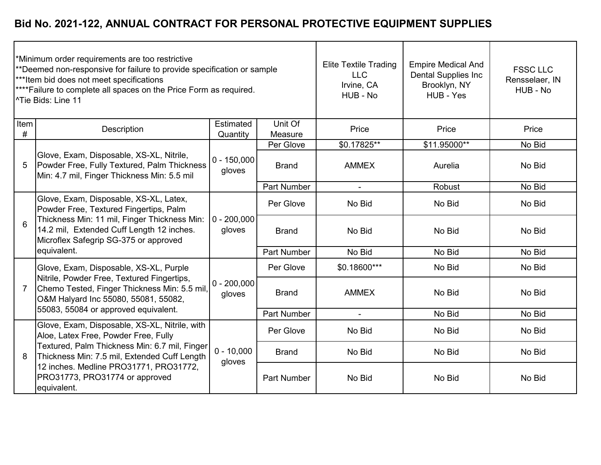| *Minimum order requirements are too restrictive<br>**Deemed non-responsive for failure to provide specification or sample<br>***Item bid does not meet specifications<br>**** Failure to complete all spaces on the Price Form as required.<br><sup>^Tie</sup> Bids: Line 11 |                                                                                                                                                                                                                        |                         |                    | <b>Elite Textile Trading</b><br><b>LLC</b><br>Irvine, CA<br>HUB - No | <b>Empire Medical And</b><br><b>Dental Supplies Inc</b><br>Brooklyn, NY<br>HUB - Yes | <b>FSSC LLC</b><br>Rensselaer, IN<br>HUB - No |
|------------------------------------------------------------------------------------------------------------------------------------------------------------------------------------------------------------------------------------------------------------------------------|------------------------------------------------------------------------------------------------------------------------------------------------------------------------------------------------------------------------|-------------------------|--------------------|----------------------------------------------------------------------|--------------------------------------------------------------------------------------|-----------------------------------------------|
| Item<br>#                                                                                                                                                                                                                                                                    | Description                                                                                                                                                                                                            | Estimated<br>Quantity   | Unit Of<br>Measure | Price                                                                | Price                                                                                | Price                                         |
|                                                                                                                                                                                                                                                                              |                                                                                                                                                                                                                        |                         | Per Glove          | $$0.17825**$$                                                        | \$11.95000**                                                                         | No Bid                                        |
| 5                                                                                                                                                                                                                                                                            | Glove, Exam, Disposable, XS-XL, Nitrile,<br>Powder Free, Fully Textured, Palm Thickness<br>Min: 4.7 mil, Finger Thickness Min: 5.5 mil                                                                                 | $0 - 150,000$<br>gloves | <b>Brand</b>       | <b>AMMEX</b>                                                         | Aurelia                                                                              | No Bid                                        |
|                                                                                                                                                                                                                                                                              |                                                                                                                                                                                                                        |                         | <b>Part Number</b> |                                                                      | <b>Robust</b>                                                                        | No Bid                                        |
| 6                                                                                                                                                                                                                                                                            | Glove, Exam, Disposable, XS-XL, Latex,<br>Powder Free, Textured Fingertips, Palm<br>Thickness Min: 11 mil, Finger Thickness Min:<br>14.2 mil, Extended Cuff Length 12 inches.<br>Microflex Safegrip SG-375 or approved | $0 - 200,000$<br>gloves | Per Glove          | No Bid                                                               | No Bid                                                                               | No Bid                                        |
|                                                                                                                                                                                                                                                                              |                                                                                                                                                                                                                        |                         | <b>Brand</b>       | No Bid                                                               | No Bid                                                                               | No Bid                                        |
|                                                                                                                                                                                                                                                                              | equivalent.                                                                                                                                                                                                            |                         | <b>Part Number</b> | No Bid                                                               | No Bid                                                                               | No Bid                                        |
|                                                                                                                                                                                                                                                                              | Glove, Exam, Disposable, XS-XL, Purple                                                                                                                                                                                 |                         | Per Glove          | \$0.18600***                                                         | No Bid                                                                               | No Bid                                        |
| 7                                                                                                                                                                                                                                                                            | Nitrile, Powder Free, Textured Fingertips,<br>Chemo Tested, Finger Thickness Min: 5.5 mil,<br>O&M Halyard Inc 55080, 55081, 55082,                                                                                     | $0 - 200,000$<br>gloves | <b>Brand</b>       | <b>AMMEX</b>                                                         | No Bid                                                                               | No Bid                                        |
|                                                                                                                                                                                                                                                                              | 55083, 55084 or approved equivalent.                                                                                                                                                                                   |                         | <b>Part Number</b> | $\blacksquare$                                                       | No Bid                                                                               | No Bid                                        |
|                                                                                                                                                                                                                                                                              | Glove, Exam, Disposable, XS-XL, Nitrile, with<br>Aloe, Latex Free, Powder Free, Fully                                                                                                                                  |                         | Per Glove          | No Bid                                                               | No Bid                                                                               | No Bid                                        |
| 8                                                                                                                                                                                                                                                                            | Textured, Palm Thickness Min: 6.7 mil, Finger<br>Thickness Min: 7.5 mil, Extended Cuff Length                                                                                                                          | $0 - 10,000$<br>gloves  | <b>Brand</b>       | No Bid                                                               | No Bid                                                                               | No Bid                                        |
|                                                                                                                                                                                                                                                                              | 12 inches. Medline PRO31771, PRO31772,<br>PRO31773, PRO31774 or approved<br>equivalent.                                                                                                                                |                         | <b>Part Number</b> | No Bid                                                               | No Bid                                                                               | No Bid                                        |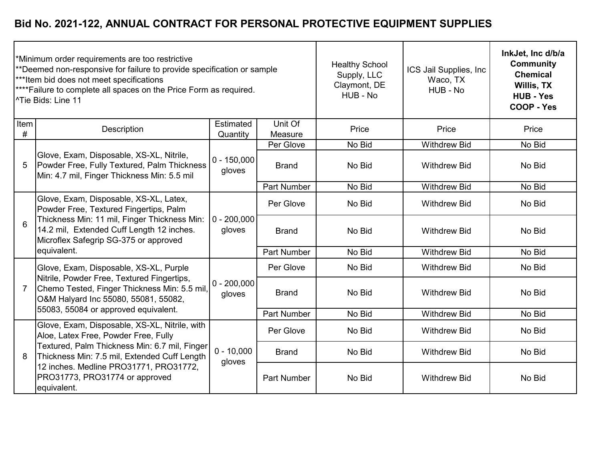| *Minimum order requirements are too restrictive<br>**Deemed non-responsive for failure to provide specification or sample<br>*** Item bid does not meet specifications<br>**** Failure to complete all spaces on the Price Form as required.<br><sup>^</sup> Tie Bids: Line 11 |                                                                                                                                                                                                                        |                           |                    | <b>Healthy School</b><br>Supply, LLC<br>Claymont, DE<br>HUB - No | ICS Jail Supplies, Inc<br>Waco, TX<br>HUB - No | InkJet, Inc d/b/a<br><b>Community</b><br><b>Chemical</b><br><b>Willis, TX</b><br><b>HUB - Yes</b><br>COOP - Yes |
|--------------------------------------------------------------------------------------------------------------------------------------------------------------------------------------------------------------------------------------------------------------------------------|------------------------------------------------------------------------------------------------------------------------------------------------------------------------------------------------------------------------|---------------------------|--------------------|------------------------------------------------------------------|------------------------------------------------|-----------------------------------------------------------------------------------------------------------------|
| Item<br>#                                                                                                                                                                                                                                                                      | Description                                                                                                                                                                                                            | Estimated<br>Quantity     | Unit Of<br>Measure | Price                                                            | Price                                          | Price                                                                                                           |
|                                                                                                                                                                                                                                                                                | Glove, Exam, Disposable, XS-XL, Nitrile,<br>Powder Free, Fully Textured, Palm Thickness<br>Min: 4.7 mil, Finger Thickness Min: 5.5 mil                                                                                 |                           | Per Glove          | No Bid                                                           | <b>Withdrew Bid</b>                            | No Bid                                                                                                          |
| 5                                                                                                                                                                                                                                                                              |                                                                                                                                                                                                                        | $0 - 150,000$<br>gloves   | <b>Brand</b>       | No Bid                                                           | <b>Withdrew Bid</b>                            | No Bid                                                                                                          |
|                                                                                                                                                                                                                                                                                |                                                                                                                                                                                                                        |                           | <b>Part Number</b> | No Bid                                                           | <b>Withdrew Bid</b>                            | No Bid                                                                                                          |
| 6                                                                                                                                                                                                                                                                              | Glove, Exam, Disposable, XS-XL, Latex,<br>Powder Free, Textured Fingertips, Palm<br>Thickness Min: 11 mil, Finger Thickness Min:<br>14.2 mil, Extended Cuff Length 12 inches.<br>Microflex Safegrip SG-375 or approved | $ 0 - 200,000 $<br>gloves | Per Glove          | No Bid                                                           | <b>Withdrew Bid</b>                            | No Bid                                                                                                          |
|                                                                                                                                                                                                                                                                                |                                                                                                                                                                                                                        |                           | <b>Brand</b>       | No Bid                                                           | <b>Withdrew Bid</b>                            | No Bid                                                                                                          |
|                                                                                                                                                                                                                                                                                | equivalent.                                                                                                                                                                                                            |                           | <b>Part Number</b> | No Bid                                                           | <b>Withdrew Bid</b>                            | No Bid                                                                                                          |
|                                                                                                                                                                                                                                                                                | Glove, Exam, Disposable, XS-XL, Purple                                                                                                                                                                                 |                           | Per Glove          | No Bid                                                           | <b>Withdrew Bid</b>                            | No Bid                                                                                                          |
| 7                                                                                                                                                                                                                                                                              | Nitrile, Powder Free, Textured Fingertips,<br>Chemo Tested, Finger Thickness Min: 5.5 mil,<br>O&M Halyard Inc 55080, 55081, 55082,                                                                                     | $0 - 200,000$<br>gloves   | <b>Brand</b>       | No Bid                                                           | <b>Withdrew Bid</b>                            | No Bid                                                                                                          |
|                                                                                                                                                                                                                                                                                | 55083, 55084 or approved equivalent.                                                                                                                                                                                   |                           | <b>Part Number</b> | No Bid                                                           | <b>Withdrew Bid</b>                            | No Bid                                                                                                          |
|                                                                                                                                                                                                                                                                                | Glove, Exam, Disposable, XS-XL, Nitrile, with<br>Aloe, Latex Free, Powder Free, Fully                                                                                                                                  |                           | Per Glove          | No Bid                                                           | <b>Withdrew Bid</b>                            | No Bid                                                                                                          |
| 8                                                                                                                                                                                                                                                                              | Textured, Palm Thickness Min: 6.7 mil, Finger<br>Thickness Min: 7.5 mil, Extended Cuff Length                                                                                                                          | $0 - 10,000$<br>gloves    | <b>Brand</b>       | No Bid                                                           | <b>Withdrew Bid</b>                            | No Bid                                                                                                          |
|                                                                                                                                                                                                                                                                                | 12 inches. Medline PRO31771, PRO31772,<br>PRO31773, PRO31774 or approved<br>equivalent.                                                                                                                                |                           | <b>Part Number</b> | No Bid                                                           | <b>Withdrew Bid</b>                            | No Bid                                                                                                          |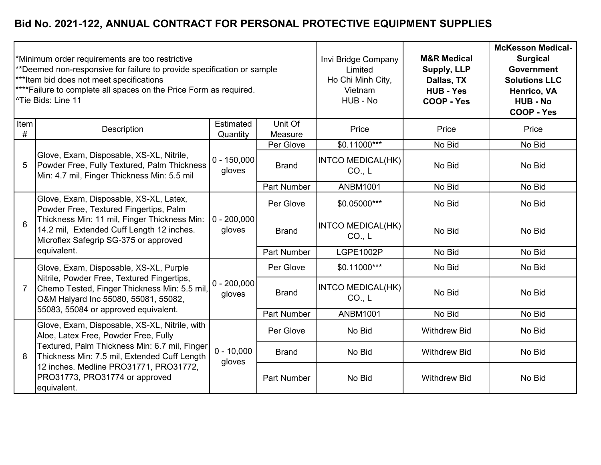| *Minimum order requirements are too restrictive<br>**Deemed non-responsive for failure to provide specification or sample<br>***Item bid does not meet specifications<br>**** Failure to complete all spaces on the Price Form as required.<br><sup>^</sup> Tie Bids: Line 11 |                                                                                                                                                                                                                        |                         |                    | Invi Bridge Company<br>Limited<br>Ho Chi Minh City,<br>Vietnam<br>HUB - No | <b>M&amp;R Medical</b><br>Supply, LLP<br>Dallas, TX<br><b>HUB - Yes</b><br><b>COOP - Yes</b> | <b>McKesson Medical-</b><br><b>Surgical</b><br><b>Government</b><br><b>Solutions LLC</b><br>Henrico, VA<br><b>HUB - No</b><br><b>COOP - Yes</b> |
|-------------------------------------------------------------------------------------------------------------------------------------------------------------------------------------------------------------------------------------------------------------------------------|------------------------------------------------------------------------------------------------------------------------------------------------------------------------------------------------------------------------|-------------------------|--------------------|----------------------------------------------------------------------------|----------------------------------------------------------------------------------------------|-------------------------------------------------------------------------------------------------------------------------------------------------|
| Item<br>#                                                                                                                                                                                                                                                                     | Description                                                                                                                                                                                                            | Estimated<br>Quantity   | Unit Of<br>Measure | Price                                                                      | Price                                                                                        | Price                                                                                                                                           |
|                                                                                                                                                                                                                                                                               |                                                                                                                                                                                                                        |                         | Per Glove          | $$0.11000***$                                                              | No Bid                                                                                       | No Bid                                                                                                                                          |
| 5                                                                                                                                                                                                                                                                             | Glove, Exam, Disposable, XS-XL, Nitrile,<br>Powder Free, Fully Textured, Palm Thickness<br>Min: 4.7 mil, Finger Thickness Min: 5.5 mil                                                                                 | $0 - 150,000$<br>gloves | <b>Brand</b>       | <b>INTCO MEDICAL(HK)</b><br>CO <sub>1</sub> L                              | No Bid                                                                                       | No Bid                                                                                                                                          |
|                                                                                                                                                                                                                                                                               |                                                                                                                                                                                                                        |                         | <b>Part Number</b> | <b>ANBM1001</b>                                                            | No Bid                                                                                       | No Bid                                                                                                                                          |
| 6                                                                                                                                                                                                                                                                             | Glove, Exam, Disposable, XS-XL, Latex,<br>Powder Free, Textured Fingertips, Palm<br>Thickness Min: 11 mil, Finger Thickness Min:<br>14.2 mil, Extended Cuff Length 12 inches.<br>Microflex Safegrip SG-375 or approved | $0 - 200,000$<br>gloves | Per Glove          | \$0.05000***                                                               | No Bid                                                                                       | No Bid                                                                                                                                          |
|                                                                                                                                                                                                                                                                               |                                                                                                                                                                                                                        |                         | <b>Brand</b>       | <b>INTCO MEDICAL(HK)</b><br>CO <sub>1</sub> L                              | No Bid                                                                                       | No Bid                                                                                                                                          |
|                                                                                                                                                                                                                                                                               | equivalent.                                                                                                                                                                                                            |                         | <b>Part Number</b> | <b>LGPE1002P</b>                                                           | No Bid                                                                                       | No Bid                                                                                                                                          |
|                                                                                                                                                                                                                                                                               | Glove, Exam, Disposable, XS-XL, Purple                                                                                                                                                                                 |                         | Per Glove          | \$0.11000***                                                               | No Bid                                                                                       | No Bid                                                                                                                                          |
| 7                                                                                                                                                                                                                                                                             | Nitrile, Powder Free, Textured Fingertips,<br>Chemo Tested, Finger Thickness Min: 5.5 mil,<br>O&M Halyard Inc 55080, 55081, 55082,                                                                                     | $0 - 200,000$<br>gloves | <b>Brand</b>       | <b>INTCO MEDICAL(HK)</b><br>CO <sub>1</sub> L                              | No Bid                                                                                       | No Bid                                                                                                                                          |
|                                                                                                                                                                                                                                                                               | 55083, 55084 or approved equivalent.                                                                                                                                                                                   |                         | <b>Part Number</b> | <b>ANBM1001</b>                                                            | No Bid                                                                                       | No Bid                                                                                                                                          |
|                                                                                                                                                                                                                                                                               | Glove, Exam, Disposable, XS-XL, Nitrile, with<br>Aloe, Latex Free, Powder Free, Fully                                                                                                                                  |                         | Per Glove          | No Bid                                                                     | <b>Withdrew Bid</b>                                                                          | No Bid                                                                                                                                          |
| 8                                                                                                                                                                                                                                                                             | Textured, Palm Thickness Min: 6.7 mil, Finger<br>Thickness Min: 7.5 mil, Extended Cuff Length<br>12 inches. Medline PRO31771, PRO31772,<br>PRO31773, PRO31774 or approved<br>equivalent.                               | $0 - 10,000$<br>gloves  | <b>Brand</b>       | No Bid                                                                     | <b>Withdrew Bid</b>                                                                          | No Bid                                                                                                                                          |
|                                                                                                                                                                                                                                                                               |                                                                                                                                                                                                                        |                         | <b>Part Number</b> | No Bid                                                                     | <b>Withdrew Bid</b>                                                                          | No Bid                                                                                                                                          |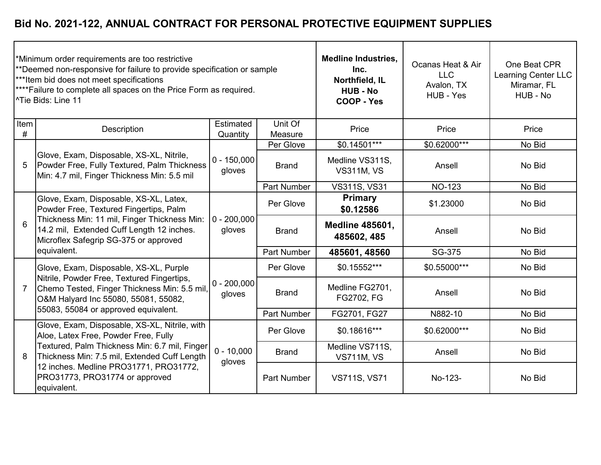| *Minimum order requirements are too restrictive<br>**Deemed non-responsive for failure to provide specification or sample<br>***Item bid does not meet specifications<br>**** Failure to complete all spaces on the Price Form as required.<br><sup>^</sup> Tie Bids: Line 11 |                                                                                                                                                                                                                        |                         |                    | <b>Medline Industries,</b><br>Inc.<br>Northfield, IL<br><b>HUB - No</b><br><b>COOP - Yes</b> | Ocanas Heat & Air<br><b>LLC</b><br>Avalon, TX<br>HUB - Yes | One Beat CPR<br>Learning Center LLC<br>Miramar, FL<br>HUB - No |
|-------------------------------------------------------------------------------------------------------------------------------------------------------------------------------------------------------------------------------------------------------------------------------|------------------------------------------------------------------------------------------------------------------------------------------------------------------------------------------------------------------------|-------------------------|--------------------|----------------------------------------------------------------------------------------------|------------------------------------------------------------|----------------------------------------------------------------|
| Item<br>#                                                                                                                                                                                                                                                                     | Description                                                                                                                                                                                                            | Estimated<br>Quantity   | Unit Of<br>Measure | Price                                                                                        | Price                                                      | Price                                                          |
|                                                                                                                                                                                                                                                                               |                                                                                                                                                                                                                        |                         | Per Glove          | $$0.14\overline{501***}$                                                                     | \$0.62000***                                               | No Bid                                                         |
| 5                                                                                                                                                                                                                                                                             | Glove, Exam, Disposable, XS-XL, Nitrile,<br>Powder Free, Fully Textured, Palm Thickness<br>Min: 4.7 mil, Finger Thickness Min: 5.5 mil                                                                                 | $0 - 150,000$<br>gloves | <b>Brand</b>       | Medline VS311S,<br><b>VS311M, VS</b>                                                         | Ansell                                                     | No Bid                                                         |
|                                                                                                                                                                                                                                                                               |                                                                                                                                                                                                                        |                         | <b>Part Number</b> | <b>VS311S, VS31</b>                                                                          | <b>NO-123</b>                                              | No Bid                                                         |
| 6                                                                                                                                                                                                                                                                             | Glove, Exam, Disposable, XS-XL, Latex,<br>Powder Free, Textured Fingertips, Palm<br>Thickness Min: 11 mil, Finger Thickness Min:<br>14.2 mil, Extended Cuff Length 12 inches.<br>Microflex Safegrip SG-375 or approved | $0 - 200,000$<br>gloves | Per Glove          | Primary<br>\$0.12586                                                                         | \$1.23000                                                  | No Bid                                                         |
|                                                                                                                                                                                                                                                                               |                                                                                                                                                                                                                        |                         | <b>Brand</b>       | <b>Medline 485601,</b><br>485602, 485                                                        | Ansell                                                     | No Bid                                                         |
|                                                                                                                                                                                                                                                                               | equivalent.                                                                                                                                                                                                            |                         | <b>Part Number</b> | 485601, 48560                                                                                | SG-375                                                     | No Bid                                                         |
|                                                                                                                                                                                                                                                                               | Glove, Exam, Disposable, XS-XL, Purple                                                                                                                                                                                 |                         | Per Glove          | \$0.15552***                                                                                 | \$0.55000***                                               | No Bid                                                         |
| $\overline{7}$                                                                                                                                                                                                                                                                | Nitrile, Powder Free, Textured Fingertips,<br>Chemo Tested, Finger Thickness Min: 5.5 mil,<br>O&M Halyard Inc 55080, 55081, 55082,                                                                                     | $0 - 200,000$<br>gloves | <b>Brand</b>       | Medline FG2701,<br>FG2702, FG                                                                | Ansell                                                     | No Bid                                                         |
|                                                                                                                                                                                                                                                                               | 55083, 55084 or approved equivalent.                                                                                                                                                                                   |                         | <b>Part Number</b> | FG2701, FG27                                                                                 | N882-10                                                    | No Bid                                                         |
|                                                                                                                                                                                                                                                                               | Glove, Exam, Disposable, XS-XL, Nitrile, with<br>Aloe, Latex Free, Powder Free, Fully                                                                                                                                  |                         | Per Glove          | \$0.18616***                                                                                 | \$0.62000***                                               | No Bid                                                         |
| 8                                                                                                                                                                                                                                                                             | Textured, Palm Thickness Min: 6.7 mil, Finger<br>Thickness Min: 7.5 mil, Extended Cuff Length<br>12 inches. Medline PRO31771, PRO31772,<br>PRO31773, PRO31774 or approved<br>equivalent.                               | $0 - 10,000$<br>gloves  | <b>Brand</b>       | Medline VS711S,<br><b>VS711M, VS</b>                                                         | Ansell                                                     | No Bid                                                         |
|                                                                                                                                                                                                                                                                               |                                                                                                                                                                                                                        |                         | <b>Part Number</b> | <b>VS711S, VS71</b>                                                                          | No-123-                                                    | No Bid                                                         |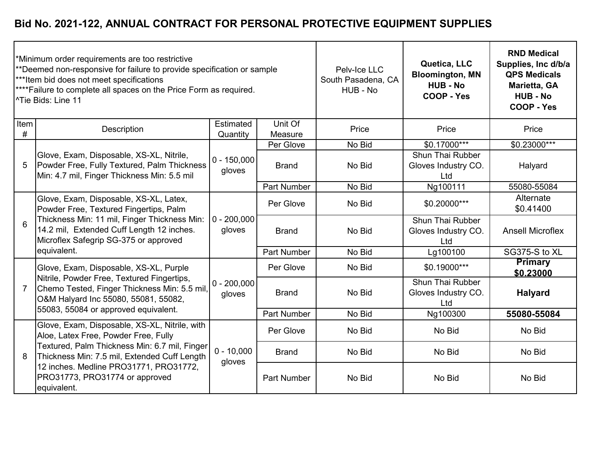| *Minimum order requirements are too restrictive<br>**Deemed non-responsive for failure to provide specification or sample<br>***Item bid does not meet specifications<br>**** Failure to complete all spaces on the Price Form as required.<br><sup>^</sup> Tie Bids: Line 11 |                                                                                                                                                                                                                        |                         |                    | Pelv-Ice LLC<br>South Pasadena, CA<br>HUB - No | Quetica, LLC<br><b>Bloomington, MN</b><br><b>HUB - No</b><br>COOP - Yes | <b>RND Medical</b><br>Supplies, Inc d/b/a<br><b>QPS Medicals</b><br>Marietta, GA<br><b>HUB - No</b><br>COOP - Yes |
|-------------------------------------------------------------------------------------------------------------------------------------------------------------------------------------------------------------------------------------------------------------------------------|------------------------------------------------------------------------------------------------------------------------------------------------------------------------------------------------------------------------|-------------------------|--------------------|------------------------------------------------|-------------------------------------------------------------------------|-------------------------------------------------------------------------------------------------------------------|
| Item<br>#                                                                                                                                                                                                                                                                     | Description                                                                                                                                                                                                            | Estimated<br>Quantity   | Unit Of<br>Measure | Price                                          | Price                                                                   | Price                                                                                                             |
|                                                                                                                                                                                                                                                                               |                                                                                                                                                                                                                        |                         | Per Glove          | No Bid                                         | \$0.17000***                                                            | \$0.23000***                                                                                                      |
| 5                                                                                                                                                                                                                                                                             | Glove, Exam, Disposable, XS-XL, Nitrile,<br>Powder Free, Fully Textured, Palm Thickness<br>Min: 4.7 mil, Finger Thickness Min: 5.5 mil                                                                                 | $0 - 150,000$<br>gloves | <b>Brand</b>       | No Bid                                         | Shun Thai Rubber<br>Gloves Industry CO.<br>Ltd                          | Halyard                                                                                                           |
|                                                                                                                                                                                                                                                                               |                                                                                                                                                                                                                        |                         | <b>Part Number</b> | No Bid                                         | Ng100111                                                                | 55080-55084                                                                                                       |
| 6                                                                                                                                                                                                                                                                             | Glove, Exam, Disposable, XS-XL, Latex,<br>Powder Free, Textured Fingertips, Palm<br>Thickness Min: 11 mil, Finger Thickness Min:<br>14.2 mil, Extended Cuff Length 12 inches.<br>Microflex Safegrip SG-375 or approved | $0 - 200,000$<br>gloves | Per Glove          | No Bid                                         | \$0.20000***                                                            | Alternate<br>\$0.41400                                                                                            |
|                                                                                                                                                                                                                                                                               |                                                                                                                                                                                                                        |                         | <b>Brand</b>       | No Bid                                         | Shun Thai Rubber<br>Gloves Industry CO.<br>Ltd                          | <b>Ansell Microflex</b>                                                                                           |
|                                                                                                                                                                                                                                                                               | equivalent.                                                                                                                                                                                                            |                         | <b>Part Number</b> | No Bid                                         | Lg100100                                                                | SG375-S to XL                                                                                                     |
|                                                                                                                                                                                                                                                                               | Glove, Exam, Disposable, XS-XL, Purple                                                                                                                                                                                 |                         | Per Glove          | No Bid                                         | \$0.19000***                                                            | <b>Primary</b><br>\$0,23000                                                                                       |
| $\overline{7}$                                                                                                                                                                                                                                                                | Nitrile, Powder Free, Textured Fingertips,<br>Chemo Tested, Finger Thickness Min: 5.5 mil,<br>O&M Halyard Inc 55080, 55081, 55082,                                                                                     | $0 - 200,000$<br>gloves | <b>Brand</b>       | No Bid                                         | Shun Thai Rubber<br>Gloves Industry CO.<br>Ltd                          | <b>Halyard</b>                                                                                                    |
|                                                                                                                                                                                                                                                                               | 55083, 55084 or approved equivalent.                                                                                                                                                                                   |                         | <b>Part Number</b> | No Bid                                         | Ng100300                                                                | 55080-55084                                                                                                       |
|                                                                                                                                                                                                                                                                               | Glove, Exam, Disposable, XS-XL, Nitrile, with<br>Aloe, Latex Free, Powder Free, Fully                                                                                                                                  |                         | Per Glove          | No Bid                                         | No Bid                                                                  | No Bid                                                                                                            |
| 8                                                                                                                                                                                                                                                                             | Textured, Palm Thickness Min: 6.7 mil, Finger<br>Thickness Min: 7.5 mil, Extended Cuff Length                                                                                                                          | $0 - 10,000$<br>gloves  | <b>Brand</b>       | No Bid                                         | No Bid                                                                  | No Bid                                                                                                            |
|                                                                                                                                                                                                                                                                               | 12 inches. Medline PRO31771, PRO31772,<br>PRO31773, PRO31774 or approved<br>equivalent.                                                                                                                                |                         | <b>Part Number</b> | No Bid                                         | No Bid                                                                  | No Bid                                                                                                            |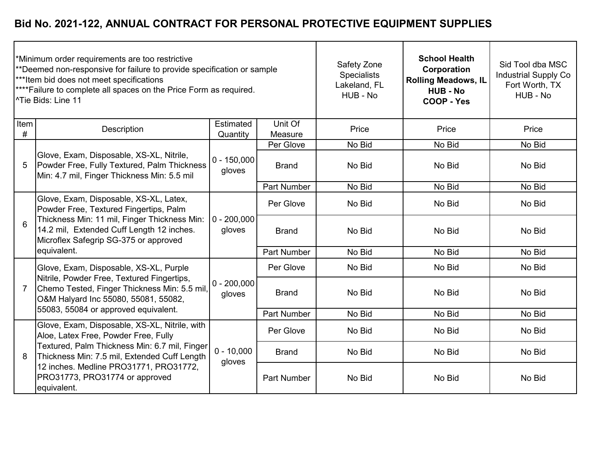| *Minimum order requirements are too restrictive<br>**Deemed non-responsive for failure to provide specification or sample<br>*** Item bid does not meet specifications<br>**** Failure to complete all spaces on the Price Form as required.<br><sup>^</sup> Tie Bids: Line 11 |                                                                                                                                                                                                                        |                         |                    | Safety Zone<br><b>Specialists</b><br>Lakeland, FL<br>HUB - No | <b>School Health</b><br>Corporation<br><b>Rolling Meadows, IL</b><br><b>HUB - No</b><br>COOP - Yes | Sid Tool dba MSC<br><b>Industrial Supply Co</b><br>Fort Worth, TX<br>HUB - No |
|--------------------------------------------------------------------------------------------------------------------------------------------------------------------------------------------------------------------------------------------------------------------------------|------------------------------------------------------------------------------------------------------------------------------------------------------------------------------------------------------------------------|-------------------------|--------------------|---------------------------------------------------------------|----------------------------------------------------------------------------------------------------|-------------------------------------------------------------------------------|
| Item<br>#                                                                                                                                                                                                                                                                      | Description                                                                                                                                                                                                            | Estimated<br>Quantity   | Unit Of<br>Measure | Price                                                         | Price                                                                                              | Price                                                                         |
|                                                                                                                                                                                                                                                                                |                                                                                                                                                                                                                        |                         | Per Glove          | No Bid                                                        | No Bid                                                                                             | No Bid                                                                        |
| 5                                                                                                                                                                                                                                                                              | Glove, Exam, Disposable, XS-XL, Nitrile,<br>Powder Free, Fully Textured, Palm Thickness<br>Min: 4.7 mil, Finger Thickness Min: 5.5 mil                                                                                 | $0 - 150,000$<br>gloves | <b>Brand</b>       | No Bid                                                        | No Bid                                                                                             | No Bid                                                                        |
|                                                                                                                                                                                                                                                                                |                                                                                                                                                                                                                        |                         | <b>Part Number</b> | No Bid                                                        | No Bid                                                                                             | No Bid                                                                        |
| 6                                                                                                                                                                                                                                                                              | Glove, Exam, Disposable, XS-XL, Latex,<br>Powder Free, Textured Fingertips, Palm<br>Thickness Min: 11 mil, Finger Thickness Min:<br>14.2 mil, Extended Cuff Length 12 inches.<br>Microflex Safegrip SG-375 or approved | $0 - 200,000$<br>gloves | Per Glove          | No Bid                                                        | No Bid                                                                                             | No Bid                                                                        |
|                                                                                                                                                                                                                                                                                |                                                                                                                                                                                                                        |                         | <b>Brand</b>       | No Bid                                                        | No Bid                                                                                             | No Bid                                                                        |
|                                                                                                                                                                                                                                                                                | equivalent.                                                                                                                                                                                                            |                         | <b>Part Number</b> | No Bid                                                        | No Bid                                                                                             | No Bid                                                                        |
|                                                                                                                                                                                                                                                                                | Glove, Exam, Disposable, XS-XL, Purple                                                                                                                                                                                 |                         | Per Glove          | No Bid                                                        | No Bid                                                                                             | No Bid                                                                        |
| 7                                                                                                                                                                                                                                                                              | Nitrile, Powder Free, Textured Fingertips,<br>Chemo Tested, Finger Thickness Min: 5.5 mil,<br>O&M Halyard Inc 55080, 55081, 55082,                                                                                     | $0 - 200,000$<br>gloves | <b>Brand</b>       | No Bid                                                        | No Bid                                                                                             | No Bid                                                                        |
|                                                                                                                                                                                                                                                                                | 55083, 55084 or approved equivalent.                                                                                                                                                                                   |                         | <b>Part Number</b> | No Bid                                                        | No Bid                                                                                             | No Bid                                                                        |
|                                                                                                                                                                                                                                                                                | Glove, Exam, Disposable, XS-XL, Nitrile, with<br>Aloe, Latex Free, Powder Free, Fully                                                                                                                                  |                         | Per Glove          | No Bid                                                        | No Bid                                                                                             | No Bid                                                                        |
| 8                                                                                                                                                                                                                                                                              | Textured, Palm Thickness Min: 6.7 mil, Finger<br>Thickness Min: 7.5 mil, Extended Cuff Length<br>12 inches. Medline PRO31771, PRO31772,<br>PRO31773, PRO31774 or approved<br>equivalent.                               | $0 - 10,000$<br>gloves  | <b>Brand</b>       | No Bid                                                        | No Bid                                                                                             | No Bid                                                                        |
|                                                                                                                                                                                                                                                                                |                                                                                                                                                                                                                        |                         | <b>Part Number</b> | No Bid                                                        | No Bid                                                                                             | No Bid                                                                        |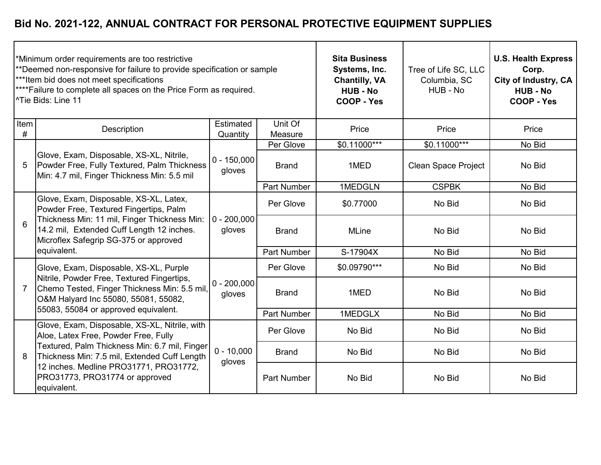| *Minimum order requirements are too restrictive<br>**Deemed non-responsive for failure to provide specification or sample<br>*** Item bid does not meet specifications<br>**** Failure to complete all spaces on the Price Form as required.<br><sup>^</sup> Tie Bids: Line 11 |                                                                                                                                                                                                                        |                           |                    | <b>Sita Business</b><br>Systems, Inc.<br><b>Chantilly, VA</b><br><b>HUB - No</b><br>COOP - Yes | Tree of Life SC, LLC<br>Columbia, SC<br>HUB - No | <b>U.S. Health Express</b><br>Corp.<br>City of Industry, CA<br><b>HUB - No</b><br>COOP - Yes |
|--------------------------------------------------------------------------------------------------------------------------------------------------------------------------------------------------------------------------------------------------------------------------------|------------------------------------------------------------------------------------------------------------------------------------------------------------------------------------------------------------------------|---------------------------|--------------------|------------------------------------------------------------------------------------------------|--------------------------------------------------|----------------------------------------------------------------------------------------------|
| Item<br>#                                                                                                                                                                                                                                                                      | Description                                                                                                                                                                                                            | Estimated<br>Quantity     | Unit Of<br>Measure | Price                                                                                          | Price                                            | Price                                                                                        |
|                                                                                                                                                                                                                                                                                |                                                                                                                                                                                                                        |                           | Per Glove          | $$0.11000***$                                                                                  | \$0.11000***                                     | No Bid                                                                                       |
| 5                                                                                                                                                                                                                                                                              | Glove, Exam, Disposable, XS-XL, Nitrile,<br>Powder Free, Fully Textured, Palm Thickness<br>Min: 4.7 mil, Finger Thickness Min: 5.5 mil                                                                                 | $0 - 150,000$<br>gloves   | <b>Brand</b>       | 1MED                                                                                           | <b>Clean Space Project</b>                       | No Bid                                                                                       |
|                                                                                                                                                                                                                                                                                |                                                                                                                                                                                                                        |                           | <b>Part Number</b> | 1MEDGLN                                                                                        | <b>CSPBK</b>                                     | No Bid                                                                                       |
| 6                                                                                                                                                                                                                                                                              | Glove, Exam, Disposable, XS-XL, Latex,<br>Powder Free, Textured Fingertips, Palm<br>Thickness Min: 11 mil, Finger Thickness Min:<br>14.2 mil, Extended Cuff Length 12 inches.<br>Microflex Safegrip SG-375 or approved | $ 0 - 200,000 $<br>gloves | Per Glove          | \$0.77000                                                                                      | No Bid                                           | No Bid                                                                                       |
|                                                                                                                                                                                                                                                                                |                                                                                                                                                                                                                        |                           | <b>Brand</b>       | <b>MLine</b>                                                                                   | No Bid                                           | No Bid                                                                                       |
|                                                                                                                                                                                                                                                                                | equivalent.                                                                                                                                                                                                            |                           | <b>Part Number</b> | S-17904X                                                                                       | No Bid                                           | No Bid                                                                                       |
|                                                                                                                                                                                                                                                                                | Glove, Exam, Disposable, XS-XL, Purple                                                                                                                                                                                 |                           | Per Glove          | \$0.09790***                                                                                   | No Bid                                           | No Bid                                                                                       |
| 7                                                                                                                                                                                                                                                                              | Nitrile, Powder Free, Textured Fingertips,<br>Chemo Tested, Finger Thickness Min: 5.5 mil,<br>O&M Halyard Inc 55080, 55081, 55082,                                                                                     | $0 - 200,000$<br>gloves   | <b>Brand</b>       | 1MED                                                                                           | No Bid                                           | No Bid                                                                                       |
|                                                                                                                                                                                                                                                                                | 55083, 55084 or approved equivalent.                                                                                                                                                                                   |                           | <b>Part Number</b> | 1MEDGLX                                                                                        | No Bid                                           | No Bid                                                                                       |
|                                                                                                                                                                                                                                                                                | Glove, Exam, Disposable, XS-XL, Nitrile, with<br>Aloe, Latex Free, Powder Free, Fully                                                                                                                                  |                           | Per Glove          | No Bid                                                                                         | No Bid                                           | No Bid                                                                                       |
| 8                                                                                                                                                                                                                                                                              | Textured, Palm Thickness Min: 6.7 mil, Finger<br>Thickness Min: 7.5 mil, Extended Cuff Length<br>12 inches. Medline PRO31771, PRO31772,<br>PRO31773, PRO31774 or approved<br>equivalent.                               | $0 - 10,000$<br>gloves    | <b>Brand</b>       | No Bid                                                                                         | No Bid                                           | No Bid                                                                                       |
|                                                                                                                                                                                                                                                                                |                                                                                                                                                                                                                        |                           | <b>Part Number</b> | No Bid                                                                                         | No Bid                                           | No Bid                                                                                       |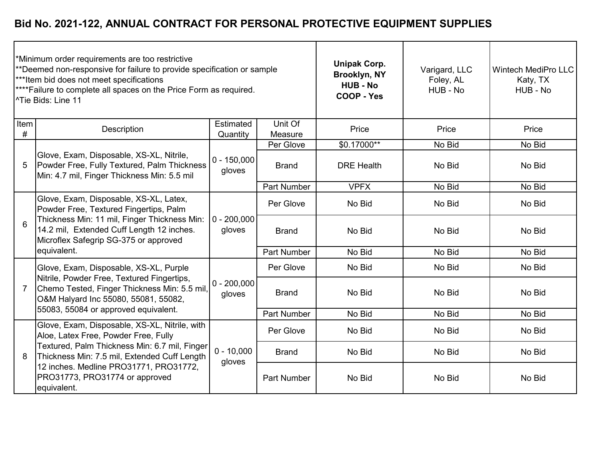| *Minimum order requirements are too restrictive<br>**Deemed non-responsive for failure to provide specification or sample<br>*** Item bid does not meet specifications<br>**** Failure to complete all spaces on the Price Form as required.<br>^Tie Bids: Line 11 |                                                                                                                                                                                                                        |                         |                    | <b>Unipak Corp.</b><br>Brooklyn, NY<br><b>HUB - No</b><br>COOP - Yes | Varigard, LLC<br>Foley, AL<br>HUB - No | <b>Wintech MediPro LLC</b><br>Katy, TX<br>HUB - No |
|--------------------------------------------------------------------------------------------------------------------------------------------------------------------------------------------------------------------------------------------------------------------|------------------------------------------------------------------------------------------------------------------------------------------------------------------------------------------------------------------------|-------------------------|--------------------|----------------------------------------------------------------------|----------------------------------------|----------------------------------------------------|
| Item<br>#                                                                                                                                                                                                                                                          | Description                                                                                                                                                                                                            | Estimated<br>Quantity   | Unit Of<br>Measure | Price                                                                | Price                                  | Price                                              |
|                                                                                                                                                                                                                                                                    |                                                                                                                                                                                                                        |                         | Per Glove          | \$0.17000**                                                          | No Bid                                 | No Bid                                             |
| 5                                                                                                                                                                                                                                                                  | Glove, Exam, Disposable, XS-XL, Nitrile,<br>Powder Free, Fully Textured, Palm Thickness<br>Min: 4.7 mil, Finger Thickness Min: 5.5 mil                                                                                 | $0 - 150,000$<br>gloves | <b>Brand</b>       | <b>DRE Health</b>                                                    | No Bid                                 | No Bid                                             |
|                                                                                                                                                                                                                                                                    |                                                                                                                                                                                                                        |                         | <b>Part Number</b> | <b>VPFX</b>                                                          | No Bid                                 | No Bid                                             |
|                                                                                                                                                                                                                                                                    | Glove, Exam, Disposable, XS-XL, Latex,<br>Powder Free, Textured Fingertips, Palm<br>Thickness Min: 11 mil, Finger Thickness Min:<br>14.2 mil, Extended Cuff Length 12 inches.<br>Microflex Safegrip SG-375 or approved | $0 - 200,000$<br>gloves | Per Glove          | No Bid                                                               | No Bid                                 | No Bid                                             |
| 6                                                                                                                                                                                                                                                                  |                                                                                                                                                                                                                        |                         | <b>Brand</b>       | No Bid                                                               | No Bid                                 | No Bid                                             |
|                                                                                                                                                                                                                                                                    | equivalent.                                                                                                                                                                                                            |                         | <b>Part Number</b> | No Bid                                                               | No Bid                                 | No Bid                                             |
|                                                                                                                                                                                                                                                                    | Glove, Exam, Disposable, XS-XL, Purple                                                                                                                                                                                 |                         | Per Glove          | No Bid                                                               | No Bid                                 | No Bid                                             |
| $\overline{7}$                                                                                                                                                                                                                                                     | Nitrile, Powder Free, Textured Fingertips,<br>Chemo Tested, Finger Thickness Min: 5.5 mil,<br>O&M Halyard Inc 55080, 55081, 55082,                                                                                     | $0 - 200,000$<br>gloves | <b>Brand</b>       | No Bid                                                               | No Bid                                 | No Bid                                             |
|                                                                                                                                                                                                                                                                    | 55083, 55084 or approved equivalent.                                                                                                                                                                                   |                         | <b>Part Number</b> | No Bid                                                               | No Bid                                 | No Bid                                             |
|                                                                                                                                                                                                                                                                    | Glove, Exam, Disposable, XS-XL, Nitrile, with<br>Aloe, Latex Free, Powder Free, Fully                                                                                                                                  |                         | Per Glove          | No Bid                                                               | No Bid                                 | No Bid                                             |
| 8                                                                                                                                                                                                                                                                  | Textured, Palm Thickness Min: 6.7 mil, Finger<br>Thickness Min: 7.5 mil, Extended Cuff Length<br>12 inches. Medline PRO31771, PRO31772,<br>PRO31773, PRO31774 or approved<br>equivalent.                               | $0 - 10,000$<br>gloves  | <b>Brand</b>       | No Bid                                                               | No Bid                                 | No Bid                                             |
|                                                                                                                                                                                                                                                                    |                                                                                                                                                                                                                        |                         | <b>Part Number</b> | No Bid                                                               | No Bid                                 | No Bid                                             |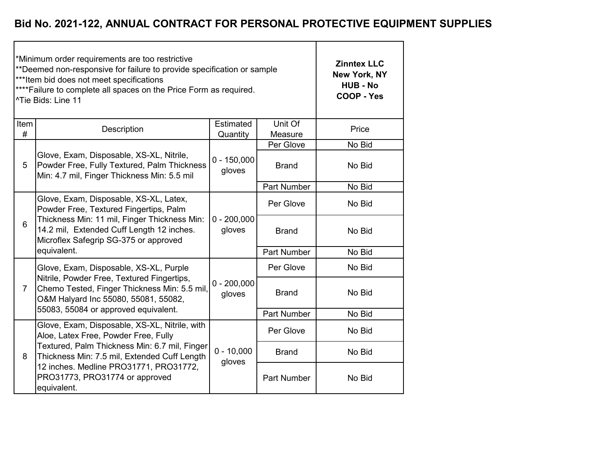|                | *Minimum order requirements are too restrictive<br>**Deemed non-responsive for failure to provide specification or sample<br>*** Item bid does not meet specifications<br>**** Failure to complete all spaces on the Price Form as required.<br><sup>^Tie</sup> Bids: Line 11 | <b>Zinntex LLC</b><br>New York, NY<br><b>HUB - No</b><br>COOP - Yes |                    |        |
|----------------|-------------------------------------------------------------------------------------------------------------------------------------------------------------------------------------------------------------------------------------------------------------------------------|---------------------------------------------------------------------|--------------------|--------|
| Item<br>#      | Description                                                                                                                                                                                                                                                                   | Estimated<br>Quantity                                               | Unit Of<br>Measure | Price  |
|                |                                                                                                                                                                                                                                                                               |                                                                     | Per Glove          | No Bid |
| 5              | Glove, Exam, Disposable, XS-XL, Nitrile,<br>Powder Free, Fully Textured, Palm Thickness<br>Min: 4.7 mil, Finger Thickness Min: 5.5 mil                                                                                                                                        | $0 - 150,000$<br>gloves                                             | <b>Brand</b>       | No Bid |
|                |                                                                                                                                                                                                                                                                               |                                                                     | <b>Part Number</b> | No Bid |
|                | Glove, Exam, Disposable, XS-XL, Latex,<br>Powder Free, Textured Fingertips, Palm                                                                                                                                                                                              |                                                                     | Per Glove          | No Bid |
| 6              | Thickness Min: 11 mil, Finger Thickness Min:<br>14.2 mil, Extended Cuff Length 12 inches.<br>Microflex Safegrip SG-375 or approved                                                                                                                                            | $0 - 200,000$<br>gloves                                             | <b>Brand</b>       | No Bid |
|                | equivalent.                                                                                                                                                                                                                                                                   |                                                                     | <b>Part Number</b> | No Bid |
|                | Glove, Exam, Disposable, XS-XL, Purple                                                                                                                                                                                                                                        |                                                                     | Per Glove          | No Bid |
| $\overline{7}$ | Nitrile, Powder Free, Textured Fingertips,<br>Chemo Tested, Finger Thickness Min: 5.5 mil,<br>O&M Halyard Inc 55080, 55081, 55082,                                                                                                                                            | $0 - 200,000$<br>gloves                                             | <b>Brand</b>       | No Bid |
|                | 55083, 55084 or approved equivalent.                                                                                                                                                                                                                                          |                                                                     | <b>Part Number</b> | No Bid |
|                | Glove, Exam, Disposable, XS-XL, Nitrile, with<br>Aloe, Latex Free, Powder Free, Fully                                                                                                                                                                                         |                                                                     | Per Glove          | No Bid |
| 8              | Textured, Palm Thickness Min: 6.7 mil, Finger<br>Thickness Min: 7.5 mil, Extended Cuff Length                                                                                                                                                                                 | $0 - 10,000$<br>gloves                                              | <b>Brand</b>       | No Bid |
|                | 12 inches. Medline PRO31771, PRO31772,<br>PRO31773, PRO31774 or approved<br>equivalent.                                                                                                                                                                                       |                                                                     | Part Number        | No Bid |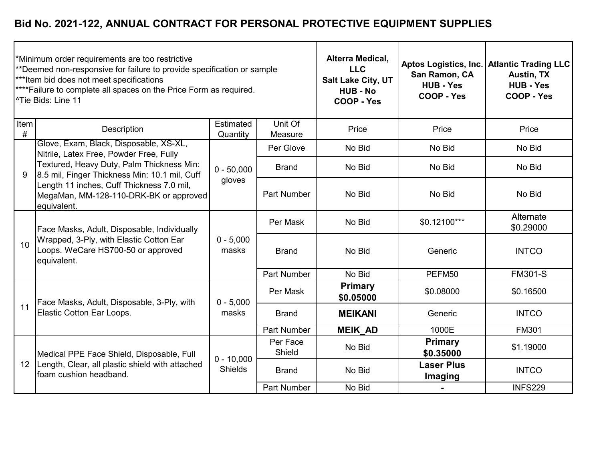| Minimum order requirements are too restrictive<br>**Deemed non-responsive for failure to provide specification or sample<br>***Item bid does not meet specifications<br><sup>****</sup> Failure to complete all spaces on the Price Form as required.<br>l^Tie Bids: Line 11 |                                                                                                                                             |                                |                    | Alterra Medical,<br><b>LLC</b><br>Salt Lake City, UT<br><b>HUB - No</b><br><b>COOP - Yes</b> | San Ramon, CA<br><b>HUB - Yes</b><br><b>COOP - Yes</b> | Aptos Logistics, Inc.   Atlantic Trading LLC<br>Austin, TX<br><b>HUB - Yes</b><br>COOP - Yes |
|------------------------------------------------------------------------------------------------------------------------------------------------------------------------------------------------------------------------------------------------------------------------------|---------------------------------------------------------------------------------------------------------------------------------------------|--------------------------------|--------------------|----------------------------------------------------------------------------------------------|--------------------------------------------------------|----------------------------------------------------------------------------------------------|
| Item<br>#                                                                                                                                                                                                                                                                    | Description                                                                                                                                 | Estimated<br>Quantity          | Unit Of<br>Measure | Price                                                                                        | Price                                                  | Price                                                                                        |
|                                                                                                                                                                                                                                                                              | Glove, Exam, Black, Disposable, XS-XL,<br>Nitrile, Latex Free, Powder Free, Fully                                                           |                                | Per Glove          | No Bid                                                                                       | No Bid                                                 | No Bid                                                                                       |
| 9                                                                                                                                                                                                                                                                            | Textured, Heavy Duty, Palm Thickness Min:<br>8.5 mil, Finger Thickness Min: 10.1 mil, Cuff                                                  | $0 - 50,000$                   | <b>Brand</b>       | No Bid                                                                                       | No Bid                                                 | No Bid                                                                                       |
|                                                                                                                                                                                                                                                                              | Length 11 inches, Cuff Thickness 7.0 mil,<br>MegaMan, MM-128-110-DRK-BK or approved<br>equivalent.                                          | gloves                         | <b>Part Number</b> | No Bid                                                                                       | No Bid                                                 | No Bid                                                                                       |
|                                                                                                                                                                                                                                                                              | Face Masks, Adult, Disposable, Individually<br>Wrapped, 3-Ply, with Elastic Cotton Ear<br>Loops. WeCare HS700-50 or approved<br>equivalent. | $0 - 5,000$<br>masks           | Per Mask           | No Bid                                                                                       | $$0.12100***$                                          | Alternate<br>\$0.29000                                                                       |
| 10                                                                                                                                                                                                                                                                           |                                                                                                                                             |                                | <b>Brand</b>       | No Bid                                                                                       | Generic                                                | <b>INTCO</b>                                                                                 |
|                                                                                                                                                                                                                                                                              |                                                                                                                                             |                                | <b>Part Number</b> | No Bid                                                                                       | PEFM50                                                 | <b>FM301-S</b>                                                                               |
|                                                                                                                                                                                                                                                                              | Face Masks, Adult, Disposable, 3-Ply, with                                                                                                  | $0 - 5,000$                    | Per Mask           | <b>Primary</b><br>\$0.05000                                                                  | \$0.08000                                              | \$0.16500                                                                                    |
| 11                                                                                                                                                                                                                                                                           | Elastic Cotton Ear Loops.                                                                                                                   | masks                          | <b>Brand</b>       | <b>MEIKANI</b>                                                                               | Generic                                                | <b>INTCO</b>                                                                                 |
|                                                                                                                                                                                                                                                                              |                                                                                                                                             |                                | <b>Part Number</b> | <b>MEIK AD</b>                                                                               | 1000E                                                  | <b>FM301</b>                                                                                 |
|                                                                                                                                                                                                                                                                              | Medical PPE Face Shield, Disposable, Full<br>Length, Clear, all plastic shield with attached<br>foam cushion headband.                      | $0 - 10,000$<br><b>Shields</b> | Per Face<br>Shield | No Bid                                                                                       | Primary<br>\$0.35000                                   | \$1.19000                                                                                    |
| 12                                                                                                                                                                                                                                                                           |                                                                                                                                             |                                | <b>Brand</b>       | No Bid                                                                                       | <b>Laser Plus</b><br>Imaging                           | <b>INTCO</b>                                                                                 |
|                                                                                                                                                                                                                                                                              |                                                                                                                                             |                                | <b>Part Number</b> | No Bid                                                                                       | $\blacksquare$                                         | <b>INFS229</b>                                                                               |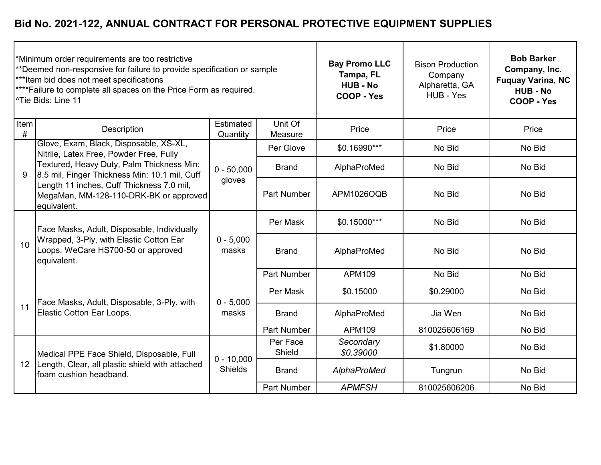| *Minimum order requirements are too restrictive<br>**Deemed non-responsive for failure to provide specification or sample<br>***Item bid does not meet specifications<br>**** Failure to complete all spaces on the Price Form as required.<br><sup>^Tie</sup> Bids: Line 11 |                                                                                                                                             |                                |                    | <b>Bay Promo LLC</b><br>Tampa, FL<br><b>HUB - No</b><br>COOP - Yes | <b>Bison Production</b><br>Company<br>Alpharetta, GA<br>HUB - Yes | <b>Bob Barker</b><br>Company, Inc.<br><b>Fuquay Varina, NC</b><br><b>HUB - No</b><br>COOP - Yes |
|------------------------------------------------------------------------------------------------------------------------------------------------------------------------------------------------------------------------------------------------------------------------------|---------------------------------------------------------------------------------------------------------------------------------------------|--------------------------------|--------------------|--------------------------------------------------------------------|-------------------------------------------------------------------|-------------------------------------------------------------------------------------------------|
| Item<br>#                                                                                                                                                                                                                                                                    | <b>Description</b>                                                                                                                          | Estimated<br>Quantity          | Unit Of<br>Measure | Price                                                              | Price                                                             | Price                                                                                           |
|                                                                                                                                                                                                                                                                              | Glove, Exam, Black, Disposable, XS-XL,<br>Nitrile, Latex Free, Powder Free, Fully                                                           |                                | Per Glove          | \$0.16990***                                                       | No Bid                                                            | No Bid                                                                                          |
| 9                                                                                                                                                                                                                                                                            | Textured, Heavy Duty, Palm Thickness Min:<br>8.5 mil, Finger Thickness Min: 10.1 mil, Cuff                                                  | $0 - 50,000$<br>gloves         | <b>Brand</b>       | AlphaProMed                                                        | No Bid                                                            | No Bid                                                                                          |
|                                                                                                                                                                                                                                                                              | Length 11 inches, Cuff Thickness 7.0 mil,<br>MegaMan, MM-128-110-DRK-BK or approved<br>equivalent.                                          |                                | <b>Part Number</b> | APM1026OQB                                                         | No Bid                                                            | No Bid                                                                                          |
|                                                                                                                                                                                                                                                                              | Face Masks, Adult, Disposable, Individually<br>Wrapped, 3-Ply, with Elastic Cotton Ear<br>Loops. WeCare HS700-50 or approved<br>equivalent. | $0 - 5,000$<br>masks           | Per Mask           | \$0.15000***                                                       | No Bid                                                            | No Bid                                                                                          |
| 10                                                                                                                                                                                                                                                                           |                                                                                                                                             |                                | <b>Brand</b>       | AlphaProMed                                                        | No Bid                                                            | No Bid                                                                                          |
|                                                                                                                                                                                                                                                                              |                                                                                                                                             |                                | <b>Part Number</b> | APM109                                                             | No Bid                                                            | No Bid                                                                                          |
|                                                                                                                                                                                                                                                                              | Face Masks, Adult, Disposable, 3-Ply, with                                                                                                  | $0 - 5,000$                    | Per Mask           | \$0.15000                                                          | \$0.29000                                                         | No Bid                                                                                          |
| 11                                                                                                                                                                                                                                                                           | Elastic Cotton Ear Loops.                                                                                                                   | masks                          | <b>Brand</b>       | AlphaProMed                                                        | Jia Wen                                                           | No Bid                                                                                          |
|                                                                                                                                                                                                                                                                              |                                                                                                                                             |                                | Part Number        | APM109                                                             | 810025606169                                                      | No Bid                                                                                          |
|                                                                                                                                                                                                                                                                              | Medical PPE Face Shield, Disposable, Full<br>Length, Clear, all plastic shield with attached<br>foam cushion headband.                      | $0 - 10,000$<br><b>Shields</b> | Per Face<br>Shield | Secondary<br>\$0.39000                                             | \$1.80000                                                         | No Bid                                                                                          |
| 12                                                                                                                                                                                                                                                                           |                                                                                                                                             |                                | <b>Brand</b>       | AlphaProMed                                                        | Tungrun                                                           | No Bid                                                                                          |
|                                                                                                                                                                                                                                                                              |                                                                                                                                             |                                | <b>Part Number</b> | <b>APMFSH</b>                                                      | 810025606206                                                      | No Bid                                                                                          |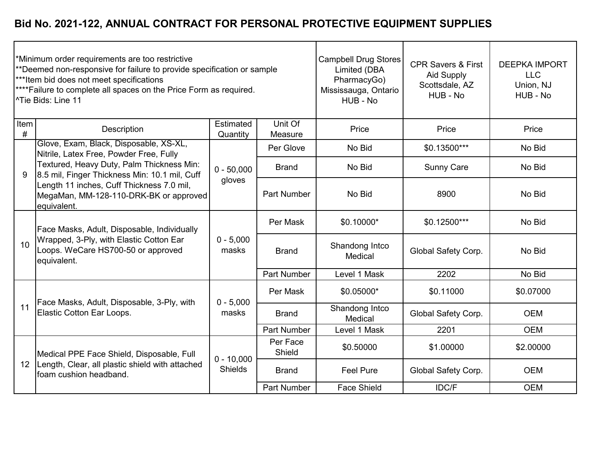|           | *Minimum order requirements are too restrictive<br>**Deemed non-responsive for failure to provide specification or sample<br>*** Item bid does not meet specifications<br>**** Failure to complete all spaces on the Price Form as required.<br><sup>^Tie</sup> Bids: Line 11 |                                | <b>Campbell Drug Stores</b><br>Limited (DBA<br>PharmacyGo)<br>Mississauga, Ontario<br>HUB - No | <b>CPR Savers &amp; First</b><br><b>Aid Supply</b><br>Scottsdale, AZ<br>HUB - No | <b>DEEPKA IMPORT</b><br><b>LLC</b><br>Union, NJ<br>HUB - No |            |
|-----------|-------------------------------------------------------------------------------------------------------------------------------------------------------------------------------------------------------------------------------------------------------------------------------|--------------------------------|------------------------------------------------------------------------------------------------|----------------------------------------------------------------------------------|-------------------------------------------------------------|------------|
| Item<br># | Description                                                                                                                                                                                                                                                                   | Estimated<br>Quantity          | Unit Of<br>Measure                                                                             | Price                                                                            | Price                                                       | Price      |
|           | Glove, Exam, Black, Disposable, XS-XL,<br>Nitrile, Latex Free, Powder Free, Fully                                                                                                                                                                                             |                                | Per Glove                                                                                      | No Bid                                                                           | \$0.13500***                                                | No Bid     |
| 9         | Textured, Heavy Duty, Palm Thickness Min:<br>8.5 mil, Finger Thickness Min: 10.1 mil, Cuff                                                                                                                                                                                    | $0 - 50,000$<br>gloves         | <b>Brand</b>                                                                                   | No Bid                                                                           | <b>Sunny Care</b>                                           | No Bid     |
|           | Length 11 inches, Cuff Thickness 7.0 mil,<br>MegaMan, MM-128-110-DRK-BK or approved<br>equivalent.                                                                                                                                                                            |                                | <b>Part Number</b>                                                                             | No Bid                                                                           | 8900                                                        | No Bid     |
|           | Face Masks, Adult, Disposable, Individually<br>Wrapped, 3-Ply, with Elastic Cotton Ear<br>Loops. WeCare HS700-50 or approved<br>equivalent.                                                                                                                                   | $0 - 5,000$<br>masks           | Per Mask                                                                                       | \$0.10000*                                                                       | \$0.12500***                                                | No Bid     |
| 10        |                                                                                                                                                                                                                                                                               |                                | <b>Brand</b>                                                                                   | Shandong Intco<br>Medical                                                        | Global Safety Corp.                                         | No Bid     |
|           |                                                                                                                                                                                                                                                                               |                                | <b>Part Number</b>                                                                             | Level 1 Mask                                                                     | 2202                                                        | No Bid     |
|           | Face Masks, Adult, Disposable, 3-Ply, with                                                                                                                                                                                                                                    | $0 - 5,000$                    | Per Mask                                                                                       | \$0.05000*                                                                       | \$0.11000                                                   | \$0.07000  |
| 11        | Elastic Cotton Ear Loops.                                                                                                                                                                                                                                                     | masks                          | <b>Brand</b>                                                                                   | Shandong Intco<br>Medical                                                        | Global Safety Corp.                                         | <b>OEM</b> |
|           |                                                                                                                                                                                                                                                                               |                                | <b>Part Number</b>                                                                             | Level 1 Mask                                                                     | 2201                                                        | <b>OEM</b> |
|           | Medical PPE Face Shield, Disposable, Full                                                                                                                                                                                                                                     | $0 - 10,000$<br><b>Shields</b> | Per Face<br>Shield                                                                             | \$0.50000                                                                        | \$1.00000                                                   | \$2.00000  |
| 12        | Length, Clear, all plastic shield with attached<br>foam cushion headband.                                                                                                                                                                                                     |                                | <b>Brand</b>                                                                                   | Feel Pure                                                                        | Global Safety Corp.                                         | <b>OEM</b> |
|           |                                                                                                                                                                                                                                                                               |                                | <b>Part Number</b>                                                                             | <b>Face Shield</b>                                                               | IDC/F                                                       | <b>OEM</b> |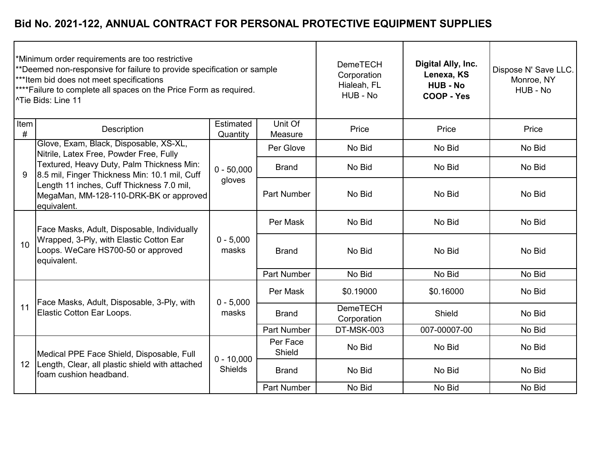| *Minimum order requirements are too restrictive<br>**Deemed non-responsive for failure to provide specification or sample<br>*** Item bid does not meet specifications<br>**** Failure to complete all spaces on the Price Form as required.<br><sup>^Tie</sup> Bids: Line 11 |                                                                                                                                             |                                |                    | <b>DemeTECH</b><br>Corporation<br>Hialeah, FL<br>HUB - No | Digital Ally, Inc.<br>Lenexa, KS<br><b>HUB - No</b><br>COOP - Yes | Dispose N' Save LLC.<br>Monroe, NY<br>HUB - No |
|-------------------------------------------------------------------------------------------------------------------------------------------------------------------------------------------------------------------------------------------------------------------------------|---------------------------------------------------------------------------------------------------------------------------------------------|--------------------------------|--------------------|-----------------------------------------------------------|-------------------------------------------------------------------|------------------------------------------------|
| Item<br>#                                                                                                                                                                                                                                                                     | <b>Description</b>                                                                                                                          | Estimated<br>Quantity          | Unit Of<br>Measure | Price                                                     | Price                                                             | Price                                          |
|                                                                                                                                                                                                                                                                               | Glove, Exam, Black, Disposable, XS-XL,<br>Nitrile, Latex Free, Powder Free, Fully                                                           |                                | Per Glove          | No Bid                                                    | No Bid                                                            | No Bid                                         |
| 9                                                                                                                                                                                                                                                                             | Textured, Heavy Duty, Palm Thickness Min:<br>8.5 mil, Finger Thickness Min: 10.1 mil, Cuff                                                  | $0 - 50,000$<br>gloves         | <b>Brand</b>       | No Bid                                                    | No Bid                                                            | No Bid                                         |
|                                                                                                                                                                                                                                                                               | Length 11 inches, Cuff Thickness 7.0 mil,<br>MegaMan, MM-128-110-DRK-BK or approved<br>equivalent.                                          |                                | <b>Part Number</b> | No Bid                                                    | No Bid                                                            | No Bid                                         |
|                                                                                                                                                                                                                                                                               | Face Masks, Adult, Disposable, Individually<br>Wrapped, 3-Ply, with Elastic Cotton Ear<br>Loops. WeCare HS700-50 or approved<br>equivalent. | $0 - 5,000$<br>masks           | Per Mask           | No Bid                                                    | No Bid                                                            | No Bid                                         |
| 10                                                                                                                                                                                                                                                                            |                                                                                                                                             |                                | <b>Brand</b>       | No Bid                                                    | No Bid                                                            | No Bid                                         |
|                                                                                                                                                                                                                                                                               |                                                                                                                                             |                                | <b>Part Number</b> | No Bid                                                    | No Bid                                                            | No Bid                                         |
|                                                                                                                                                                                                                                                                               | Face Masks, Adult, Disposable, 3-Ply, with                                                                                                  | $0 - 5,000$                    | Per Mask           | \$0.19000                                                 | \$0.16000                                                         | No Bid                                         |
| 11                                                                                                                                                                                                                                                                            | Elastic Cotton Ear Loops.                                                                                                                   | masks                          | <b>Brand</b>       | <b>DemeTECH</b><br>Corporation                            | Shield                                                            | No Bid                                         |
|                                                                                                                                                                                                                                                                               |                                                                                                                                             |                                | <b>Part Number</b> | DT-MSK-003                                                | 007-00007-00                                                      | No Bid                                         |
| 12                                                                                                                                                                                                                                                                            | Medical PPE Face Shield, Disposable, Full<br>Length, Clear, all plastic shield with attached<br>foam cushion headband.                      | $0 - 10,000$<br><b>Shields</b> | Per Face<br>Shield | No Bid                                                    | No Bid                                                            | No Bid                                         |
|                                                                                                                                                                                                                                                                               |                                                                                                                                             |                                | <b>Brand</b>       | No Bid                                                    | No Bid                                                            | No Bid                                         |
|                                                                                                                                                                                                                                                                               |                                                                                                                                             |                                | <b>Part Number</b> | No Bid                                                    | No Bid                                                            | No Bid                                         |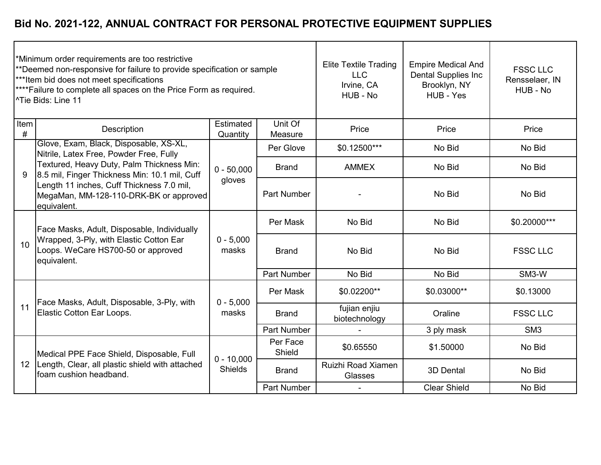|           | Minimum order requirements are too restrictive<br>**Deemed non-responsive for failure to provide specification or sample<br>***Item bid does not meet specifications<br><sup>****</sup> Failure to complete all spaces on the Price Form as required.<br><sup>1</sup> Tie Bids: Line 11 |                                | <b>Elite Textile Trading</b><br><b>LLC</b><br>Irvine, CA<br>HUB - No | <b>Empire Medical And</b><br><b>Dental Supplies Inc</b><br>Brooklyn, NY<br>HUB - Yes | <b>FSSC LLC</b><br>Rensselaer, IN<br>HUB - No |                 |
|-----------|-----------------------------------------------------------------------------------------------------------------------------------------------------------------------------------------------------------------------------------------------------------------------------------------|--------------------------------|----------------------------------------------------------------------|--------------------------------------------------------------------------------------|-----------------------------------------------|-----------------|
| Item<br># | Description                                                                                                                                                                                                                                                                             | Estimated<br>Quantity          | Unit Of<br>Measure                                                   | Price                                                                                | Price                                         | Price           |
|           | Glove, Exam, Black, Disposable, XS-XL,<br>Nitrile, Latex Free, Powder Free, Fully                                                                                                                                                                                                       |                                | Per Glove                                                            | \$0.12500***                                                                         | No Bid                                        | No Bid          |
| 9         | Textured, Heavy Duty, Palm Thickness Min:<br>8.5 mil, Finger Thickness Min: 10.1 mil, Cuff                                                                                                                                                                                              | $0 - 50,000$<br>gloves         | <b>Brand</b>                                                         | <b>AMMEX</b>                                                                         | No Bid                                        | No Bid          |
|           | Length 11 inches, Cuff Thickness 7.0 mil,<br>MegaMan, MM-128-110-DRK-BK or approved<br>equivalent.                                                                                                                                                                                      |                                | <b>Part Number</b>                                                   |                                                                                      | No Bid                                        | No Bid          |
|           | Face Masks, Adult, Disposable, Individually<br>Wrapped, 3-Ply, with Elastic Cotton Ear<br>Loops. WeCare HS700-50 or approved<br>equivalent.                                                                                                                                             | $0 - 5,000$<br>masks           | Per Mask                                                             | No Bid                                                                               | No Bid                                        | \$0.20000***    |
| 10        |                                                                                                                                                                                                                                                                                         |                                | <b>Brand</b>                                                         | No Bid                                                                               | No Bid                                        | <b>FSSC LLC</b> |
|           |                                                                                                                                                                                                                                                                                         |                                | <b>Part Number</b>                                                   | No Bid                                                                               | No Bid                                        | SM3-W           |
|           | Face Masks, Adult, Disposable, 3-Ply, with                                                                                                                                                                                                                                              | $0 - 5,000$                    | Per Mask                                                             | \$0.02200**                                                                          | \$0.03000**                                   | \$0.13000       |
| 11        | Elastic Cotton Ear Loops.                                                                                                                                                                                                                                                               | masks                          | <b>Brand</b>                                                         | fujian enjiu<br>biotechnology                                                        | Oraline                                       | <b>FSSC LLC</b> |
|           |                                                                                                                                                                                                                                                                                         |                                | <b>Part Number</b>                                                   |                                                                                      | 3 ply mask                                    | SM <sub>3</sub> |
| 12        | Medical PPE Face Shield, Disposable, Full<br>Length, Clear, all plastic shield with attached<br>foam cushion headband.                                                                                                                                                                  | $0 - 10,000$<br><b>Shields</b> | Per Face<br>Shield                                                   | \$0.65550                                                                            | \$1.50000                                     | No Bid          |
|           |                                                                                                                                                                                                                                                                                         |                                | <b>Brand</b>                                                         | Ruizhi Road Xiamen<br>Glasses                                                        | 3D Dental                                     | No Bid          |
|           |                                                                                                                                                                                                                                                                                         |                                | <b>Part Number</b>                                                   |                                                                                      | <b>Clear Shield</b>                           | No Bid          |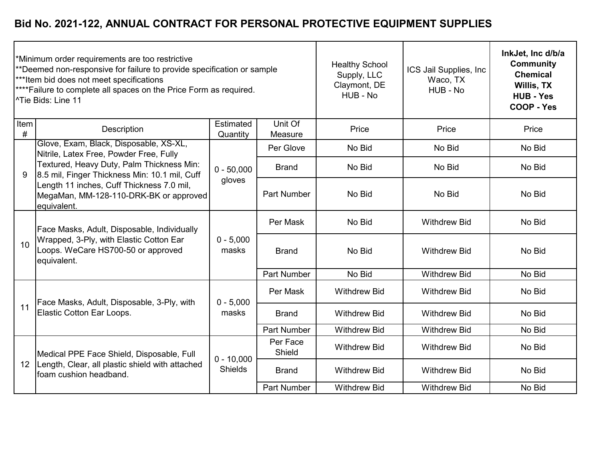|           | Minimum order requirements are too restrictive<br>**Deemed non-responsive for failure to provide specification or sample<br>***Item bid does not meet specifications<br><sup>****</sup> Failure to complete all spaces on the Price Form as required.<br>l^Tie Bids: Line 11 |                                | <b>Healthy School</b><br>Supply, LLC<br>Claymont, DE<br>HUB - No | ICS Jail Supplies, Inc<br>Waco, TX<br>HUB - No | InkJet, Inc d/b/a<br><b>Community</b><br><b>Chemical</b><br><b>Willis, TX</b><br><b>HUB - Yes</b><br>COOP - Yes |        |
|-----------|------------------------------------------------------------------------------------------------------------------------------------------------------------------------------------------------------------------------------------------------------------------------------|--------------------------------|------------------------------------------------------------------|------------------------------------------------|-----------------------------------------------------------------------------------------------------------------|--------|
| Item<br># | <b>Description</b>                                                                                                                                                                                                                                                           | Estimated<br>Quantity          | Unit Of<br>Measure                                               | Price                                          | Price                                                                                                           | Price  |
|           | Glove, Exam, Black, Disposable, XS-XL,<br>Nitrile, Latex Free, Powder Free, Fully                                                                                                                                                                                            |                                | Per Glove                                                        | No Bid                                         | No Bid                                                                                                          | No Bid |
| 9         | Textured, Heavy Duty, Palm Thickness Min:<br>8.5 mil, Finger Thickness Min: 10.1 mil, Cuff                                                                                                                                                                                   | $0 - 50,000$                   | <b>Brand</b>                                                     | No Bid                                         | No Bid                                                                                                          | No Bid |
|           | Length 11 inches, Cuff Thickness 7.0 mil,<br>MegaMan, MM-128-110-DRK-BK or approved<br>equivalent.                                                                                                                                                                           | gloves                         | <b>Part Number</b>                                               | No Bid                                         | No Bid                                                                                                          | No Bid |
|           | Face Masks, Adult, Disposable, Individually<br>Wrapped, 3-Ply, with Elastic Cotton Ear<br>Loops. WeCare HS700-50 or approved<br>equivalent.                                                                                                                                  | $0 - 5,000$<br>masks           | Per Mask                                                         | No Bid                                         | <b>Withdrew Bid</b>                                                                                             | No Bid |
| 10        |                                                                                                                                                                                                                                                                              |                                | <b>Brand</b>                                                     | No Bid                                         | <b>Withdrew Bid</b>                                                                                             | No Bid |
|           |                                                                                                                                                                                                                                                                              |                                | <b>Part Number</b>                                               | No Bid                                         | <b>Withdrew Bid</b>                                                                                             | No Bid |
|           | Face Masks, Adult, Disposable, 3-Ply, with                                                                                                                                                                                                                                   | $0 - 5,000$                    | Per Mask                                                         | <b>Withdrew Bid</b>                            | <b>Withdrew Bid</b>                                                                                             | No Bid |
| 11        | Elastic Cotton Ear Loops.                                                                                                                                                                                                                                                    | masks                          | <b>Brand</b>                                                     | <b>Withdrew Bid</b>                            | <b>Withdrew Bid</b>                                                                                             | No Bid |
|           |                                                                                                                                                                                                                                                                              |                                | <b>Part Number</b>                                               | <b>Withdrew Bid</b>                            | <b>Withdrew Bid</b>                                                                                             | No Bid |
|           | Medical PPE Face Shield, Disposable, Full                                                                                                                                                                                                                                    | $0 - 10,000$<br><b>Shields</b> | Per Face<br>Shield                                               | <b>Withdrew Bid</b>                            | <b>Withdrew Bid</b>                                                                                             | No Bid |
| 12        | Length, Clear, all plastic shield with attached<br>foam cushion headband.                                                                                                                                                                                                    |                                | <b>Brand</b>                                                     | <b>Withdrew Bid</b>                            | <b>Withdrew Bid</b>                                                                                             | No Bid |
|           |                                                                                                                                                                                                                                                                              |                                | <b>Part Number</b>                                               | <b>Withdrew Bid</b>                            | <b>Withdrew Bid</b>                                                                                             | No Bid |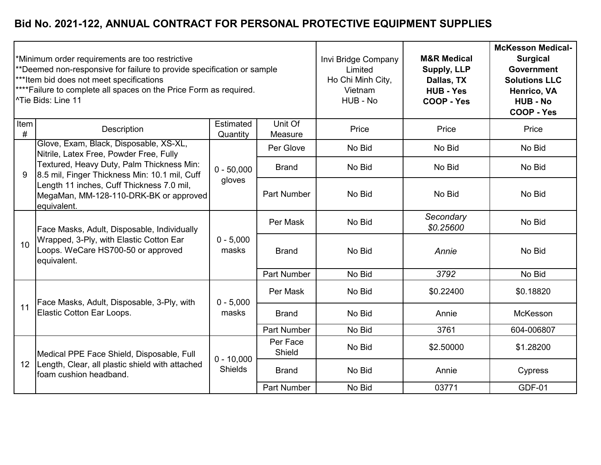|           | Minimum order requirements are too restrictive<br>**Deemed non-responsive for failure to provide specification or sample<br>***Item bid does not meet specifications<br><sup>****</sup> Failure to complete all spaces on the Price Form as required.<br><sup>1</sup> Tie Bids: Line 11 |                                | Invi Bridge Company<br>Limited<br>Ho Chi Minh City,<br>Vietnam<br>HUB - No | <b>M&amp;R Medical</b><br><b>Supply, LLP</b><br>Dallas, TX<br><b>HUB - Yes</b><br>COOP - Yes | <b>McKesson Medical-</b><br><b>Surgical</b><br><b>Government</b><br><b>Solutions LLC</b><br>Henrico, VA<br><b>HUB - No</b><br><b>COOP - Yes</b> |               |
|-----------|-----------------------------------------------------------------------------------------------------------------------------------------------------------------------------------------------------------------------------------------------------------------------------------------|--------------------------------|----------------------------------------------------------------------------|----------------------------------------------------------------------------------------------|-------------------------------------------------------------------------------------------------------------------------------------------------|---------------|
| Item<br># | Description                                                                                                                                                                                                                                                                             | Estimated<br>Quantity          | Unit Of<br>Measure                                                         | Price                                                                                        | Price                                                                                                                                           | Price         |
|           | Glove, Exam, Black, Disposable, XS-XL,<br>Nitrile, Latex Free, Powder Free, Fully                                                                                                                                                                                                       |                                | Per Glove                                                                  | No Bid                                                                                       | No Bid                                                                                                                                          | No Bid        |
| 9         | Textured, Heavy Duty, Palm Thickness Min:<br>8.5 mil, Finger Thickness Min: 10.1 mil, Cuff                                                                                                                                                                                              | $0 - 50,000$                   | <b>Brand</b>                                                               | No Bid                                                                                       | No Bid                                                                                                                                          | No Bid        |
|           | Length 11 inches, Cuff Thickness 7.0 mil,<br>MegaMan, MM-128-110-DRK-BK or approved<br>equivalent.                                                                                                                                                                                      | gloves                         | <b>Part Number</b>                                                         | No Bid                                                                                       | No Bid                                                                                                                                          | No Bid        |
|           | Face Masks, Adult, Disposable, Individually<br>Wrapped, 3-Ply, with Elastic Cotton Ear<br>Loops. WeCare HS700-50 or approved<br>equivalent.                                                                                                                                             | $0 - 5,000$<br>masks           | Per Mask                                                                   | No Bid                                                                                       | Secondary<br>\$0.25600                                                                                                                          | No Bid        |
| 10        |                                                                                                                                                                                                                                                                                         |                                | <b>Brand</b>                                                               | No Bid                                                                                       | Annie                                                                                                                                           | No Bid        |
|           |                                                                                                                                                                                                                                                                                         |                                | <b>Part Number</b>                                                         | No Bid                                                                                       | 3792                                                                                                                                            | No Bid        |
|           | Face Masks, Adult, Disposable, 3-Ply, with                                                                                                                                                                                                                                              | $0 - 5,000$                    | Per Mask                                                                   | No Bid                                                                                       | \$0.22400                                                                                                                                       | \$0.18820     |
| 11        | Elastic Cotton Ear Loops.                                                                                                                                                                                                                                                               | masks                          | <b>Brand</b>                                                               | No Bid                                                                                       | Annie                                                                                                                                           | McKesson      |
|           |                                                                                                                                                                                                                                                                                         |                                | <b>Part Number</b>                                                         | No Bid                                                                                       | 3761                                                                                                                                            | 604-006807    |
| 12        | Medical PPE Face Shield, Disposable, Full<br>Length, Clear, all plastic shield with attached<br>foam cushion headband.                                                                                                                                                                  | $0 - 10,000$<br><b>Shields</b> | Per Face<br>Shield                                                         | No Bid                                                                                       | \$2.50000                                                                                                                                       | \$1.28200     |
|           |                                                                                                                                                                                                                                                                                         |                                | <b>Brand</b>                                                               | No Bid                                                                                       | Annie                                                                                                                                           | Cypress       |
|           |                                                                                                                                                                                                                                                                                         |                                | <b>Part Number</b>                                                         | No Bid                                                                                       | 03771                                                                                                                                           | <b>GDF-01</b> |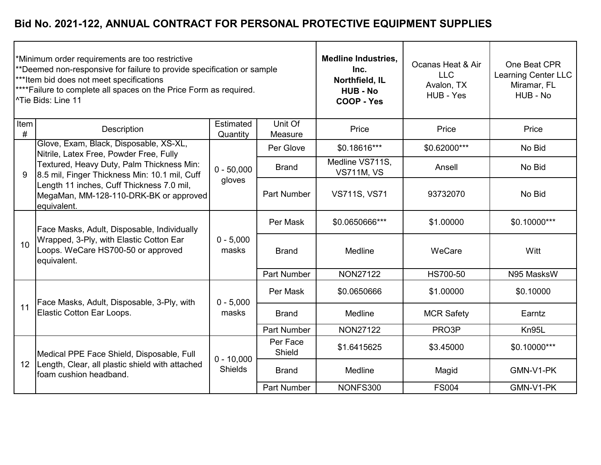|                 | Minimum order requirements are too restrictive<br>**Deemed non-responsive for failure to provide specification or sample<br>*** Item bid does not meet specifications<br>****Failure to complete all spaces on the Price Form as required.<br>l^Tie Bids: Line 11 |                                | <b>Medline Industries,</b><br>Inc.<br>Northfield, IL<br><b>HUB - No</b><br>COOP - Yes | Ocanas Heat & Air<br><b>LLC</b><br>Avalon, TX<br>HUB - Yes | One Beat CPR<br>Learning Center LLC<br>Miramar, FL<br>HUB - No |              |
|-----------------|-------------------------------------------------------------------------------------------------------------------------------------------------------------------------------------------------------------------------------------------------------------------|--------------------------------|---------------------------------------------------------------------------------------|------------------------------------------------------------|----------------------------------------------------------------|--------------|
| Item<br>#       | Description                                                                                                                                                                                                                                                       | Estimated<br>Quantity          | Unit Of<br>Measure                                                                    | Price                                                      | Price                                                          | Price        |
|                 | Glove, Exam, Black, Disposable, XS-XL,<br>Nitrile, Latex Free, Powder Free, Fully                                                                                                                                                                                 |                                | Per Glove                                                                             | \$0.18616***                                               | \$0.62000***                                                   | No Bid       |
| 9               | Textured, Heavy Duty, Palm Thickness Min:<br>8.5 mil, Finger Thickness Min: 10.1 mil, Cuff                                                                                                                                                                        | $0 - 50,000$<br>gloves         | <b>Brand</b>                                                                          | Medline VS711S,<br><b>VS711M, VS</b>                       | Ansell                                                         | No Bid       |
|                 | Length 11 inches, Cuff Thickness 7.0 mil,<br>MegaMan, MM-128-110-DRK-BK or approved<br>equivalent.                                                                                                                                                                |                                | <b>Part Number</b>                                                                    | <b>VS711S, VS71</b>                                        | 93732070                                                       | No Bid       |
|                 | Face Masks, Adult, Disposable, Individually<br>Wrapped, 3-Ply, with Elastic Cotton Ear<br>Loops. WeCare HS700-50 or approved<br>equivalent.                                                                                                                       | $0 - 5,000$<br>masks           | Per Mask                                                                              | \$0.0650666***                                             | \$1.00000                                                      | \$0.10000*** |
| 10              |                                                                                                                                                                                                                                                                   |                                | <b>Brand</b>                                                                          | Medline                                                    | WeCare                                                         | Witt         |
|                 |                                                                                                                                                                                                                                                                   |                                | <b>Part Number</b>                                                                    | <b>NON27122</b>                                            | HS700-50                                                       | N95 MasksW   |
|                 | Face Masks, Adult, Disposable, 3-Ply, with                                                                                                                                                                                                                        | $0 - 5,000$                    | Per Mask                                                                              | \$0.0650666                                                | \$1.00000                                                      | \$0.10000    |
| 11              | Elastic Cotton Ear Loops.                                                                                                                                                                                                                                         | masks                          | <b>Brand</b>                                                                          | Medline                                                    | <b>MCR Safety</b>                                              | Earntz       |
|                 |                                                                                                                                                                                                                                                                   |                                | <b>Part Number</b>                                                                    | <b>NON27122</b>                                            | PRO3P                                                          | Kn95L        |
|                 | Medical PPE Face Shield, Disposable, Full<br>Length, Clear, all plastic shield with attached<br>foam cushion headband.                                                                                                                                            | $0 - 10,000$<br><b>Shields</b> | Per Face<br>Shield                                                                    | \$1.6415625                                                | \$3.45000                                                      | \$0.10000*** |
| 12 <sup>2</sup> |                                                                                                                                                                                                                                                                   |                                | <b>Brand</b>                                                                          | Medline                                                    | Magid                                                          | GMN-V1-PK    |
|                 |                                                                                                                                                                                                                                                                   |                                | <b>Part Number</b>                                                                    | NONFS300                                                   | <b>FS004</b>                                                   | GMN-V1-PK    |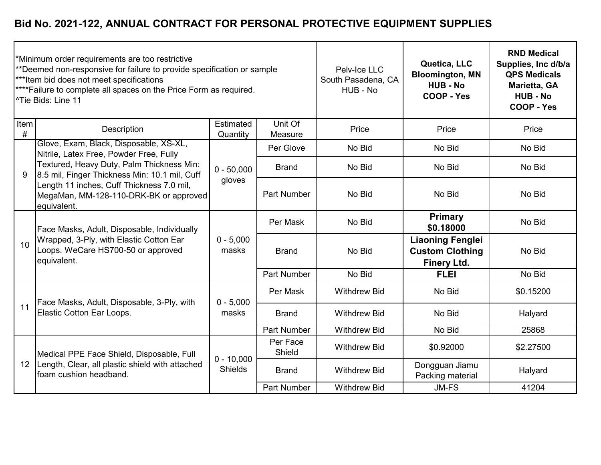|           | Minimum order requirements are too restrictive<br>**Deemed non-responsive for failure to provide specification or sample<br>*** Item bid does not meet specifications<br><sup>****</sup> Failure to complete all spaces on the Price Form as required.<br>l^Tie Bids: Line 11 |                                | Pelv-Ice LLC<br>South Pasadena, CA<br>HUB - No | Quetica, LLC<br><b>Bloomington, MN</b><br><b>HUB - No</b><br>COOP - Yes | <b>RND Medical</b><br>Supplies, Inc d/b/a<br><b>QPS Medicals</b><br>Marietta, GA<br><b>HUB - No</b><br>COOP - Yes |           |
|-----------|-------------------------------------------------------------------------------------------------------------------------------------------------------------------------------------------------------------------------------------------------------------------------------|--------------------------------|------------------------------------------------|-------------------------------------------------------------------------|-------------------------------------------------------------------------------------------------------------------|-----------|
| Item<br># | <b>Description</b>                                                                                                                                                                                                                                                            | Estimated<br>Quantity          | Unit Of<br>Measure                             | Price                                                                   | Price                                                                                                             | Price     |
|           | Glove, Exam, Black, Disposable, XS-XL,<br>Nitrile, Latex Free, Powder Free, Fully                                                                                                                                                                                             |                                | Per Glove                                      | No Bid                                                                  | No Bid                                                                                                            | No Bid    |
| 9         | Textured, Heavy Duty, Palm Thickness Min:<br>8.5 mil, Finger Thickness Min: 10.1 mil, Cuff                                                                                                                                                                                    | $0 - 50,000$                   | <b>Brand</b>                                   | No Bid                                                                  | No Bid                                                                                                            | No Bid    |
|           | Length 11 inches, Cuff Thickness 7.0 mil,<br>MegaMan, MM-128-110-DRK-BK or approved<br>equivalent.                                                                                                                                                                            | gloves                         | <b>Part Number</b>                             | No Bid                                                                  | No Bid                                                                                                            | No Bid    |
|           | Face Masks, Adult, Disposable, Individually<br>Wrapped, 3-Ply, with Elastic Cotton Ear<br>Loops. WeCare HS700-50 or approved<br>equivalent.                                                                                                                                   | $0 - 5,000$<br>masks           | Per Mask                                       | No Bid                                                                  | <b>Primary</b><br>\$0.18000                                                                                       | No Bid    |
| 10        |                                                                                                                                                                                                                                                                               |                                | <b>Brand</b>                                   | No Bid                                                                  | <b>Liaoning Fenglei</b><br><b>Custom Clothing</b><br><b>Finery Ltd.</b>                                           | No Bid    |
|           |                                                                                                                                                                                                                                                                               |                                | <b>Part Number</b>                             | No Bid                                                                  | <b>FLEI</b>                                                                                                       | No Bid    |
|           | Face Masks, Adult, Disposable, 3-Ply, with                                                                                                                                                                                                                                    | $0 - 5,000$                    | Per Mask                                       | <b>Withdrew Bid</b>                                                     | No Bid                                                                                                            | \$0.15200 |
| 11        | Elastic Cotton Ear Loops.                                                                                                                                                                                                                                                     | masks                          | <b>Brand</b>                                   | <b>Withdrew Bid</b>                                                     | No Bid                                                                                                            | Halyard   |
|           |                                                                                                                                                                                                                                                                               |                                | <b>Part Number</b>                             | <b>Withdrew Bid</b>                                                     | No Bid                                                                                                            | 25868     |
| 12        | Medical PPE Face Shield, Disposable, Full<br>Length, Clear, all plastic shield with attached<br>Ifoam cushion headband.                                                                                                                                                       | $0 - 10,000$<br><b>Shields</b> | Per Face<br>Shield                             | <b>Withdrew Bid</b>                                                     | \$0.92000                                                                                                         | \$2.27500 |
|           |                                                                                                                                                                                                                                                                               |                                | <b>Brand</b>                                   | <b>Withdrew Bid</b>                                                     | Dongguan Jiamu<br>Packing material                                                                                | Halyard   |
|           |                                                                                                                                                                                                                                                                               |                                | <b>Part Number</b>                             | <b>Withdrew Bid</b>                                                     | <b>JM-FS</b>                                                                                                      | 41204     |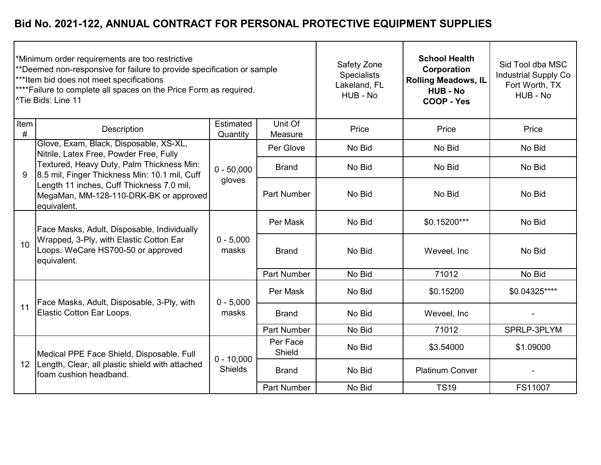| Minimum order requirements are too restrictive<br>**Deemed non-responsive for failure to provide specification or sample<br>*** Item bid does not meet specifications<br><sup>****</sup> Failure to complete all spaces on the Price Form as required.<br><sup>1</sup> Tie Bids: Line 11 |                                                                                                                                                                                                  |                                |                    | Safety Zone<br><b>Specialists</b><br>Lakeland, FL<br>HUB - No | <b>School Health</b><br>Corporation<br><b>Rolling Meadows, IL</b><br><b>HUB - No</b><br>COOP - Yes | Sid Tool dba MSC<br><b>Industrial Supply Co</b><br>Fort Worth, TX<br>HUB - No |
|------------------------------------------------------------------------------------------------------------------------------------------------------------------------------------------------------------------------------------------------------------------------------------------|--------------------------------------------------------------------------------------------------------------------------------------------------------------------------------------------------|--------------------------------|--------------------|---------------------------------------------------------------|----------------------------------------------------------------------------------------------------|-------------------------------------------------------------------------------|
| Item<br>#                                                                                                                                                                                                                                                                                | Description                                                                                                                                                                                      | Estimated<br>Quantity          | Unit Of<br>Measure | Price                                                         | Price                                                                                              | Price                                                                         |
|                                                                                                                                                                                                                                                                                          | Glove, Exam, Black, Disposable, XS-XL,<br>Nitrile, Latex Free, Powder Free, Fully                                                                                                                |                                | Per Glove          | No Bid                                                        | No Bid                                                                                             | No Bid                                                                        |
| 9                                                                                                                                                                                                                                                                                        | Textured, Heavy Duty, Palm Thickness Min:<br>8.5 mil, Finger Thickness Min: 10.1 mil, Cuff<br>Length 11 inches, Cuff Thickness 7.0 mil,<br>MegaMan, MM-128-110-DRK-BK or approved<br>equivalent. | $0 - 50,000$<br>gloves         | <b>Brand</b>       | No Bid                                                        | No Bid                                                                                             | No Bid                                                                        |
|                                                                                                                                                                                                                                                                                          |                                                                                                                                                                                                  |                                | <b>Part Number</b> | No Bid                                                        | No Bid                                                                                             | No Bid                                                                        |
|                                                                                                                                                                                                                                                                                          | Face Masks, Adult, Disposable, Individually<br>Wrapped, 3-Ply, with Elastic Cotton Ear<br>Loops. WeCare HS700-50 or approved<br>equivalent.                                                      | $0 - 5,000$<br>masks           | Per Mask           | No Bid                                                        | \$0.15200***                                                                                       | No Bid                                                                        |
| 10                                                                                                                                                                                                                                                                                       |                                                                                                                                                                                                  |                                | <b>Brand</b>       | No Bid                                                        | Weveel, Inc                                                                                        | No Bid                                                                        |
|                                                                                                                                                                                                                                                                                          |                                                                                                                                                                                                  |                                | <b>Part Number</b> | No Bid                                                        | 71012                                                                                              | No Bid                                                                        |
|                                                                                                                                                                                                                                                                                          | Face Masks, Adult, Disposable, 3-Ply, with                                                                                                                                                       | $0 - 5,000$                    | Per Mask           | No Bid                                                        | \$0.15200                                                                                          | \$0.04325****                                                                 |
| 11                                                                                                                                                                                                                                                                                       | Elastic Cotton Ear Loops.                                                                                                                                                                        | masks                          | <b>Brand</b>       | No Bid                                                        | Weveel, Inc                                                                                        |                                                                               |
|                                                                                                                                                                                                                                                                                          |                                                                                                                                                                                                  |                                | <b>Part Number</b> | No Bid                                                        | 71012                                                                                              | SPRLP-3PLYM                                                                   |
| 12 <sup>2</sup>                                                                                                                                                                                                                                                                          | Medical PPE Face Shield, Disposable, Full<br>Length, Clear, all plastic shield with attached<br>foam cushion headband.                                                                           | $0 - 10,000$<br><b>Shields</b> | Per Face<br>Shield | No Bid                                                        | \$3.54000                                                                                          | \$1.09000                                                                     |
|                                                                                                                                                                                                                                                                                          |                                                                                                                                                                                                  |                                | <b>Brand</b>       | No Bid                                                        | <b>Platinum Conver</b>                                                                             |                                                                               |
|                                                                                                                                                                                                                                                                                          |                                                                                                                                                                                                  |                                | <b>Part Number</b> | No Bid                                                        | <b>TS19</b>                                                                                        | FS11007                                                                       |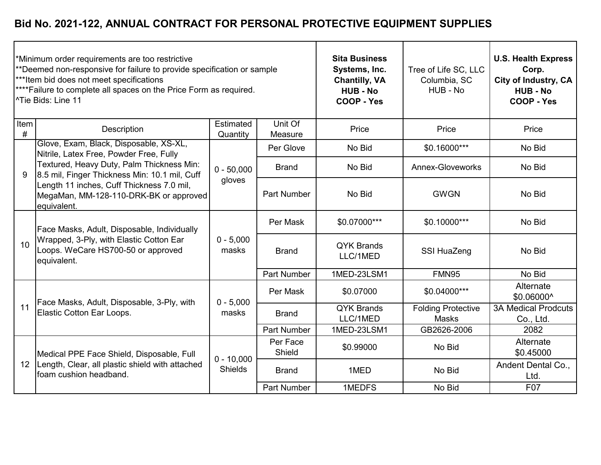|                 | Minimum order requirements are too restrictive<br>**Deemed non-responsive for failure to provide specification or sample<br>***Item bid does not meet specifications<br><sup>****</sup> Failure to complete all spaces on the Price Form as required.<br>l^Tie Bids: Line 11 |                                | <b>Sita Business</b><br>Systems, Inc.<br><b>Chantilly, VA</b><br><b>HUB - No</b><br>COOP - Yes | Tree of Life SC, LLC<br>Columbia, SC<br>HUB - No | <b>U.S. Health Express</b><br>Corp.<br>City of Industry, CA<br><b>HUB - No</b><br><b>COOP - Yes</b> |                                         |
|-----------------|------------------------------------------------------------------------------------------------------------------------------------------------------------------------------------------------------------------------------------------------------------------------------|--------------------------------|------------------------------------------------------------------------------------------------|--------------------------------------------------|-----------------------------------------------------------------------------------------------------|-----------------------------------------|
| Item<br>#       | Description                                                                                                                                                                                                                                                                  | Estimated<br>Quantity          | Unit Of<br>Measure                                                                             | Price                                            | Price                                                                                               | Price                                   |
|                 | Glove, Exam, Black, Disposable, XS-XL,<br>Nitrile, Latex Free, Powder Free, Fully                                                                                                                                                                                            |                                | Per Glove                                                                                      | No Bid                                           | \$0.16000***                                                                                        | No Bid                                  |
| 9               | Textured, Heavy Duty, Palm Thickness Min:<br>8.5 mil, Finger Thickness Min: 10.1 mil, Cuff                                                                                                                                                                                   | $0 - 50,000$                   | <b>Brand</b>                                                                                   | No Bid                                           | <b>Annex-Gloveworks</b>                                                                             | No Bid                                  |
|                 | Length 11 inches, Cuff Thickness 7.0 mil,<br>MegaMan, MM-128-110-DRK-BK or approved<br>equivalent.                                                                                                                                                                           | gloves                         | <b>Part Number</b>                                                                             | No Bid                                           | <b>GWGN</b>                                                                                         | No Bid                                  |
|                 | Face Masks, Adult, Disposable, Individually<br>Wrapped, 3-Ply, with Elastic Cotton Ear<br>Loops. WeCare HS700-50 or approved<br>equivalent.                                                                                                                                  | $0 - 5,000$<br>masks           | Per Mask                                                                                       | \$0.07000***                                     | \$0.10000***                                                                                        | No Bid                                  |
| 10              |                                                                                                                                                                                                                                                                              |                                | <b>Brand</b>                                                                                   | <b>QYK Brands</b><br>LLC/1MED                    | SSI HuaZeng                                                                                         | No Bid                                  |
|                 |                                                                                                                                                                                                                                                                              |                                | <b>Part Number</b>                                                                             | 1MED-23LSM1                                      | FMN95                                                                                               | No Bid                                  |
|                 | Face Masks, Adult, Disposable, 3-Ply, with                                                                                                                                                                                                                                   | $0 - 5,000$                    | Per Mask                                                                                       | \$0.07000                                        | \$0.04000***                                                                                        | Alternate<br>\$0.06000^                 |
| 11              | Elastic Cotton Ear Loops.                                                                                                                                                                                                                                                    | masks                          | <b>Brand</b>                                                                                   | <b>QYK Brands</b><br>LLC/1MED                    | <b>Folding Protective</b><br>Masks                                                                  | <b>3A Medical Prodcuts</b><br>Co., Ltd. |
|                 |                                                                                                                                                                                                                                                                              |                                | <b>Part Number</b>                                                                             | 1MED-23LSM1                                      | GB2626-2006                                                                                         | 2082                                    |
| 12 <sup>2</sup> | Medical PPE Face Shield, Disposable, Full<br>Length, Clear, all plastic shield with attached<br>foam cushion headband.                                                                                                                                                       | $0 - 10,000$<br><b>Shields</b> | Per Face<br>Shield                                                                             | \$0.99000                                        | No Bid                                                                                              | Alternate<br>\$0.45000                  |
|                 |                                                                                                                                                                                                                                                                              |                                | <b>Brand</b>                                                                                   | 1MED                                             | No Bid                                                                                              | Andent Dental Co.,<br>Ltd.              |
|                 |                                                                                                                                                                                                                                                                              |                                | <b>Part Number</b>                                                                             | 1MEDFS                                           | No Bid                                                                                              | F07                                     |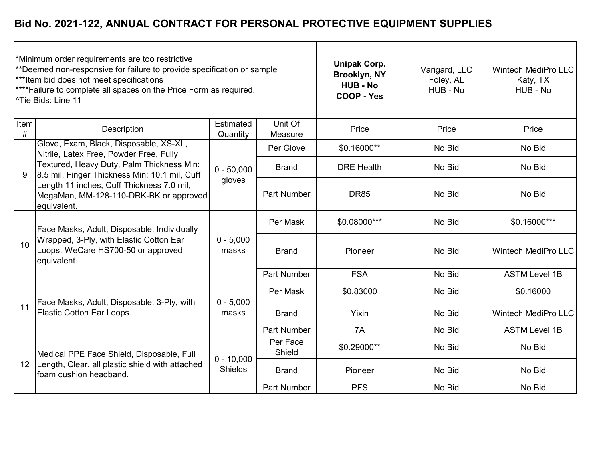|                 | Minimum order requirements are too restrictive<br>**Deemed non-responsive for failure to provide specification or sample<br>*** Item bid does not meet specifications<br><sup>****</sup> Failure to complete all spaces on the Price Form as required.<br><sup> ^</sup> Tie Bids: Line 11 |                                |                    | <b>Unipak Corp.</b><br>Brooklyn, NY<br><b>HUB - No</b><br>COOP - Yes | Varigard, LLC<br>Foley, AL<br>HUB - No | <b>Wintech MediPro LLC</b><br>Katy, TX<br>HUB - No |
|-----------------|-------------------------------------------------------------------------------------------------------------------------------------------------------------------------------------------------------------------------------------------------------------------------------------------|--------------------------------|--------------------|----------------------------------------------------------------------|----------------------------------------|----------------------------------------------------|
| Item<br>#       | Description                                                                                                                                                                                                                                                                               | Estimated<br>Quantity          | Unit Of<br>Measure | Price                                                                | Price                                  | Price                                              |
|                 | Glove, Exam, Black, Disposable, XS-XL,<br>Nitrile, Latex Free, Powder Free, Fully                                                                                                                                                                                                         |                                | Per Glove          | \$0.16000**                                                          | No Bid                                 | No Bid                                             |
| 9               | Textured, Heavy Duty, Palm Thickness Min:<br>8.5 mil, Finger Thickness Min: 10.1 mil, Cuff                                                                                                                                                                                                | $0 - 50,000$<br>gloves         | <b>Brand</b>       | <b>DRE Health</b>                                                    | No Bid                                 | No Bid                                             |
|                 | Length 11 inches, Cuff Thickness 7.0 mil,<br>MegaMan, MM-128-110-DRK-BK or approved<br>equivalent.                                                                                                                                                                                        |                                | <b>Part Number</b> | <b>DR85</b>                                                          | No Bid                                 | No Bid                                             |
|                 | Face Masks, Adult, Disposable, Individually<br>Wrapped, 3-Ply, with Elastic Cotton Ear<br>Loops. WeCare HS700-50 or approved<br>equivalent.                                                                                                                                               | $0 - 5,000$<br>masks           | Per Mask           | \$0.08000***                                                         | No Bid                                 | \$0.16000***                                       |
| 10              |                                                                                                                                                                                                                                                                                           |                                | <b>Brand</b>       | Pioneer                                                              | No Bid                                 | <b>Wintech MediPro LLC</b>                         |
|                 |                                                                                                                                                                                                                                                                                           |                                | <b>Part Number</b> | <b>FSA</b>                                                           | No Bid                                 | <b>ASTM Level 1B</b>                               |
|                 | Face Masks, Adult, Disposable, 3-Ply, with                                                                                                                                                                                                                                                | $0 - 5,000$                    | Per Mask           | \$0.83000                                                            | No Bid                                 | \$0.16000                                          |
| 11              | Elastic Cotton Ear Loops.                                                                                                                                                                                                                                                                 | masks                          | <b>Brand</b>       | Yixin                                                                | No Bid                                 | <b>Wintech MediPro LLC</b>                         |
|                 |                                                                                                                                                                                                                                                                                           |                                | <b>Part Number</b> | 7A                                                                   | No Bid                                 | <b>ASTM Level 1B</b>                               |
| 12 <sup>2</sup> | Medical PPE Face Shield, Disposable, Full<br>Length, Clear, all plastic shield with attached<br>foam cushion headband.                                                                                                                                                                    | $0 - 10,000$<br><b>Shields</b> | Per Face<br>Shield | \$0.29000**                                                          | No Bid                                 | No Bid                                             |
|                 |                                                                                                                                                                                                                                                                                           |                                | <b>Brand</b>       | Pioneer                                                              | No Bid                                 | No Bid                                             |
|                 |                                                                                                                                                                                                                                                                                           |                                | <b>Part Number</b> | <b>PFS</b>                                                           | No Bid                                 | No Bid                                             |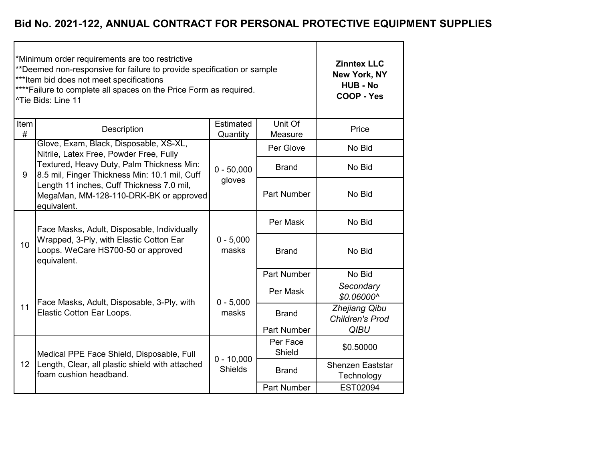|                  | *Minimum order requirements are too restrictive<br>**Deemed non-responsive for failure to provide specification or sample<br>*** Item bid does not meet specifications<br>**** Failure to complete all spaces on the Price Form as required.<br><sup>^Tie</sup> Bids: Line 11 | <b>Zinntex LLC</b><br>New York, NY<br><b>HUB - No</b><br><b>COOP - Yes</b> |                    |                                         |
|------------------|-------------------------------------------------------------------------------------------------------------------------------------------------------------------------------------------------------------------------------------------------------------------------------|----------------------------------------------------------------------------|--------------------|-----------------------------------------|
| <b>Item</b><br># | Description                                                                                                                                                                                                                                                                   | Estimated<br>Quantity                                                      | Unit Of<br>Measure | Price                                   |
| 9                | Glove, Exam, Black, Disposable, XS-XL,<br>Nitrile, Latex Free, Powder Free, Fully                                                                                                                                                                                             |                                                                            | Per Glove          | No Bid                                  |
|                  | Textured, Heavy Duty, Palm Thickness Min:<br>8.5 mil, Finger Thickness Min: 10.1 mil, Cuff                                                                                                                                                                                    | $0 - 50,000$                                                               | <b>Brand</b>       | No Bid                                  |
|                  | Length 11 inches, Cuff Thickness 7.0 mil,<br>MegaMan, MM-128-110-DRK-BK or approved<br>equivalent.                                                                                                                                                                            | gloves                                                                     | <b>Part Number</b> | No Bid                                  |
|                  | Face Masks, Adult, Disposable, Individually                                                                                                                                                                                                                                   |                                                                            | Per Mask           | No Bid                                  |
| 10               | Wrapped, 3-Ply, with Elastic Cotton Ear<br>Loops. WeCare HS700-50 or approved<br>equivalent.                                                                                                                                                                                  | $0 - 5,000$<br>masks                                                       | <b>Brand</b>       | No Bid                                  |
|                  |                                                                                                                                                                                                                                                                               |                                                                            | <b>Part Number</b> | No Bid                                  |
|                  | Face Masks, Adult, Disposable, 3-Ply, with                                                                                                                                                                                                                                    | $0 - 5,000$                                                                | Per Mask           | Secondary<br>\$0.06000^                 |
| 11               | Elastic Cotton Ear Loops.                                                                                                                                                                                                                                                     | masks                                                                      | <b>Brand</b>       | Zhejiang Qibu<br><b>Children's Prod</b> |
|                  |                                                                                                                                                                                                                                                                               |                                                                            | <b>Part Number</b> | <b>QIBU</b>                             |
|                  | Medical PPE Face Shield, Disposable, Full                                                                                                                                                                                                                                     | $0 - 10,000$                                                               | Per Face<br>Shield | \$0.50000                               |
| 12 <sup>°</sup>  | Length, Clear, all plastic shield with attached<br>foam cushion headband.                                                                                                                                                                                                     | <b>Shields</b>                                                             | <b>Brand</b>       | Shenzen Eaststar<br>Technology          |
|                  |                                                                                                                                                                                                                                                                               |                                                                            | Part Number        | EST02094                                |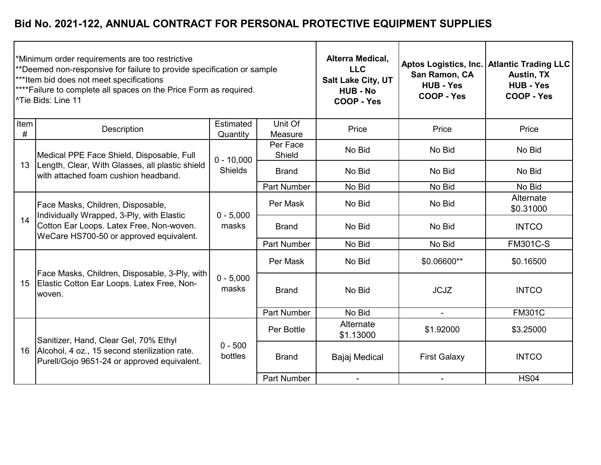|              | *Minimum order requirements are too restrictive<br>**Deemed non-responsive for failure to provide specification or sample<br>*** Item bid does not meet specifications<br>**** Failure to complete all spaces on the Price Form as required.<br><sup>^Tie</sup> Bids: Line 11 |                       |                    | Alterra Medical,<br><b>LLC</b><br>Salt Lake City, UT<br><b>HUB - No</b><br><b>COOP - Yes</b> | San Ramon, CA<br><b>HUB - Yes</b><br>COOP - Yes | Aptos Logistics, Inc.   Atlantic Trading LLC<br><b>Austin, TX</b><br><b>HUB - Yes</b><br>COOP - Yes |
|--------------|-------------------------------------------------------------------------------------------------------------------------------------------------------------------------------------------------------------------------------------------------------------------------------|-----------------------|--------------------|----------------------------------------------------------------------------------------------|-------------------------------------------------|-----------------------------------------------------------------------------------------------------|
| Item<br>$\#$ | Description                                                                                                                                                                                                                                                                   | Estimated<br>Quantity | Unit Of<br>Measure | Price                                                                                        | Price                                           | Price                                                                                               |
|              | Medical PPE Face Shield, Disposable, Full                                                                                                                                                                                                                                     | $0 - 10,000$          | Per Face<br>Shield | No Bid                                                                                       | No Bid                                          | No Bid                                                                                              |
| 13           | Length, Clear, With Glasses, all plastic shield<br>with attached foam cushion headband.                                                                                                                                                                                       | <b>Shields</b>        | <b>Brand</b>       | No Bid                                                                                       | No Bid                                          | No Bid                                                                                              |
|              |                                                                                                                                                                                                                                                                               |                       | <b>Part Number</b> | No Bid                                                                                       | No Bid                                          | No Bid                                                                                              |
|              | Face Masks, Children, Disposable,<br>Individually Wrapped, 3-Ply, with Elastic<br>Cotton Ear Loops. Latex Free, Non-woven.<br>WeCare HS700-50 or approved equivalent.                                                                                                         | $0 - 5,000$<br>masks  | Per Mask           | No Bid                                                                                       | No Bid                                          | Alternate<br>\$0.31000                                                                              |
| 14           |                                                                                                                                                                                                                                                                               |                       | <b>Brand</b>       | No Bid                                                                                       | No Bid                                          | <b>INTCO</b>                                                                                        |
|              |                                                                                                                                                                                                                                                                               |                       | Part Number        | No Bid                                                                                       | No Bid                                          | <b>FM301C-S</b>                                                                                     |
|              | Face Masks, Children, Disposable, 3-Ply, with                                                                                                                                                                                                                                 |                       | Per Mask           | No Bid                                                                                       | \$0.06600**                                     | \$0.16500                                                                                           |
| 15           | Elastic Cotton Ear Loops. Latex Free, Non-<br>woven.                                                                                                                                                                                                                          | $0 - 5,000$<br>masks  | <b>Brand</b>       | No Bid                                                                                       | <b>JCJZ</b>                                     | <b>INTCO</b>                                                                                        |
|              |                                                                                                                                                                                                                                                                               |                       | Part Number        | No Bid                                                                                       | $\blacksquare$                                  | <b>FM301C</b>                                                                                       |
|              | Sanitizer, Hand, Clear Gel, 70% Ethyl<br>Alcohol, 4 oz., 15 second sterilization rate.<br>Purell/Gojo 9651-24 or approved equivalent.                                                                                                                                         | $0 - 500$<br>bottles  | Per Bottle         | Alternate<br>\$1.13000                                                                       | \$1.92000                                       | \$3.25000                                                                                           |
| 16           |                                                                                                                                                                                                                                                                               |                       | <b>Brand</b>       | Bajaj Medical                                                                                | <b>First Galaxy</b>                             | <b>INTCO</b>                                                                                        |
|              |                                                                                                                                                                                                                                                                               |                       | Part Number        |                                                                                              | $\blacksquare$                                  | <b>HS04</b>                                                                                         |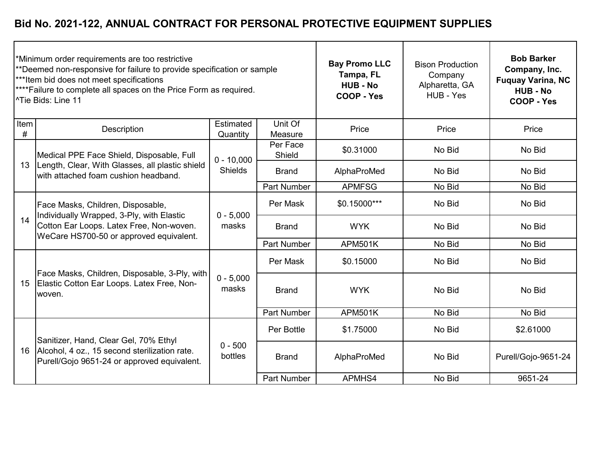|           | *Minimum order requirements are too restrictive<br>**Deemed non-responsive for failure to provide specification or sample<br>***Item bid does not meet specifications<br>**** Failure to complete all spaces on the Price Form as required.<br><sup>1</sup> Tie Bids: Line 11 |                       |                    | <b>Bay Promo LLC</b><br>Tampa, FL<br><b>HUB - No</b><br>COOP - Yes | <b>Bison Production</b><br>Company<br>Alpharetta, GA<br>HUB - Yes | <b>Bob Barker</b><br>Company, Inc.<br><b>Fuquay Varina, NC</b><br><b>HUB - No</b><br>COOP - Yes |
|-----------|-------------------------------------------------------------------------------------------------------------------------------------------------------------------------------------------------------------------------------------------------------------------------------|-----------------------|--------------------|--------------------------------------------------------------------|-------------------------------------------------------------------|-------------------------------------------------------------------------------------------------|
| Item<br># | Description                                                                                                                                                                                                                                                                   | Estimated<br>Quantity | Unit Of<br>Measure | Price                                                              | Price                                                             | Price                                                                                           |
|           | Medical PPE Face Shield, Disposable, Full                                                                                                                                                                                                                                     | $0 - 10,000$          | Per Face<br>Shield | \$0.31000                                                          | No Bid                                                            | No Bid                                                                                          |
| 13        | Length, Clear, With Glasses, all plastic shield<br>with attached foam cushion headband.                                                                                                                                                                                       | <b>Shields</b>        | <b>Brand</b>       | AlphaProMed                                                        | No Bid                                                            | No Bid                                                                                          |
|           |                                                                                                                                                                                                                                                                               |                       | <b>Part Number</b> | <b>APMFSG</b>                                                      | No Bid                                                            | No Bid                                                                                          |
| 14        | Face Masks, Children, Disposable,<br>Individually Wrapped, 3-Ply, with Elastic<br>Cotton Ear Loops. Latex Free, Non-woven.<br>WeCare HS700-50 or approved equivalent.                                                                                                         | $0 - 5,000$<br>masks  | Per Mask           | $$0.15000***$                                                      | No Bid                                                            | No Bid                                                                                          |
|           |                                                                                                                                                                                                                                                                               |                       | <b>Brand</b>       | <b>WYK</b>                                                         | No Bid                                                            | No Bid                                                                                          |
|           |                                                                                                                                                                                                                                                                               |                       | <b>Part Number</b> | <b>APM501K</b>                                                     | No Bid                                                            | No Bid                                                                                          |
|           |                                                                                                                                                                                                                                                                               |                       | Per Mask           | \$0.15000                                                          | No Bid                                                            | No Bid                                                                                          |
| 15        | Face Masks, Children, Disposable, 3-Ply, with<br>Elastic Cotton Ear Loops. Latex Free, Non-<br>woven.                                                                                                                                                                         | $0 - 5,000$<br>masks  | <b>Brand</b>       | <b>WYK</b>                                                         | No Bid                                                            | No Bid                                                                                          |
|           |                                                                                                                                                                                                                                                                               |                       | <b>Part Number</b> | <b>APM501K</b>                                                     | No Bid                                                            | No Bid                                                                                          |
|           | Sanitizer, Hand, Clear Gel, 70% Ethyl<br>Alcohol, 4 oz., 15 second sterilization rate.<br>Purell/Gojo 9651-24 or approved equivalent.                                                                                                                                         | $0 - 500$<br>bottles  | Per Bottle         | \$1.75000                                                          | No Bid                                                            | \$2.61000                                                                                       |
| 16        |                                                                                                                                                                                                                                                                               |                       | <b>Brand</b>       | AlphaProMed                                                        | No Bid                                                            | Purell/Gojo-9651-24                                                                             |
|           |                                                                                                                                                                                                                                                                               |                       | <b>Part Number</b> | APMHS4                                                             | No Bid                                                            | 9651-24                                                                                         |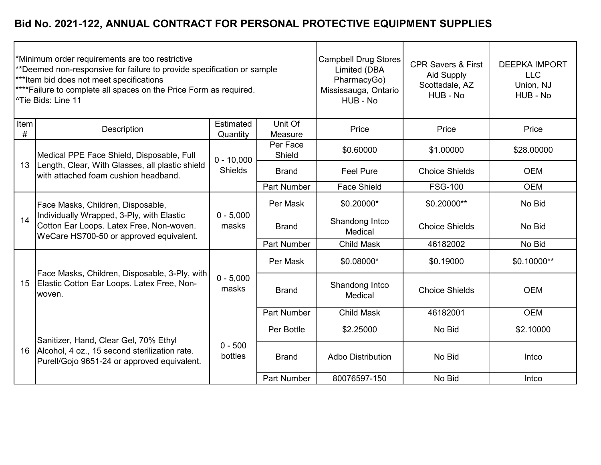|           | Minimum order requirements are too restrictive<br>**Deemed non-responsive for failure to provide specification or sample<br>***Item bid does not meet specifications<br>**** Failure to complete all spaces on the Price Form as required.<br><sup>^</sup> Tie Bids: Line 11 |                       | <b>Campbell Drug Stores</b><br>Limited (DBA<br>PharmacyGo)<br>Mississauga, Ontario<br>HUB - No | <b>CPR Savers &amp; First</b><br><b>Aid Supply</b><br>Scottsdale, AZ<br>HUB - No | <b>DEEPKA IMPORT</b><br><b>LLC</b><br>Union, NJ<br>HUB - No |             |
|-----------|------------------------------------------------------------------------------------------------------------------------------------------------------------------------------------------------------------------------------------------------------------------------------|-----------------------|------------------------------------------------------------------------------------------------|----------------------------------------------------------------------------------|-------------------------------------------------------------|-------------|
| Item<br># | Description                                                                                                                                                                                                                                                                  | Estimated<br>Quantity | Unit Of<br>Measure                                                                             | Price                                                                            | Price                                                       | Price       |
|           | Medical PPE Face Shield, Disposable, Full                                                                                                                                                                                                                                    | $0 - 10,000$          | Per Face<br>Shield                                                                             | \$0.60000                                                                        | \$1.00000                                                   | \$28.00000  |
| 13        | Length, Clear, With Glasses, all plastic shield<br>with attached foam cushion headband.                                                                                                                                                                                      | <b>Shields</b>        | <b>Brand</b>                                                                                   | <b>Feel Pure</b>                                                                 | <b>Choice Shields</b>                                       | <b>OEM</b>  |
|           |                                                                                                                                                                                                                                                                              |                       | <b>Part Number</b>                                                                             | <b>Face Shield</b>                                                               | <b>FSG-100</b>                                              | <b>OEM</b>  |
|           | Face Masks, Children, Disposable,<br>Individually Wrapped, 3-Ply, with Elastic<br>Cotton Ear Loops. Latex Free, Non-woven.<br>WeCare HS700-50 or approved equivalent.                                                                                                        | $0 - 5,000$<br>masks  | Per Mask                                                                                       | \$0.20000*                                                                       | \$0.20000**                                                 | No Bid      |
| 14        |                                                                                                                                                                                                                                                                              |                       | <b>Brand</b>                                                                                   | Shandong Intco<br>Medical                                                        | <b>Choice Shields</b>                                       | No Bid      |
|           |                                                                                                                                                                                                                                                                              |                       | <b>Part Number</b>                                                                             | <b>Child Mask</b>                                                                | 46182002                                                    | No Bid      |
|           |                                                                                                                                                                                                                                                                              |                       | Per Mask                                                                                       | \$0.08000*                                                                       | \$0.19000                                                   | \$0.10000** |
| 15        | Face Masks, Children, Disposable, 3-Ply, with<br>Elastic Cotton Ear Loops. Latex Free, Non-<br>woven.                                                                                                                                                                        | $0 - 5,000$<br>masks  | <b>Brand</b>                                                                                   | Shandong Intco<br>Medical                                                        | <b>Choice Shields</b>                                       | <b>OEM</b>  |
|           |                                                                                                                                                                                                                                                                              |                       | <b>Part Number</b>                                                                             | <b>Child Mask</b>                                                                | 46182001                                                    | <b>OEM</b>  |
|           | Sanitizer, Hand, Clear Gel, 70% Ethyl<br>Alcohol, 4 oz., 15 second sterilization rate.<br>Purell/Gojo 9651-24 or approved equivalent.                                                                                                                                        | $0 - 500$<br>bottles  | Per Bottle                                                                                     | \$2.25000                                                                        | No Bid                                                      | \$2.10000   |
| 16        |                                                                                                                                                                                                                                                                              |                       | <b>Brand</b>                                                                                   | <b>Adbo Distribution</b>                                                         | No Bid                                                      | Intco       |
|           |                                                                                                                                                                                                                                                                              |                       | <b>Part Number</b>                                                                             | 80076597-150                                                                     | No Bid                                                      | Intco       |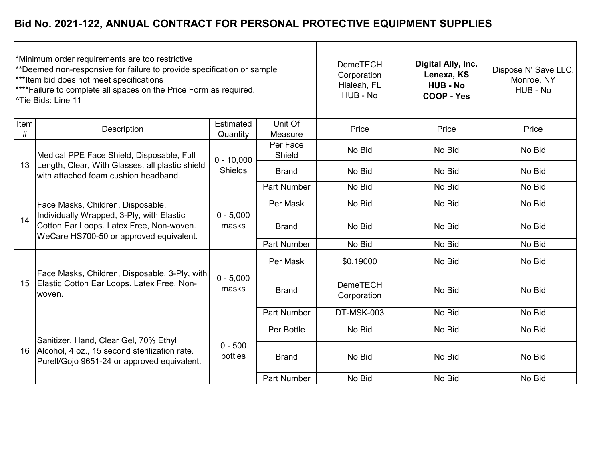|           | *Minimum order requirements are too restrictive<br>**Deemed non-responsive for failure to provide specification or sample<br>***Item bid does not meet specifications<br>****Failure to complete all spaces on the Price Form as required.<br><sup>1</sup> Tie Bids: Line 11 |                       | <b>DemeTECH</b><br>Corporation<br>Hialeah, FL<br>HUB - No | Digital Ally, Inc.<br>Lenexa, KS<br><b>HUB - No</b><br>COOP - Yes | Dispose N' Save LLC.<br>Monroe, NY<br>HUB - No |        |
|-----------|------------------------------------------------------------------------------------------------------------------------------------------------------------------------------------------------------------------------------------------------------------------------------|-----------------------|-----------------------------------------------------------|-------------------------------------------------------------------|------------------------------------------------|--------|
| Item<br># | Description                                                                                                                                                                                                                                                                  | Estimated<br>Quantity | Unit Of<br>Measure                                        | Price                                                             | Price                                          | Price  |
|           | Medical PPE Face Shield, Disposable, Full                                                                                                                                                                                                                                    | $0 - 10,000$          | Per Face<br>Shield                                        | No Bid                                                            | No Bid                                         | No Bid |
| 13        | Length, Clear, With Glasses, all plastic shield<br>with attached foam cushion headband.                                                                                                                                                                                      | <b>Shields</b>        | <b>Brand</b>                                              | No Bid                                                            | No Bid                                         | No Bid |
|           |                                                                                                                                                                                                                                                                              |                       | <b>Part Number</b>                                        | No Bid                                                            | No Bid                                         | No Bid |
|           | Face Masks, Children, Disposable,<br>Individually Wrapped, 3-Ply, with Elastic<br>Cotton Ear Loops. Latex Free, Non-woven.<br>WeCare HS700-50 or approved equivalent.                                                                                                        | $0 - 5,000$<br>masks  | Per Mask                                                  | No Bid                                                            | No Bid                                         | No Bid |
| 14        |                                                                                                                                                                                                                                                                              |                       | <b>Brand</b>                                              | No Bid                                                            | No Bid                                         | No Bid |
|           |                                                                                                                                                                                                                                                                              |                       | <b>Part Number</b>                                        | No Bid                                                            | No Bid                                         | No Bid |
|           |                                                                                                                                                                                                                                                                              |                       | Per Mask                                                  | \$0.19000                                                         | No Bid                                         | No Bid |
| 15        | Face Masks, Children, Disposable, 3-Ply, with<br>Elastic Cotton Ear Loops. Latex Free, Non-<br>woven.                                                                                                                                                                        | $0 - 5,000$<br>masks  | <b>Brand</b>                                              | <b>DemeTECH</b><br>Corporation                                    | No Bid                                         | No Bid |
|           |                                                                                                                                                                                                                                                                              |                       | Part Number                                               | DT-MSK-003                                                        | No Bid                                         | No Bid |
|           | Sanitizer, Hand, Clear Gel, 70% Ethyl<br>Alcohol, 4 oz., 15 second sterilization rate.<br>Purell/Gojo 9651-24 or approved equivalent.                                                                                                                                        | $0 - 500$<br>bottles  | Per Bottle                                                | No Bid                                                            | No Bid                                         | No Bid |
| 16        |                                                                                                                                                                                                                                                                              |                       | <b>Brand</b>                                              | No Bid                                                            | No Bid                                         | No Bid |
|           |                                                                                                                                                                                                                                                                              |                       | Part Number                                               | No Bid                                                            | No Bid                                         | No Bid |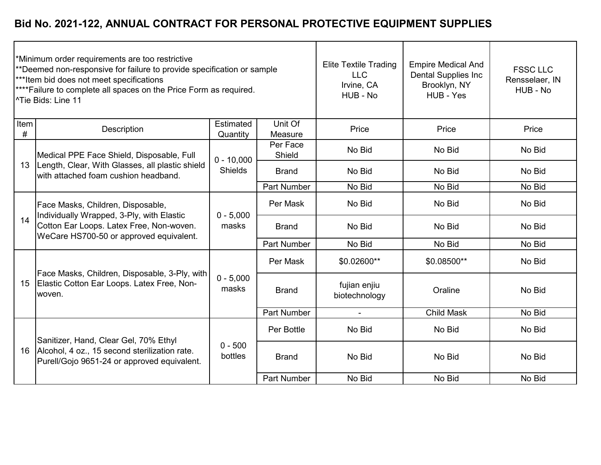|           | Minimum order requirements are too restrictive<br>**Deemed non-responsive for failure to provide specification or sample<br>***Item bid does not meet specifications<br>**** Failure to complete all spaces on the Price Form as required.<br><sup>^</sup> Tie Bids: Line 11 |                       | <b>Elite Textile Trading</b><br><b>LLC</b><br>Irvine, CA<br>HUB - No | <b>Empire Medical And</b><br><b>Dental Supplies Inc</b><br>Brooklyn, NY<br>HUB - Yes | <b>FSSC LLC</b><br>Rensselaer, IN<br>HUB - No |        |
|-----------|------------------------------------------------------------------------------------------------------------------------------------------------------------------------------------------------------------------------------------------------------------------------------|-----------------------|----------------------------------------------------------------------|--------------------------------------------------------------------------------------|-----------------------------------------------|--------|
| Item<br># | Description                                                                                                                                                                                                                                                                  | Estimated<br>Quantity | Unit Of<br>Measure                                                   | Price                                                                                | Price                                         | Price  |
|           | Medical PPE Face Shield, Disposable, Full                                                                                                                                                                                                                                    | $0 - 10,000$          | Per Face<br>Shield                                                   | No Bid                                                                               | No Bid                                        | No Bid |
| 13        | Length, Clear, With Glasses, all plastic shield<br>with attached foam cushion headband.                                                                                                                                                                                      | <b>Shields</b>        | <b>Brand</b>                                                         | No Bid                                                                               | No Bid                                        | No Bid |
|           |                                                                                                                                                                                                                                                                              |                       | <b>Part Number</b>                                                   | No Bid                                                                               | No Bid                                        | No Bid |
|           | Face Masks, Children, Disposable,<br>Individually Wrapped, 3-Ply, with Elastic<br>Cotton Ear Loops. Latex Free, Non-woven.<br>WeCare HS700-50 or approved equivalent.                                                                                                        | $0 - 5,000$<br>masks  | Per Mask                                                             | No Bid                                                                               | No Bid                                        | No Bid |
| 14        |                                                                                                                                                                                                                                                                              |                       | <b>Brand</b>                                                         | No Bid                                                                               | No Bid                                        | No Bid |
|           |                                                                                                                                                                                                                                                                              |                       | Part Number                                                          | No Bid                                                                               | No Bid                                        | No Bid |
|           |                                                                                                                                                                                                                                                                              |                       | Per Mask                                                             | \$0.02600**                                                                          | \$0.08500**                                   | No Bid |
| 15        | Face Masks, Children, Disposable, 3-Ply, with<br>Elastic Cotton Ear Loops. Latex Free, Non-<br>woven.                                                                                                                                                                        | $0 - 5,000$<br>masks  | <b>Brand</b>                                                         | fujian enjiu<br>biotechnology                                                        | Oraline                                       | No Bid |
|           |                                                                                                                                                                                                                                                                              |                       | <b>Part Number</b>                                                   |                                                                                      | <b>Child Mask</b>                             | No Bid |
|           | Sanitizer, Hand, Clear Gel, 70% Ethyl<br>Alcohol, 4 oz., 15 second sterilization rate.<br>Purell/Gojo 9651-24 or approved equivalent.                                                                                                                                        | $0 - 500$<br>bottles  | Per Bottle                                                           | No Bid                                                                               | No Bid                                        | No Bid |
| 16        |                                                                                                                                                                                                                                                                              |                       | <b>Brand</b>                                                         | No Bid                                                                               | No Bid                                        | No Bid |
|           |                                                                                                                                                                                                                                                                              |                       | <b>Part Number</b>                                                   | No Bid                                                                               | No Bid                                        | No Bid |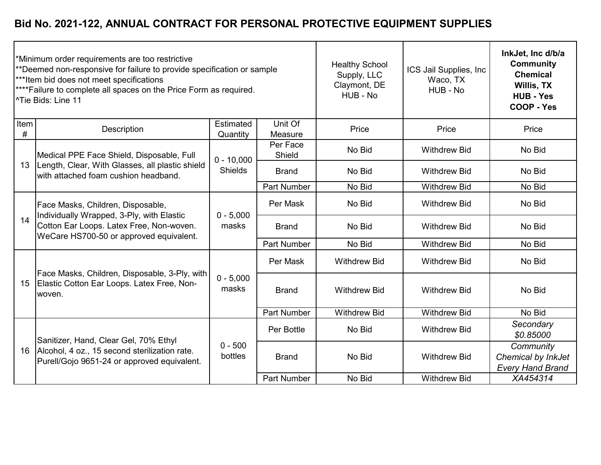|           | *Minimum order requirements are too restrictive<br>**Deemed non-responsive for failure to provide specification or sample<br>***Item bid does not meet specifications<br>**** Failure to complete all spaces on the Price Form as required.<br><sup>^Tie</sup> Bids: Line 11 |                       | <b>Healthy School</b><br>Supply, LLC<br>Claymont, DE<br>HUB - No | ICS Jail Supplies, Inc<br>Waco, TX<br>HUB - No | InkJet, Inc d/b/a<br><b>Community</b><br><b>Chemical</b><br>Willis, TX<br><b>HUB - Yes</b><br><b>COOP - Yes</b> |                                                            |
|-----------|------------------------------------------------------------------------------------------------------------------------------------------------------------------------------------------------------------------------------------------------------------------------------|-----------------------|------------------------------------------------------------------|------------------------------------------------|-----------------------------------------------------------------------------------------------------------------|------------------------------------------------------------|
| Item<br># | Description                                                                                                                                                                                                                                                                  | Estimated<br>Quantity | Unit Of<br>Measure                                               | Price                                          | Price                                                                                                           | Price                                                      |
|           | Medical PPE Face Shield, Disposable, Full                                                                                                                                                                                                                                    | $0 - 10,000$          | Per Face<br>Shield                                               | No Bid                                         | <b>Withdrew Bid</b>                                                                                             | No Bid                                                     |
| 13        | Length, Clear, With Glasses, all plastic shield<br>with attached foam cushion headband.                                                                                                                                                                                      | <b>Shields</b>        | <b>Brand</b>                                                     | No Bid                                         | <b>Withdrew Bid</b>                                                                                             | No Bid                                                     |
|           |                                                                                                                                                                                                                                                                              |                       | <b>Part Number</b>                                               | No Bid                                         | <b>Withdrew Bid</b>                                                                                             | No Bid                                                     |
|           | Face Masks, Children, Disposable,<br>Individually Wrapped, 3-Ply, with Elastic<br>Cotton Ear Loops. Latex Free, Non-woven.<br>WeCare HS700-50 or approved equivalent.                                                                                                        | $0 - 5,000$<br>masks  | Per Mask                                                         | No Bid                                         | <b>Withdrew Bid</b>                                                                                             | No Bid                                                     |
| 14        |                                                                                                                                                                                                                                                                              |                       | <b>Brand</b>                                                     | No Bid                                         | <b>Withdrew Bid</b>                                                                                             | No Bid                                                     |
|           |                                                                                                                                                                                                                                                                              |                       | <b>Part Number</b>                                               | No Bid                                         | <b>Withdrew Bid</b>                                                                                             | No Bid                                                     |
|           |                                                                                                                                                                                                                                                                              |                       | Per Mask                                                         | <b>Withdrew Bid</b>                            | <b>Withdrew Bid</b>                                                                                             | No Bid                                                     |
| 15        | Face Masks, Children, Disposable, 3-Ply, with<br>Elastic Cotton Ear Loops. Latex Free, Non-<br>woven.                                                                                                                                                                        | $0 - 5,000$<br>masks  | <b>Brand</b>                                                     | <b>Withdrew Bid</b>                            | <b>Withdrew Bid</b>                                                                                             | No Bid                                                     |
|           |                                                                                                                                                                                                                                                                              |                       | <b>Part Number</b>                                               | <b>Withdrew Bid</b>                            | <b>Withdrew Bid</b>                                                                                             | No Bid                                                     |
|           | Sanitizer, Hand, Clear Gel, 70% Ethyl<br>Alcohol, 4 oz., 15 second sterilization rate.<br>Purell/Gojo 9651-24 or approved equivalent.                                                                                                                                        | $0 - 500$<br>bottles  | Per Bottle                                                       | No Bid                                         | <b>Withdrew Bid</b>                                                                                             | Secondary<br>\$0.85000                                     |
| 16        |                                                                                                                                                                                                                                                                              |                       | <b>Brand</b>                                                     | No Bid                                         | <b>Withdrew Bid</b>                                                                                             | Community<br>Chemical by InkJet<br><b>Every Hand Brand</b> |
|           |                                                                                                                                                                                                                                                                              |                       | <b>Part Number</b>                                               | No Bid                                         | <b>Withdrew Bid</b>                                                                                             | XA454314                                                   |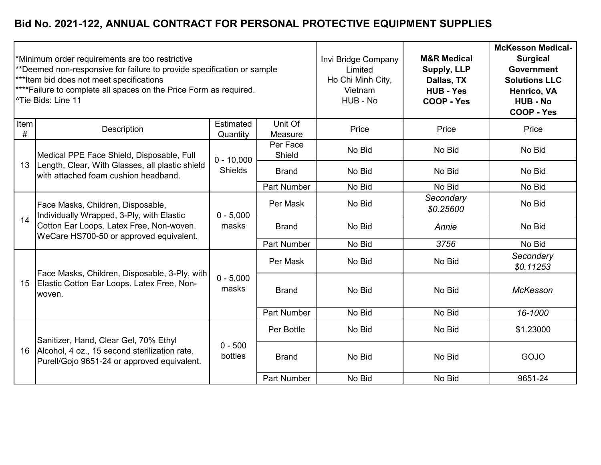|              | *Minimum order requirements are too restrictive<br>**Deemed non-responsive for failure to provide specification or sample<br>***Item bid does not meet specifications<br>**** Failure to complete all spaces on the Price Form as required.<br><sup>^</sup> Tie Bids: Line 11 |                       | Invi Bridge Company<br>Limited<br>Ho Chi Minh City,<br>Vietnam<br>HUB - No | <b>M&amp;R Medical</b><br><b>Supply, LLP</b><br>Dallas, TX<br><b>HUB - Yes</b><br><b>COOP - Yes</b> | <b>McKesson Medical-</b><br><b>Surgical</b><br><b>Government</b><br><b>Solutions LLC</b><br>Henrico, VA<br><b>HUB - No</b><br><b>COOP - Yes</b> |                        |
|--------------|-------------------------------------------------------------------------------------------------------------------------------------------------------------------------------------------------------------------------------------------------------------------------------|-----------------------|----------------------------------------------------------------------------|-----------------------------------------------------------------------------------------------------|-------------------------------------------------------------------------------------------------------------------------------------------------|------------------------|
| Item<br>$\#$ | Description                                                                                                                                                                                                                                                                   | Estimated<br>Quantity | Unit Of<br>Measure                                                         | Price                                                                                               | Price                                                                                                                                           | Price                  |
|              | Medical PPE Face Shield, Disposable, Full                                                                                                                                                                                                                                     | $0 - 10,000$          | Per Face<br>Shield                                                         | No Bid                                                                                              | No Bid                                                                                                                                          | No Bid                 |
| 13           | Length, Clear, With Glasses, all plastic shield<br>with attached foam cushion headband.                                                                                                                                                                                       | Shields               | <b>Brand</b>                                                               | No Bid                                                                                              | No Bid                                                                                                                                          | No Bid                 |
|              |                                                                                                                                                                                                                                                                               |                       | <b>Part Number</b>                                                         | No Bid                                                                                              | No Bid                                                                                                                                          | No Bid                 |
|              | Face Masks, Children, Disposable,<br>Individually Wrapped, 3-Ply, with Elastic<br>Cotton Ear Loops. Latex Free, Non-woven.<br>WeCare HS700-50 or approved equivalent.                                                                                                         | $0 - 5,000$<br>masks  | Per Mask                                                                   | No Bid                                                                                              | Secondary<br>\$0.25600                                                                                                                          | No Bid                 |
| 14           |                                                                                                                                                                                                                                                                               |                       | <b>Brand</b>                                                               | No Bid                                                                                              | Annie                                                                                                                                           | No Bid                 |
|              |                                                                                                                                                                                                                                                                               |                       | <b>Part Number</b>                                                         | No Bid                                                                                              | 3756                                                                                                                                            | No Bid                 |
|              | Face Masks, Children, Disposable, 3-Ply, with                                                                                                                                                                                                                                 |                       | Per Mask                                                                   | No Bid                                                                                              | No Bid                                                                                                                                          | Secondary<br>\$0.11253 |
| 15           | Elastic Cotton Ear Loops. Latex Free, Non-<br>woven.                                                                                                                                                                                                                          | $0 - 5,000$<br>masks  | <b>Brand</b>                                                               | No Bid                                                                                              | No Bid                                                                                                                                          | McKesson               |
|              |                                                                                                                                                                                                                                                                               |                       | <b>Part Number</b>                                                         | No Bid                                                                                              | No Bid                                                                                                                                          | 16-1000                |
|              | Sanitizer, Hand, Clear Gel, 70% Ethyl<br>Alcohol, 4 oz., 15 second sterilization rate.<br>Purell/Gojo 9651-24 or approved equivalent.                                                                                                                                         | $0 - 500$<br>bottles  | Per Bottle                                                                 | No Bid                                                                                              | No Bid                                                                                                                                          | \$1.23000              |
| 16           |                                                                                                                                                                                                                                                                               |                       | <b>Brand</b>                                                               | No Bid                                                                                              | No Bid                                                                                                                                          | GOJO                   |
|              |                                                                                                                                                                                                                                                                               |                       | <b>Part Number</b>                                                         | No Bid                                                                                              | No Bid                                                                                                                                          | 9651-24                |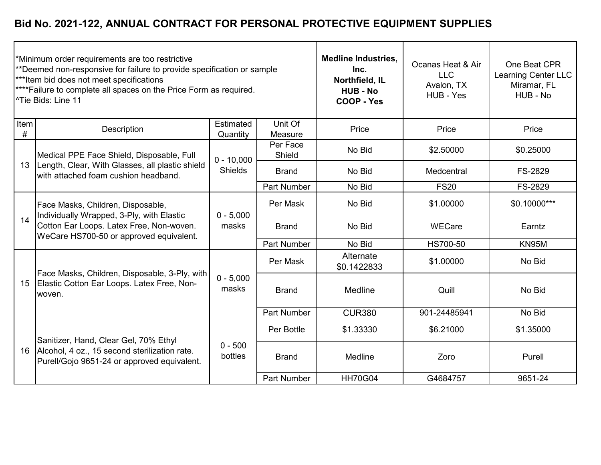|              | *Minimum order requirements are too restrictive<br>**Deemed non-responsive for failure to provide specification or sample<br>*** Item bid does not meet specifications<br>****Failure to complete all spaces on the Price Form as required.<br><sup>1</sup> Tie Bids: Line 11 |                       | <b>Medline Industries,</b><br>Inc.<br>Northfield, IL<br><b>HUB - No</b><br>COOP - Yes | Ocanas Heat & Air<br><b>LLC</b><br>Avalon, TX<br>HUB - Yes | One Beat CPR<br>Learning Center LLC<br>Miramar, FL<br>HUB - No |              |
|--------------|-------------------------------------------------------------------------------------------------------------------------------------------------------------------------------------------------------------------------------------------------------------------------------|-----------------------|---------------------------------------------------------------------------------------|------------------------------------------------------------|----------------------------------------------------------------|--------------|
| Item<br>$\#$ | Description                                                                                                                                                                                                                                                                   | Estimated<br>Quantity | Unit Of<br>Measure                                                                    | Price                                                      | Price                                                          | Price        |
|              | Medical PPE Face Shield, Disposable, Full                                                                                                                                                                                                                                     | $0 - 10,000$          | Per Face<br>Shield                                                                    | No Bid                                                     | \$2.50000                                                      | \$0.25000    |
| 13           | Length, Clear, With Glasses, all plastic shield<br>with attached foam cushion headband.                                                                                                                                                                                       | <b>Shields</b>        | <b>Brand</b>                                                                          | No Bid                                                     | Medcentral                                                     | FS-2829      |
|              |                                                                                                                                                                                                                                                                               |                       | <b>Part Number</b>                                                                    | No Bid                                                     | <b>FS20</b>                                                    | FS-2829      |
|              | Face Masks, Children, Disposable,<br>Individually Wrapped, 3-Ply, with Elastic<br>Cotton Ear Loops. Latex Free, Non-woven.<br>WeCare HS700-50 or approved equivalent.                                                                                                         | $0 - 5,000$<br>masks  | Per Mask                                                                              | No Bid                                                     | \$1.00000                                                      | \$0.10000*** |
| 14           |                                                                                                                                                                                                                                                                               |                       | <b>Brand</b>                                                                          | No Bid                                                     | WECare                                                         | Earntz       |
|              |                                                                                                                                                                                                                                                                               |                       | <b>Part Number</b>                                                                    | No Bid                                                     | HS700-50                                                       | KN95M        |
|              |                                                                                                                                                                                                                                                                               |                       | Per Mask                                                                              | Alternate<br>\$0.1422833                                   | \$1.00000                                                      | No Bid       |
| 15           | Face Masks, Children, Disposable, 3-Ply, with<br>Elastic Cotton Ear Loops. Latex Free, Non-<br>woven.                                                                                                                                                                         | $0 - 5,000$<br>masks  | <b>Brand</b>                                                                          | Medline                                                    | Quill                                                          | No Bid       |
|              |                                                                                                                                                                                                                                                                               |                       | <b>Part Number</b>                                                                    | <b>CUR380</b>                                              | 901-24485941                                                   | No Bid       |
|              | Sanitizer, Hand, Clear Gel, 70% Ethyl<br>Alcohol, 4 oz., 15 second sterilization rate.<br>Purell/Gojo 9651-24 or approved equivalent.                                                                                                                                         | $0 - 500$<br>bottles  | Per Bottle                                                                            | \$1.33330                                                  | \$6.21000                                                      | \$1.35000    |
| 16           |                                                                                                                                                                                                                                                                               |                       | <b>Brand</b>                                                                          | Medline                                                    | Zoro                                                           | Purell       |
|              |                                                                                                                                                                                                                                                                               |                       | <b>Part Number</b>                                                                    | <b>HH70G04</b>                                             | G4684757                                                       | 9651-24      |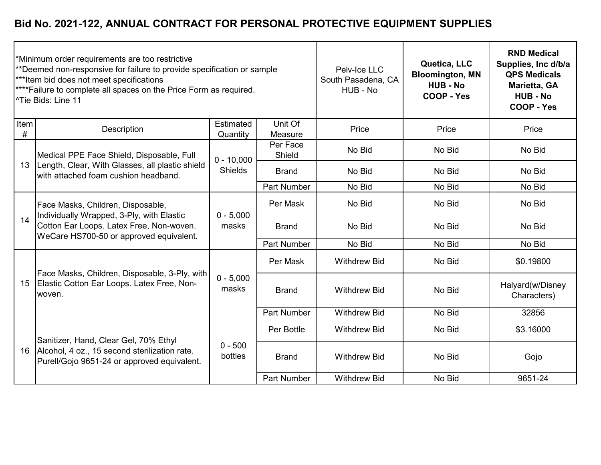|              | *Minimum order requirements are too restrictive<br>**Deemed non-responsive for failure to provide specification or sample<br>*** Item bid does not meet specifications<br>**** Failure to complete all spaces on the Price Form as required.<br><sup>^Tie</sup> Bids: Line 11 |                       | Pelv-Ice LLC<br>South Pasadena, CA<br>HUB - No | Quetica, LLC<br><b>Bloomington, MN</b><br><b>HUB - No</b><br>COOP - Yes | <b>RND Medical</b><br>Supplies, Inc d/b/a<br><b>QPS Medicals</b><br>Marietta, GA<br><b>HUB - No</b><br><b>COOP - Yes</b> |                                 |
|--------------|-------------------------------------------------------------------------------------------------------------------------------------------------------------------------------------------------------------------------------------------------------------------------------|-----------------------|------------------------------------------------|-------------------------------------------------------------------------|--------------------------------------------------------------------------------------------------------------------------|---------------------------------|
| Item<br>$\#$ | Description                                                                                                                                                                                                                                                                   | Estimated<br>Quantity | Unit Of<br>Measure                             | Price                                                                   | Price                                                                                                                    | Price                           |
|              | Medical PPE Face Shield, Disposable, Full                                                                                                                                                                                                                                     | $0 - 10,000$          | Per Face<br>Shield                             | No Bid                                                                  | No Bid                                                                                                                   | No Bid                          |
| 13           | Length, Clear, With Glasses, all plastic shield<br>lwith attached foam cushion headband.                                                                                                                                                                                      | <b>Shields</b>        | <b>Brand</b>                                   | No Bid                                                                  | No Bid                                                                                                                   | No Bid                          |
|              |                                                                                                                                                                                                                                                                               |                       | <b>Part Number</b>                             | No Bid                                                                  | No Bid                                                                                                                   | No Bid                          |
|              | Face Masks, Children, Disposable,<br>Individually Wrapped, 3-Ply, with Elastic<br>Cotton Ear Loops. Latex Free, Non-woven.<br>WeCare HS700-50 or approved equivalent.                                                                                                         | $0 - 5,000$<br>masks  | Per Mask                                       | No Bid                                                                  | No Bid                                                                                                                   | No Bid                          |
| 14           |                                                                                                                                                                                                                                                                               |                       | <b>Brand</b>                                   | No Bid                                                                  | No Bid                                                                                                                   | No Bid                          |
|              |                                                                                                                                                                                                                                                                               |                       | <b>Part Number</b>                             | No Bid                                                                  | No Bid                                                                                                                   | No Bid                          |
|              |                                                                                                                                                                                                                                                                               |                       | Per Mask                                       | <b>Withdrew Bid</b>                                                     | No Bid                                                                                                                   | \$0.19800                       |
| 15           | Face Masks, Children, Disposable, 3-Ply, with<br>Elastic Cotton Ear Loops. Latex Free, Non-<br>woven.                                                                                                                                                                         | $0 - 5,000$<br>masks  | <b>Brand</b>                                   | <b>Withdrew Bid</b>                                                     | No Bid                                                                                                                   | Halyard(w/Disney<br>Characters) |
|              |                                                                                                                                                                                                                                                                               |                       | <b>Part Number</b>                             | <b>Withdrew Bid</b>                                                     | No Bid                                                                                                                   | 32856                           |
|              | Sanitizer, Hand, Clear Gel, 70% Ethyl<br>Alcohol, 4 oz., 15 second sterilization rate.<br>Purell/Gojo 9651-24 or approved equivalent.                                                                                                                                         | $0 - 500$<br>bottles  | Per Bottle                                     | <b>Withdrew Bid</b>                                                     | No Bid                                                                                                                   | \$3.16000                       |
| 16           |                                                                                                                                                                                                                                                                               |                       | <b>Brand</b>                                   | <b>Withdrew Bid</b>                                                     | No Bid                                                                                                                   | Gojo                            |
|              |                                                                                                                                                                                                                                                                               |                       | <b>Part Number</b>                             | <b>Withdrew Bid</b>                                                     | No Bid                                                                                                                   | 9651-24                         |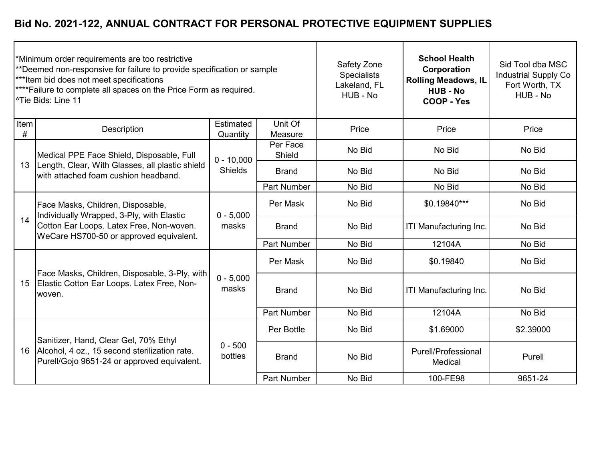| *Minimum order requirements are too restrictive<br>**Deemed non-responsive for failure to provide specification or sample<br>*** Item bid does not meet specifications<br>**** Failure to complete all spaces on the Price Form as required.<br><sup>^Tie</sup> Bids: Line 11 |                                                                                                                                                                       |                                |                    | Safety Zone<br><b>Specialists</b><br>Lakeland, FL<br>HUB - No | <b>School Health</b><br>Corporation<br><b>Rolling Meadows, IL</b><br><b>HUB - No</b><br>COOP - Yes | Sid Tool dba MSC<br><b>Industrial Supply Co</b><br>Fort Worth, TX<br>HUB - No |
|-------------------------------------------------------------------------------------------------------------------------------------------------------------------------------------------------------------------------------------------------------------------------------|-----------------------------------------------------------------------------------------------------------------------------------------------------------------------|--------------------------------|--------------------|---------------------------------------------------------------|----------------------------------------------------------------------------------------------------|-------------------------------------------------------------------------------|
| Item<br>#                                                                                                                                                                                                                                                                     | Description                                                                                                                                                           | Estimated<br>Quantity          | Unit Of<br>Measure | Price                                                         | Price                                                                                              | Price                                                                         |
|                                                                                                                                                                                                                                                                               | Medical PPE Face Shield, Disposable, Full                                                                                                                             | $0 - 10,000$<br><b>Shields</b> | Per Face<br>Shield | No Bid                                                        | No Bid                                                                                             | No Bid                                                                        |
| 13                                                                                                                                                                                                                                                                            | Length, Clear, With Glasses, all plastic shield<br>with attached foam cushion headband.                                                                               |                                | <b>Brand</b>       | No Bid                                                        | No Bid                                                                                             | No Bid                                                                        |
|                                                                                                                                                                                                                                                                               |                                                                                                                                                                       |                                | <b>Part Number</b> | No Bid                                                        | No Bid                                                                                             | No Bid                                                                        |
|                                                                                                                                                                                                                                                                               | Face Masks, Children, Disposable,<br>Individually Wrapped, 3-Ply, with Elastic<br>Cotton Ear Loops. Latex Free, Non-woven.<br>WeCare HS700-50 or approved equivalent. | $0 - 5,000$<br>masks           | Per Mask           | No Bid                                                        | \$0.19840***                                                                                       | No Bid                                                                        |
| 14                                                                                                                                                                                                                                                                            |                                                                                                                                                                       |                                | <b>Brand</b>       | No Bid                                                        | ITI Manufacturing Inc.                                                                             | No Bid                                                                        |
|                                                                                                                                                                                                                                                                               |                                                                                                                                                                       |                                | <b>Part Number</b> | No Bid                                                        | 12104A                                                                                             | No Bid                                                                        |
|                                                                                                                                                                                                                                                                               |                                                                                                                                                                       |                                | Per Mask           | No Bid                                                        | \$0.19840                                                                                          | No Bid                                                                        |
| 15                                                                                                                                                                                                                                                                            | Face Masks, Children, Disposable, 3-Ply, with<br>Elastic Cotton Ear Loops. Latex Free, Non-<br>woven.                                                                 | $0 - 5,000$<br>masks           | <b>Brand</b>       | No Bid                                                        | ITI Manufacturing Inc.                                                                             | No Bid                                                                        |
|                                                                                                                                                                                                                                                                               |                                                                                                                                                                       |                                | <b>Part Number</b> | No Bid                                                        | 12104A                                                                                             | No Bid                                                                        |
|                                                                                                                                                                                                                                                                               | Sanitizer, Hand, Clear Gel, 70% Ethyl                                                                                                                                 | $0 - 500$<br>bottles           | Per Bottle         | No Bid                                                        | \$1.69000                                                                                          | \$2.39000                                                                     |
| 16                                                                                                                                                                                                                                                                            | Alcohol, 4 oz., 15 second sterilization rate.<br>Purell/Gojo 9651-24 or approved equivalent.                                                                          |                                | <b>Brand</b>       | No Bid                                                        | Purell/Professional<br>Medical                                                                     | Purell                                                                        |
|                                                                                                                                                                                                                                                                               |                                                                                                                                                                       |                                | <b>Part Number</b> | No Bid                                                        | 100-FE98                                                                                           | 9651-24                                                                       |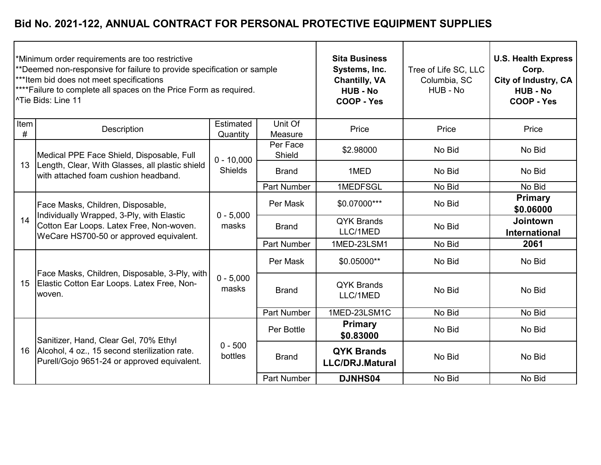|              | *Minimum order requirements are too restrictive<br>**Deemed non-responsive for failure to provide specification or sample<br>***Item bid does not meet specifications<br>**** Failure to complete all spaces on the Price Form as required.<br>l^Tie Bids: Line 11 |                       | <b>Sita Business</b><br>Systems, Inc.<br><b>Chantilly, VA</b><br><b>HUB - No</b><br>COOP - Yes | Tree of Life SC, LLC<br>Columbia, SC<br>HUB - No | <b>U.S. Health Express</b><br>Corp.<br><b>City of Industry, CA</b><br><b>HUB - No</b><br>COOP - Yes |                                  |
|--------------|--------------------------------------------------------------------------------------------------------------------------------------------------------------------------------------------------------------------------------------------------------------------|-----------------------|------------------------------------------------------------------------------------------------|--------------------------------------------------|-----------------------------------------------------------------------------------------------------|----------------------------------|
| Item<br>$\#$ | Description                                                                                                                                                                                                                                                        | Estimated<br>Quantity | Unit Of<br>Measure                                                                             | Price                                            | Price                                                                                               | Price                            |
|              | Medical PPE Face Shield, Disposable, Full                                                                                                                                                                                                                          | $0 - 10,000$          | Per Face<br>Shield                                                                             | \$2.98000                                        | No Bid                                                                                              | No Bid                           |
| 13           | Length, Clear, With Glasses, all plastic shield<br>with attached foam cushion headband.                                                                                                                                                                            | <b>Shields</b>        | <b>Brand</b>                                                                                   | 1MED                                             | No Bid                                                                                              | No Bid                           |
|              |                                                                                                                                                                                                                                                                    |                       | <b>Part Number</b>                                                                             | 1MEDFSGL                                         | No Bid                                                                                              | No Bid                           |
|              | Face Masks, Children, Disposable,<br>Individually Wrapped, 3-Ply, with Elastic<br>Cotton Ear Loops. Latex Free, Non-woven.<br>WeCare HS700-50 or approved equivalent.                                                                                              | $0 - 5,000$<br>masks  | Per Mask                                                                                       | \$0.07000***                                     | No Bid                                                                                              | <b>Primary</b><br>\$0.06000      |
| 14           |                                                                                                                                                                                                                                                                    |                       | <b>Brand</b>                                                                                   | <b>QYK Brands</b><br>LLC/1MED                    | No Bid                                                                                              | <b>Jointown</b><br>International |
|              |                                                                                                                                                                                                                                                                    |                       | <b>Part Number</b>                                                                             | 1MED-23LSM1                                      | No Bid                                                                                              | 2061                             |
|              |                                                                                                                                                                                                                                                                    |                       | Per Mask                                                                                       | \$0.05000**                                      | No Bid                                                                                              | No Bid                           |
| 15           | Face Masks, Children, Disposable, 3-Ply, with<br>Elastic Cotton Ear Loops. Latex Free, Non-<br>woven.                                                                                                                                                              | $0 - 5,000$<br>masks  | <b>Brand</b>                                                                                   | <b>QYK Brands</b><br>LLC/1MED                    | No Bid                                                                                              | No Bid                           |
|              |                                                                                                                                                                                                                                                                    |                       | <b>Part Number</b>                                                                             | 1MED-23LSM1C                                     | No Bid                                                                                              | No Bid                           |
|              | Sanitizer, Hand, Clear Gel, 70% Ethyl                                                                                                                                                                                                                              | $0 - 500$<br>bottles  | Per Bottle                                                                                     | Primary<br>\$0.83000                             | No Bid                                                                                              | No Bid                           |
| 16           | Alcohol, 4 oz., 15 second sterilization rate.<br>Purell/Gojo 9651-24 or approved equivalent.                                                                                                                                                                       |                       | <b>Brand</b>                                                                                   | <b>QYK Brands</b><br><b>LLC/DRJ.Matural</b>      | No Bid                                                                                              | No Bid                           |
|              |                                                                                                                                                                                                                                                                    |                       | <b>Part Number</b>                                                                             | <b>DJNHS04</b>                                   | No Bid                                                                                              | No Bid                           |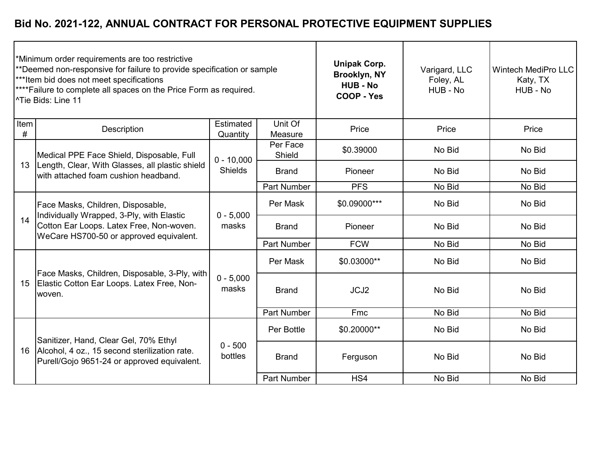| *Minimum order requirements are too restrictive<br>**Deemed non-responsive for failure to provide specification or sample<br>***Item bid does not meet specifications<br>****Failure to complete all spaces on the Price Form as required.<br><sup>1</sup> Tie Bids: Line 11 |                                                                                                                                                                       |                                |                    | <b>Unipak Corp.</b><br>Brooklyn, NY<br><b>HUB - No</b><br>COOP - Yes | Varigard, LLC<br>Foley, AL<br>HUB - No | <b>Wintech MediPro LLC</b><br>Katy, TX<br>HUB - No |
|------------------------------------------------------------------------------------------------------------------------------------------------------------------------------------------------------------------------------------------------------------------------------|-----------------------------------------------------------------------------------------------------------------------------------------------------------------------|--------------------------------|--------------------|----------------------------------------------------------------------|----------------------------------------|----------------------------------------------------|
| Item<br>#                                                                                                                                                                                                                                                                    | Description                                                                                                                                                           | Estimated<br>Quantity          | Unit Of<br>Measure | Price                                                                | Price                                  | Price                                              |
|                                                                                                                                                                                                                                                                              | Medical PPE Face Shield, Disposable, Full                                                                                                                             | $0 - 10,000$<br><b>Shields</b> | Per Face<br>Shield | \$0.39000                                                            | No Bid                                 | No Bid                                             |
| 13                                                                                                                                                                                                                                                                           | Length, Clear, With Glasses, all plastic shield<br>with attached foam cushion headband.                                                                               |                                | <b>Brand</b>       | Pioneer                                                              | No Bid                                 | No Bid                                             |
|                                                                                                                                                                                                                                                                              |                                                                                                                                                                       |                                | <b>Part Number</b> | <b>PFS</b>                                                           | No Bid                                 | No Bid                                             |
|                                                                                                                                                                                                                                                                              | Face Masks, Children, Disposable,<br>Individually Wrapped, 3-Ply, with Elastic<br>Cotton Ear Loops. Latex Free, Non-woven.<br>WeCare HS700-50 or approved equivalent. | $0 - 5,000$<br>masks           | Per Mask           | \$0.09000***                                                         | No Bid                                 | No Bid                                             |
| 14                                                                                                                                                                                                                                                                           |                                                                                                                                                                       |                                | <b>Brand</b>       | Pioneer                                                              | No Bid                                 | No Bid                                             |
|                                                                                                                                                                                                                                                                              |                                                                                                                                                                       |                                | <b>Part Number</b> | <b>FCW</b>                                                           | No Bid                                 | No Bid                                             |
|                                                                                                                                                                                                                                                                              |                                                                                                                                                                       |                                | Per Mask           | \$0.03000**                                                          | No Bid                                 | No Bid                                             |
| 15                                                                                                                                                                                                                                                                           | Face Masks, Children, Disposable, 3-Ply, with<br>Elastic Cotton Ear Loops. Latex Free, Non-<br>woven.                                                                 | $0 - 5,000$<br>masks           | <b>Brand</b>       | JCJ2                                                                 | No Bid                                 | No Bid                                             |
|                                                                                                                                                                                                                                                                              |                                                                                                                                                                       |                                | Part Number        | Fmc                                                                  | No Bid                                 | No Bid                                             |
|                                                                                                                                                                                                                                                                              | Sanitizer, Hand, Clear Gel, 70% Ethyl                                                                                                                                 | $0 - 500$<br>bottles           | Per Bottle         | \$0.20000**                                                          | No Bid                                 | No Bid                                             |
| 16                                                                                                                                                                                                                                                                           | Alcohol, 4 oz., 15 second sterilization rate.<br>Purell/Gojo 9651-24 or approved equivalent.                                                                          |                                | <b>Brand</b>       | Ferguson                                                             | No Bid                                 | No Bid                                             |
|                                                                                                                                                                                                                                                                              |                                                                                                                                                                       |                                | Part Number        | HS4                                                                  | No Bid                                 | No Bid                                             |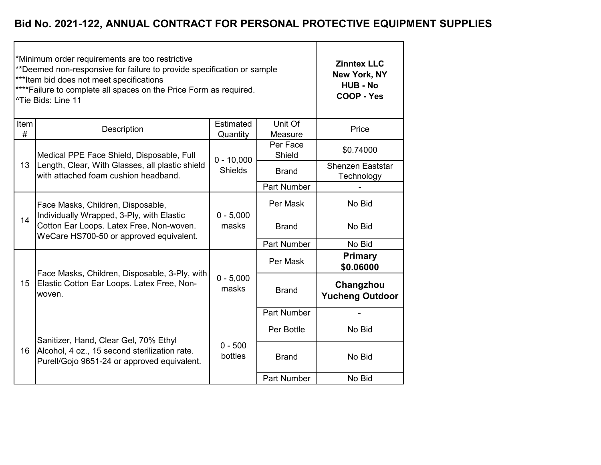|              | *Minimum order requirements are too restrictive<br>**Deemed non-responsive for failure to provide specification or sample<br>*** Item bid does not meet specifications<br>**** Failure to complete all spaces on the Price Form as required.<br><sup>^Tie</sup> Bids: Line 11 | <b>Zinntex LLC</b><br>New York, NY<br><b>HUB - No</b><br><b>COOP - Yes</b> |                    |                                       |
|--------------|-------------------------------------------------------------------------------------------------------------------------------------------------------------------------------------------------------------------------------------------------------------------------------|----------------------------------------------------------------------------|--------------------|---------------------------------------|
| Item<br>$\#$ | Description                                                                                                                                                                                                                                                                   | Estimated<br>Quantity                                                      | Unit Of<br>Measure | Price                                 |
|              | Medical PPE Face Shield, Disposable, Full                                                                                                                                                                                                                                     | $0 - 10,000$                                                               | Per Face<br>Shield | \$0.74000                             |
| 13           | Length, Clear, With Glasses, all plastic shield<br>with attached foam cushion headband.                                                                                                                                                                                       | <b>Shields</b>                                                             | <b>Brand</b>       | <b>Shenzen Eaststar</b><br>Technology |
|              |                                                                                                                                                                                                                                                                               |                                                                            | Part Number        |                                       |
|              | Face Masks, Children, Disposable,                                                                                                                                                                                                                                             | $0 - 5,000$                                                                | Per Mask           | No Bid                                |
| 14           | Individually Wrapped, 3-Ply, with Elastic<br>Cotton Ear Loops. Latex Free, Non-woven.<br>WeCare HS700-50 or approved equivalent.                                                                                                                                              | masks                                                                      | <b>Brand</b>       | No Bid                                |
|              |                                                                                                                                                                                                                                                                               |                                                                            | Part Number        | No Bid                                |
|              | Face Masks, Children, Disposable, 3-Ply, with                                                                                                                                                                                                                                 |                                                                            | Per Mask           | <b>Primary</b><br>\$0.06000           |
| 15           | Elastic Cotton Ear Loops. Latex Free, Non-<br>woven.                                                                                                                                                                                                                          | $0 - 5,000$<br>masks                                                       | <b>Brand</b>       | Changzhou<br><b>Yucheng Outdoor</b>   |
|              |                                                                                                                                                                                                                                                                               |                                                                            | Part Number        |                                       |
|              | Sanitizer, Hand, Clear Gel, 70% Ethyl                                                                                                                                                                                                                                         |                                                                            | Per Bottle         | No Bid                                |
| 16           | Alcohol, 4 oz., 15 second sterilization rate.<br>Purell/Gojo 9651-24 or approved equivalent.                                                                                                                                                                                  | $0 - 500$<br>bottles                                                       | <b>Brand</b>       | No Bid                                |
|              |                                                                                                                                                                                                                                                                               |                                                                            | Part Number        | No Bid                                |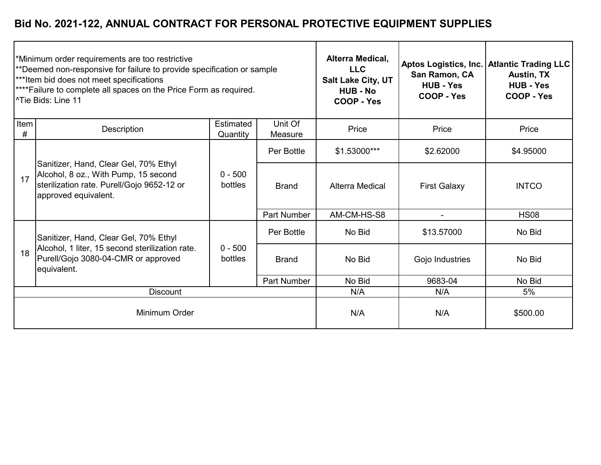|                  | *Minimum order requirements are too restrictive<br>**Deemed non-responsive for failure to provide specification or sample<br>***Item bid does not meet specifications<br>****Failure to complete all spaces on the Price Form as required.<br><sup>1</sup> Tie Bids: Line 11 | Alterra Medical,<br><b>LLC</b><br><b>Salt Lake City, UT</b><br><b>HUB - No</b><br>COOP - Yes | Aptos Logistics, Inc.<br>San Ramon, CA<br><b>HUB - Yes</b><br>COOP - Yes | <b>Atlantic Trading LLC</b><br><b>Austin, TX</b><br><b>HUB - Yes</b><br>COOP - Yes |                     |              |
|------------------|------------------------------------------------------------------------------------------------------------------------------------------------------------------------------------------------------------------------------------------------------------------------------|----------------------------------------------------------------------------------------------|--------------------------------------------------------------------------|------------------------------------------------------------------------------------|---------------------|--------------|
| <b>Item</b><br># | Description                                                                                                                                                                                                                                                                  | Estimated<br>Quantity                                                                        | Unit Of<br>Measure                                                       | Price                                                                              | Price               | Price        |
| 17               | Sanitizer, Hand, Clear Gel, 70% Ethyl<br>Alcohol, 8 oz., With Pump, 15 second<br>sterilization rate. Purell/Gojo 9652-12 or<br>approved equivalent.                                                                                                                          | $0 - 500$<br>bottles                                                                         | Per Bottle                                                               | \$1.53000***                                                                       | \$2.62000           | \$4.95000    |
|                  |                                                                                                                                                                                                                                                                              |                                                                                              | <b>Brand</b>                                                             | <b>Alterra Medical</b>                                                             | <b>First Galaxy</b> | <b>INTCO</b> |
|                  |                                                                                                                                                                                                                                                                              |                                                                                              | <b>Part Number</b>                                                       | AM-CM-HS-S8                                                                        |                     | <b>HS08</b>  |
|                  | Sanitizer, Hand, Clear Gel, 70% Ethyl                                                                                                                                                                                                                                        |                                                                                              | Per Bottle                                                               | No Bid                                                                             | \$13.57000          | No Bid       |
| 18               | Alcohol, 1 liter, 15 second sterilization rate.<br>Purell/Gojo 3080-04-CMR or approved<br>equivalent.                                                                                                                                                                        | $0 - 500$<br>bottles                                                                         | <b>Brand</b>                                                             | No Bid                                                                             | Gojo Industries     | No Bid       |
|                  |                                                                                                                                                                                                                                                                              |                                                                                              | <b>Part Number</b>                                                       | No Bid                                                                             | 9683-04             | No Bid       |
|                  | <b>Discount</b>                                                                                                                                                                                                                                                              |                                                                                              | N/A                                                                      | N/A                                                                                | 5%                  |              |
| Minimum Order    |                                                                                                                                                                                                                                                                              |                                                                                              | N/A                                                                      | N/A                                                                                | \$500.00            |              |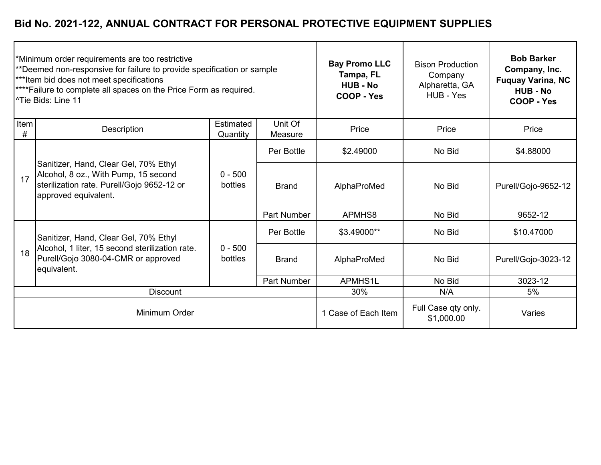| *Minimum order requirements are too restrictive<br>**Deemed non-responsive for failure to provide specification or sample<br>***Item bid does not meet specifications<br>****Failure to complete all spaces on the Price Form as required.<br><sup>1</sup> Tie Bids: Line 11 |                                                                                                                                                     |                       |                     | <b>Bay Promo LLC</b><br>Tampa, FL<br><b>HUB - No</b><br>COOP - Yes | <b>Bison Production</b><br>Company<br>Alpharetta, GA<br>HUB - Yes | <b>Bob Barker</b><br>Company, Inc.<br><b>Fuquay Varina, NC</b><br><b>HUB - No</b><br>COOP - Yes |
|------------------------------------------------------------------------------------------------------------------------------------------------------------------------------------------------------------------------------------------------------------------------------|-----------------------------------------------------------------------------------------------------------------------------------------------------|-----------------------|---------------------|--------------------------------------------------------------------|-------------------------------------------------------------------|-------------------------------------------------------------------------------------------------|
| Item<br>#                                                                                                                                                                                                                                                                    | Description                                                                                                                                         | Estimated<br>Quantity | Unit Of<br>Measure  | Price                                                              | Price                                                             | Price                                                                                           |
|                                                                                                                                                                                                                                                                              | Sanitizer, Hand, Clear Gel, 70% Ethyl<br>Alcohol, 8 oz., With Pump, 15 second<br>sterilization rate. Purell/Gojo 9652-12 or<br>approved equivalent. | $0 - 500$<br>bottles  | Per Bottle          | \$2.49000                                                          | No Bid                                                            | \$4.88000                                                                                       |
| 17                                                                                                                                                                                                                                                                           |                                                                                                                                                     |                       | <b>Brand</b>        | AlphaProMed                                                        | No Bid                                                            | Purell/Gojo-9652-12                                                                             |
|                                                                                                                                                                                                                                                                              |                                                                                                                                                     |                       | <b>Part Number</b>  | APMHS8                                                             | No Bid                                                            | 9652-12                                                                                         |
|                                                                                                                                                                                                                                                                              | Sanitizer, Hand, Clear Gel, 70% Ethyl                                                                                                               |                       | Per Bottle          | \$3.49000**                                                        | No Bid                                                            | \$10.47000                                                                                      |
| 18                                                                                                                                                                                                                                                                           | Alcohol, 1 liter, 15 second sterilization rate.<br>Purell/Gojo 3080-04-CMR or approved<br>equivalent.                                               | $0 - 500$<br>bottles  | <b>Brand</b>        | AlphaProMed                                                        | No Bid                                                            | Purell/Gojo-3023-12                                                                             |
|                                                                                                                                                                                                                                                                              |                                                                                                                                                     |                       | <b>Part Number</b>  | APMHS1L                                                            | No Bid                                                            | 3023-12                                                                                         |
| <b>Discount</b>                                                                                                                                                                                                                                                              |                                                                                                                                                     |                       |                     | 30%                                                                | N/A                                                               | 5%                                                                                              |
| Minimum Order                                                                                                                                                                                                                                                                |                                                                                                                                                     |                       | 1 Case of Each Item | Full Case qty only.<br>\$1,000.00                                  | Varies                                                            |                                                                                                 |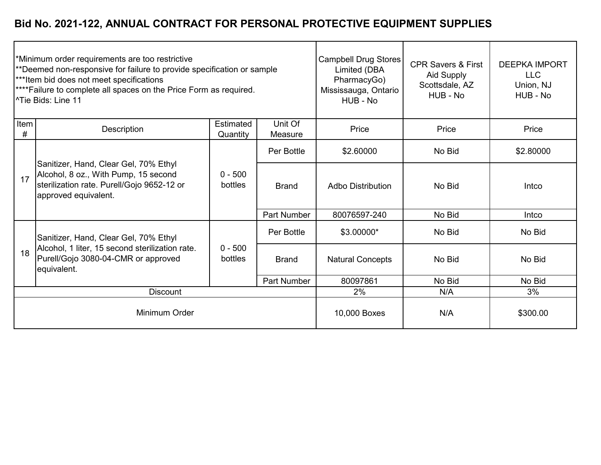|               | *Minimum order requirements are too restrictive<br>**Deemed non-responsive for failure to provide specification or sample<br>***Item bid does not meet specifications<br><sup>****</sup> Failure to complete all spaces on the Price Form as required.<br>l^Tie Bids: Line 11 |                       | Campbell Drug Stores<br>Limited (DBA<br>PharmacyGo)<br>Mississauga, Ontario<br>HUB - No | <b>CPR Savers &amp; First</b><br>Aid Supply<br>Scottsdale, AZ<br>HUB - No | <b>DEEPKA IMPORT</b><br><b>LLC</b><br>Union, NJ<br>HUB - No |           |
|---------------|-------------------------------------------------------------------------------------------------------------------------------------------------------------------------------------------------------------------------------------------------------------------------------|-----------------------|-----------------------------------------------------------------------------------------|---------------------------------------------------------------------------|-------------------------------------------------------------|-----------|
| Item<br>#     | <b>Description</b>                                                                                                                                                                                                                                                            | Estimated<br>Quantity | Unit Of<br>Measure                                                                      | Price                                                                     | Price                                                       | Price     |
|               | Sanitizer, Hand, Clear Gel, 70% Ethyl<br>Alcohol, 8 oz., With Pump, 15 second<br>sterilization rate. Purell/Gojo 9652-12 or<br>approved equivalent.                                                                                                                           | $0 - 500$<br>bottles  | Per Bottle                                                                              | \$2.60000                                                                 | No Bid                                                      | \$2.80000 |
| 17            |                                                                                                                                                                                                                                                                               |                       | <b>Brand</b>                                                                            | <b>Adbo Distribution</b>                                                  | No Bid                                                      | Intco     |
|               |                                                                                                                                                                                                                                                                               |                       | Part Number                                                                             | 80076597-240                                                              | No Bid                                                      | Intco     |
|               | Sanitizer, Hand, Clear Gel, 70% Ethyl                                                                                                                                                                                                                                         |                       | Per Bottle                                                                              | \$3.00000*                                                                | No Bid                                                      | No Bid    |
| 18            | Alcohol, 1 liter, 15 second sterilization rate.<br>Purell/Gojo 3080-04-CMR or approved<br>equivalent.                                                                                                                                                                         | $0 - 500$<br>bottles  | <b>Brand</b>                                                                            | <b>Natural Concepts</b>                                                   | No Bid                                                      | No Bid    |
|               |                                                                                                                                                                                                                                                                               |                       | <b>Part Number</b>                                                                      | 80097861                                                                  | No Bid                                                      | No Bid    |
|               | <b>Discount</b>                                                                                                                                                                                                                                                               |                       | 2%                                                                                      | N/A                                                                       | 3%                                                          |           |
| Minimum Order |                                                                                                                                                                                                                                                                               |                       | 10,000 Boxes                                                                            | N/A                                                                       | \$300.00                                                    |           |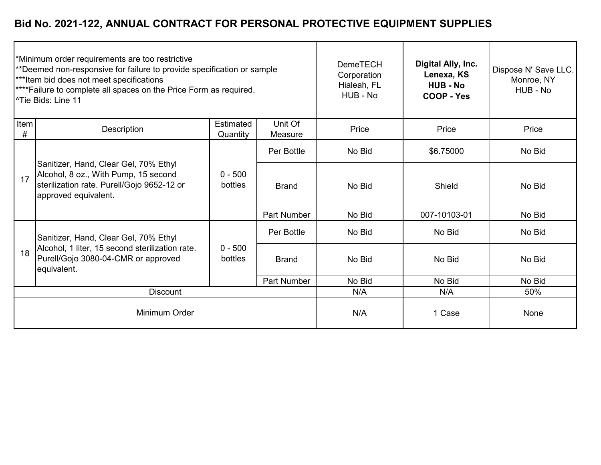| *Minimum order requirements are too restrictive<br>**Deemed non-responsive for failure to provide specification or sample<br>***Item bid does not meet specifications<br><sup>****</sup> Failure to complete all spaces on the Price Form as required.<br><sup>1</sup> Tie Bids: Line 11 |                                                                                                                                                     |                       | <b>DemeTECH</b><br>Corporation<br>Hialeah, FL<br>HUB - No | Digital Ally, Inc.<br>Lenexa, KS<br><b>HUB - No</b><br>COOP - Yes | Dispose N' Save LLC.<br>Monroe, NY<br>HUB - No |        |
|------------------------------------------------------------------------------------------------------------------------------------------------------------------------------------------------------------------------------------------------------------------------------------------|-----------------------------------------------------------------------------------------------------------------------------------------------------|-----------------------|-----------------------------------------------------------|-------------------------------------------------------------------|------------------------------------------------|--------|
| Item<br>#                                                                                                                                                                                                                                                                                | Description                                                                                                                                         | Estimated<br>Quantity | Unit Of<br>Measure                                        | Price                                                             | Price                                          | Price  |
| 17                                                                                                                                                                                                                                                                                       | Sanitizer, Hand, Clear Gel, 70% Ethyl<br>Alcohol, 8 oz., With Pump, 15 second<br>sterilization rate. Purell/Gojo 9652-12 or<br>approved equivalent. | $0 - 500$<br>bottles  | Per Bottle                                                | No Bid                                                            | \$6.75000                                      | No Bid |
|                                                                                                                                                                                                                                                                                          |                                                                                                                                                     |                       | <b>Brand</b>                                              | No Bid                                                            | Shield                                         | No Bid |
|                                                                                                                                                                                                                                                                                          |                                                                                                                                                     |                       | <b>Part Number</b>                                        | No Bid                                                            | 007-10103-01                                   | No Bid |
|                                                                                                                                                                                                                                                                                          | Sanitizer, Hand, Clear Gel, 70% Ethyl                                                                                                               |                       | Per Bottle                                                | No Bid                                                            | No Bid                                         | No Bid |
| 18                                                                                                                                                                                                                                                                                       | Alcohol, 1 liter, 15 second sterilization rate.<br>Purell/Gojo 3080-04-CMR or approved<br>equivalent.                                               | $0 - 500$<br>bottles  | <b>Brand</b>                                              | No Bid                                                            | No Bid                                         | No Bid |
|                                                                                                                                                                                                                                                                                          |                                                                                                                                                     |                       | <b>Part Number</b>                                        | No Bid                                                            | No Bid                                         | No Bid |
|                                                                                                                                                                                                                                                                                          | <b>Discount</b>                                                                                                                                     | N/A                   | N/A                                                       | 50%                                                               |                                                |        |
|                                                                                                                                                                                                                                                                                          | Minimum Order                                                                                                                                       |                       |                                                           | N/A                                                               | 1 Case                                         | None   |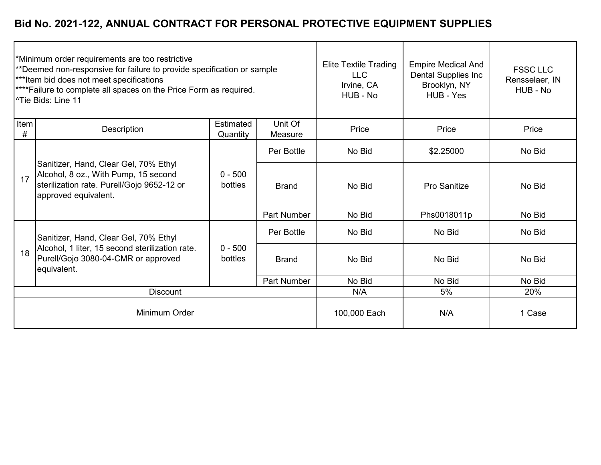| Minimum order requirements are too restrictive<br>**Deemed non-responsive for failure to provide specification or sample<br>***Item bid does not meet specifications<br><sup>****</sup> Failure to complete all spaces on the Price Form as required.<br>l^Tie Bids: Line 11 |                                                                                                                                                     |                       |                    | <b>Elite Textile Trading</b><br><b>LLC</b><br>Irvine, CA<br>HUB - No | <b>Empire Medical And</b><br><b>Dental Supplies Inc</b><br>Brooklyn, NY<br>HUB - Yes | <b>FSSC LLC</b><br>Rensselaer, IN<br>HUB - No |
|------------------------------------------------------------------------------------------------------------------------------------------------------------------------------------------------------------------------------------------------------------------------------|-----------------------------------------------------------------------------------------------------------------------------------------------------|-----------------------|--------------------|----------------------------------------------------------------------|--------------------------------------------------------------------------------------|-----------------------------------------------|
| Item<br>#                                                                                                                                                                                                                                                                    | Description                                                                                                                                         | Estimated<br>Quantity | Unit Of<br>Measure | Price                                                                | Price                                                                                | Price                                         |
|                                                                                                                                                                                                                                                                              | Sanitizer, Hand, Clear Gel, 70% Ethyl<br>Alcohol, 8 oz., With Pump, 15 second<br>sterilization rate. Purell/Gojo 9652-12 or<br>approved equivalent. | $0 - 500$<br>bottles  | Per Bottle         | No Bid                                                               | \$2.25000                                                                            | No Bid                                        |
| 17                                                                                                                                                                                                                                                                           |                                                                                                                                                     |                       | <b>Brand</b>       | No Bid                                                               | <b>Pro Sanitize</b>                                                                  | No Bid                                        |
|                                                                                                                                                                                                                                                                              |                                                                                                                                                     |                       | Part Number        | No Bid                                                               | Phs0018011p                                                                          | No Bid                                        |
|                                                                                                                                                                                                                                                                              | Sanitizer, Hand, Clear Gel, 70% Ethyl                                                                                                               |                       | Per Bottle         | No Bid                                                               | No Bid                                                                               | No Bid                                        |
| 18                                                                                                                                                                                                                                                                           | Alcohol, 1 liter, 15 second sterilization rate.<br>Purell/Gojo 3080-04-CMR or approved<br>equivalent.                                               | $0 - 500$<br>bottles  | <b>Brand</b>       | No Bid                                                               | No Bid                                                                               | No Bid                                        |
|                                                                                                                                                                                                                                                                              |                                                                                                                                                     |                       | <b>Part Number</b> | No Bid                                                               | No Bid                                                                               | No Bid                                        |
|                                                                                                                                                                                                                                                                              | <b>Discount</b>                                                                                                                                     |                       | N/A                | 5%                                                                   | 20%                                                                                  |                                               |
| Minimum Order                                                                                                                                                                                                                                                                |                                                                                                                                                     |                       | 100,000 Each       | N/A                                                                  | 1 Case                                                                               |                                               |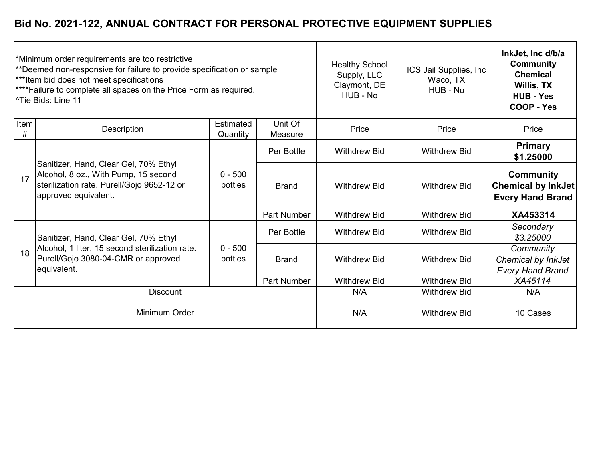|           | *Minimum order requirements are too restrictive<br>**Deemed non-responsive for failure to provide specification or sample<br>***Item bid does not meet specifications<br>**** Failure to complete all spaces on the Price Form as required.<br><sup>1</sup> Tie Bids: Line 11 |                       | <b>Healthy School</b><br>Supply, LLC<br>Claymont, DE<br>HUB - No | ICS Jail Supplies, Inc.<br>Waco, TX<br>HUB - No | InkJet, Inc d/b/a<br><b>Community</b><br><b>Chemical</b><br>Willis, TX<br><b>HUB - Yes</b><br><b>COOP - Yes</b> |                                                                          |
|-----------|-------------------------------------------------------------------------------------------------------------------------------------------------------------------------------------------------------------------------------------------------------------------------------|-----------------------|------------------------------------------------------------------|-------------------------------------------------|-----------------------------------------------------------------------------------------------------------------|--------------------------------------------------------------------------|
| Item<br># | Description                                                                                                                                                                                                                                                                   | Estimated<br>Quantity | Unit Of<br>Measure                                               | Price                                           | Price                                                                                                           | Price                                                                    |
|           | Sanitizer, Hand, Clear Gel, 70% Ethyl<br>Alcohol, 8 oz., With Pump, 15 second<br>sterilization rate. Purell/Gojo 9652-12 or<br>approved equivalent.                                                                                                                           |                       | Per Bottle                                                       | <b>Withdrew Bid</b>                             | <b>Withdrew Bid</b>                                                                                             | <b>Primary</b><br>\$1.25000                                              |
| 17        |                                                                                                                                                                                                                                                                               | $0 - 500$<br>bottles  | <b>Brand</b>                                                     | <b>Withdrew Bid</b>                             | <b>Withdrew Bid</b>                                                                                             | <b>Community</b><br><b>Chemical by InkJet</b><br><b>Every Hand Brand</b> |
|           |                                                                                                                                                                                                                                                                               |                       | Part Number                                                      | <b>Withdrew Bid</b>                             | <b>Withdrew Bid</b>                                                                                             | XA453314                                                                 |
|           | Sanitizer, Hand, Clear Gel, 70% Ethyl                                                                                                                                                                                                                                         | $0 - 500$<br>bottles  | Per Bottle                                                       | <b>Withdrew Bid</b>                             | <b>Withdrew Bid</b>                                                                                             | Secondary<br>\$3.25000                                                   |
| 18        | Alcohol, 1 liter, 15 second sterilization rate.<br>Purell/Gojo 3080-04-CMR or approved<br>equivalent.                                                                                                                                                                         |                       | <b>Brand</b>                                                     | <b>Withdrew Bid</b>                             | <b>Withdrew Bid</b>                                                                                             | Community<br>Chemical by InkJet<br><b>Every Hand Brand</b>               |
|           |                                                                                                                                                                                                                                                                               |                       | <b>Part Number</b>                                               | <b>Withdrew Bid</b>                             | <b>Withdrew Bid</b>                                                                                             | XA45114                                                                  |
|           | <b>Discount</b>                                                                                                                                                                                                                                                               |                       |                                                                  | N/A                                             | <b>Withdrew Bid</b>                                                                                             | N/A                                                                      |
|           | Minimum Order                                                                                                                                                                                                                                                                 |                       |                                                                  | N/A                                             | <b>Withdrew Bid</b>                                                                                             | 10 Cases                                                                 |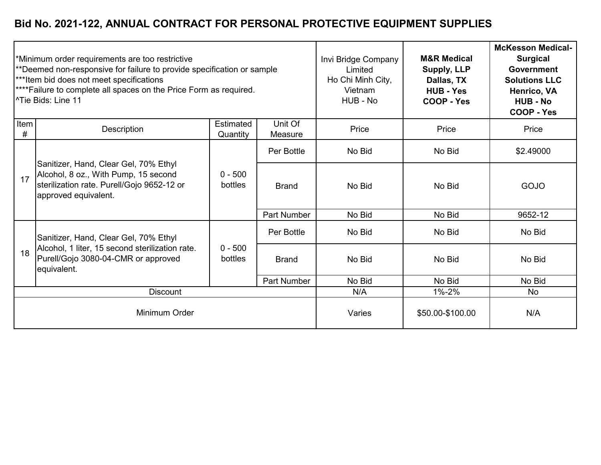|               | Minimum order requirements are too restrictive<br>**Deemed non-responsive for failure to provide specification or sample<br>***Item bid does not meet specifications<br>****Failure to complete all spaces on the Price Form as required.<br><sup>1</sup> Tie Bids: Line 11 |                              | Invi Bridge Company<br>Limited<br>Ho Chi Minh City,<br>Vietnam<br>HUB - No | <b>M&amp;R Medical</b><br>Supply, LLP<br>Dallas, TX<br><b>HUB - Yes</b><br>COOP - Yes | <b>McKesson Medical-</b><br><b>Surgical</b><br><b>Government</b><br><b>Solutions LLC</b><br>Henrico, VA<br><b>HUB - No</b><br>COOP - Yes |           |
|---------------|-----------------------------------------------------------------------------------------------------------------------------------------------------------------------------------------------------------------------------------------------------------------------------|------------------------------|----------------------------------------------------------------------------|---------------------------------------------------------------------------------------|------------------------------------------------------------------------------------------------------------------------------------------|-----------|
| Item<br>#     | Description                                                                                                                                                                                                                                                                 | <b>Estimated</b><br>Quantity | Unit Of<br>Measure                                                         | Price                                                                                 | Price                                                                                                                                    | Price     |
|               | Sanitizer, Hand, Clear Gel, 70% Ethyl<br>Alcohol, 8 oz., With Pump, 15 second<br>sterilization rate. Purell/Gojo 9652-12 or<br>approved equivalent.                                                                                                                         | $0 - 500$<br>bottles         | Per Bottle                                                                 | No Bid                                                                                | No Bid                                                                                                                                   | \$2.49000 |
| 17            |                                                                                                                                                                                                                                                                             |                              | <b>Brand</b>                                                               | No Bid                                                                                | No Bid                                                                                                                                   | GOJO      |
|               |                                                                                                                                                                                                                                                                             |                              | <b>Part Number</b>                                                         | No Bid                                                                                | No Bid                                                                                                                                   | 9652-12   |
|               | Sanitizer, Hand, Clear Gel, 70% Ethyl                                                                                                                                                                                                                                       |                              | Per Bottle                                                                 | No Bid                                                                                | No Bid                                                                                                                                   | No Bid    |
| 18            | Alcohol, 1 liter, 15 second sterilization rate.<br>Purell/Gojo 3080-04-CMR or approved<br>equivalent.                                                                                                                                                                       | $0 - 500$<br>bottles         | <b>Brand</b>                                                               | No Bid                                                                                | No Bid                                                                                                                                   | No Bid    |
|               |                                                                                                                                                                                                                                                                             |                              | <b>Part Number</b>                                                         | No Bid                                                                                | No Bid                                                                                                                                   | No Bid    |
|               | <b>Discount</b>                                                                                                                                                                                                                                                             |                              | N/A                                                                        | 1%-2%                                                                                 | <b>No</b>                                                                                                                                |           |
| Minimum Order |                                                                                                                                                                                                                                                                             |                              | Varies                                                                     | \$50.00-\$100.00                                                                      | N/A                                                                                                                                      |           |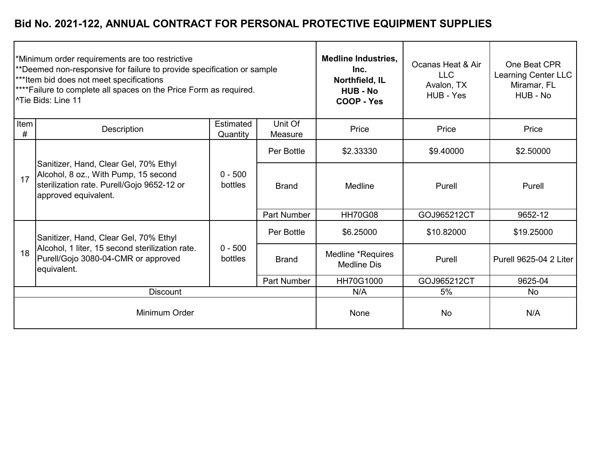|           | Minimum order requirements are too restrictive<br>**Deemed non-responsive for failure to provide specification or sample<br>***Item bid does not meet specifications<br>****Failure to complete all spaces on the Price Form as required.<br><sup>^</sup> Tie Bids: Line 11 |                       | <b>Medline Industries,</b><br>Inc.<br>Northfield, IL<br><b>HUB - No</b><br>COOP - Yes | Ocanas Heat & Air<br><b>LLC</b><br>Avalon, TX<br>HUB - Yes | One Beat CPR<br>Learning Center LLC<br>Miramar, FL<br>HUB - No |                               |
|-----------|-----------------------------------------------------------------------------------------------------------------------------------------------------------------------------------------------------------------------------------------------------------------------------|-----------------------|---------------------------------------------------------------------------------------|------------------------------------------------------------|----------------------------------------------------------------|-------------------------------|
| Item<br># | Description                                                                                                                                                                                                                                                                 | Estimated<br>Quantity | Unit Of<br>Measure                                                                    | Price                                                      | Price                                                          | Price                         |
|           | Sanitizer, Hand, Clear Gel, 70% Ethyl<br>Alcohol, 8 oz., With Pump, 15 second<br>sterilization rate. Purell/Gojo 9652-12 or<br>approved equivalent.                                                                                                                         |                       | Per Bottle                                                                            | \$2.33330                                                  | \$9.40000                                                      | \$2.50000                     |
| 17        |                                                                                                                                                                                                                                                                             | $0 - 500$<br>bottles  | <b>Brand</b>                                                                          | Medline                                                    | Purell                                                         | Purell                        |
|           |                                                                                                                                                                                                                                                                             |                       | <b>Part Number</b>                                                                    | <b>HH70G08</b>                                             | GOJ965212CT                                                    | 9652-12                       |
|           | Sanitizer, Hand, Clear Gel, 70% Ethyl                                                                                                                                                                                                                                       |                       | Per Bottle                                                                            | \$6.25000                                                  | \$10.82000                                                     | \$19.25000                    |
| 18        | Alcohol, 1 liter, 15 second sterilization rate.<br>Purell/Gojo 3080-04-CMR or approved<br>equivalent.                                                                                                                                                                       | $0 - 500$<br>bottles  | <b>Brand</b>                                                                          | Medline *Requires<br><b>Medline Dis</b>                    | Purell                                                         | <b>Purell 9625-04 2 Liter</b> |
|           |                                                                                                                                                                                                                                                                             |                       | <b>Part Number</b>                                                                    | HH70G1000                                                  | GOJ965212CT                                                    | 9625-04                       |
|           | <b>Discount</b>                                                                                                                                                                                                                                                             | N/A                   | 5%                                                                                    | <b>No</b>                                                  |                                                                |                               |
|           | Minimum Order                                                                                                                                                                                                                                                               |                       |                                                                                       | None                                                       | <b>No</b>                                                      | N/A                           |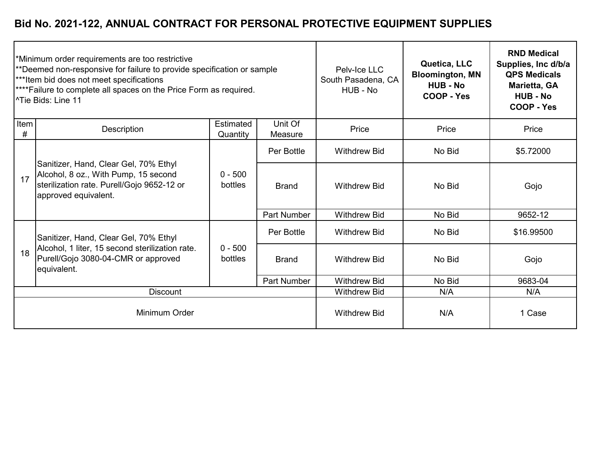| *Minimum order requirements are too restrictive<br>**Deemed non-responsive for failure to provide specification or sample<br>***Item bid does not meet specifications<br>****Failure to complete all spaces on the Price Form as required.<br>l^Tie Bids: Line 11 |                                                                                                                                                     |                      | Pelv-Ice LLC<br>South Pasadena, CA<br>HUB - No | Quetica, LLC<br><b>Bloomington, MN</b><br><b>HUB - No</b><br>COOP - Yes | <b>RND Medical</b><br>Supplies, Inc d/b/a<br><b>QPS Medicals</b><br>Marietta, GA<br><b>HUB - No</b><br>COOP - Yes |            |
|-------------------------------------------------------------------------------------------------------------------------------------------------------------------------------------------------------------------------------------------------------------------|-----------------------------------------------------------------------------------------------------------------------------------------------------|----------------------|------------------------------------------------|-------------------------------------------------------------------------|-------------------------------------------------------------------------------------------------------------------|------------|
| Item<br>#                                                                                                                                                                                                                                                         | <b>Estimated</b><br>Unit Of<br>Description<br>Quantity<br>Measure                                                                                   |                      | Price                                          | Price                                                                   | Price                                                                                                             |            |
| 17                                                                                                                                                                                                                                                                | Sanitizer, Hand, Clear Gel, 70% Ethyl<br>Alcohol, 8 oz., With Pump, 15 second<br>sterilization rate. Purell/Gojo 9652-12 or<br>approved equivalent. | $0 - 500$<br>bottles | Per Bottle                                     | <b>Withdrew Bid</b>                                                     | No Bid                                                                                                            | \$5.72000  |
|                                                                                                                                                                                                                                                                   |                                                                                                                                                     |                      | <b>Brand</b>                                   | <b>Withdrew Bid</b>                                                     | No Bid                                                                                                            | Gojo       |
|                                                                                                                                                                                                                                                                   |                                                                                                                                                     |                      | <b>Part Number</b>                             | <b>Withdrew Bid</b>                                                     | No Bid                                                                                                            | 9652-12    |
|                                                                                                                                                                                                                                                                   | Sanitizer, Hand, Clear Gel, 70% Ethyl<br>Alcohol, 1 liter, 15 second sterilization rate.<br>Purell/Gojo 3080-04-CMR or approved<br>equivalent.      | $0 - 500$<br>bottles | Per Bottle                                     | <b>Withdrew Bid</b>                                                     | No Bid                                                                                                            | \$16.99500 |
| 18                                                                                                                                                                                                                                                                |                                                                                                                                                     |                      | <b>Brand</b>                                   | <b>Withdrew Bid</b>                                                     | No Bid                                                                                                            | Gojo       |
|                                                                                                                                                                                                                                                                   |                                                                                                                                                     |                      | <b>Part Number</b>                             | <b>Withdrew Bid</b>                                                     | No Bid                                                                                                            | 9683-04    |
| <b>Discount</b>                                                                                                                                                                                                                                                   |                                                                                                                                                     |                      | <b>Withdrew Bid</b>                            | N/A                                                                     | N/A                                                                                                               |            |
| Minimum Order                                                                                                                                                                                                                                                     |                                                                                                                                                     |                      | <b>Withdrew Bid</b>                            | N/A                                                                     | 1 Case                                                                                                            |            |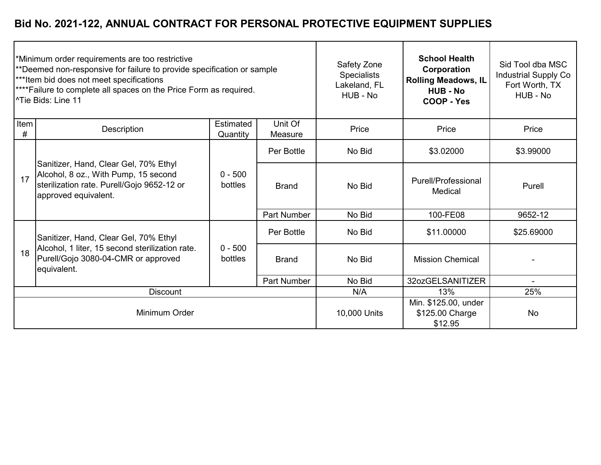| Minimum order requirements are too restrictive<br>**Deemed non-responsive for failure to provide specification or sample<br>***Item bid does not meet specifications<br>****Failure to complete all spaces on the Price Form as required.<br>l^Tie Bids: Line 11 |                                                                                                                                                     |                      | Safety Zone<br><b>Specialists</b><br>Lakeland, FL<br>HUB - No | <b>School Health</b><br>Corporation<br><b>Rolling Meadows, IL</b><br><b>HUB - No</b><br><b>COOP - Yes</b> | Sid Tool dba MSC<br><b>Industrial Supply Co</b><br>Fort Worth, TX<br>HUB - No |            |
|------------------------------------------------------------------------------------------------------------------------------------------------------------------------------------------------------------------------------------------------------------------|-----------------------------------------------------------------------------------------------------------------------------------------------------|----------------------|---------------------------------------------------------------|-----------------------------------------------------------------------------------------------------------|-------------------------------------------------------------------------------|------------|
| Item<br>#                                                                                                                                                                                                                                                        | Unit Of<br>Estimated<br>Description<br>Quantity<br>Measure                                                                                          |                      | Price                                                         | Price                                                                                                     | Price                                                                         |            |
| 17                                                                                                                                                                                                                                                               | Sanitizer, Hand, Clear Gel, 70% Ethyl<br>Alcohol, 8 oz., With Pump, 15 second<br>sterilization rate. Purell/Gojo 9652-12 or<br>approved equivalent. | $0 - 500$<br>bottles | Per Bottle                                                    | No Bid                                                                                                    | \$3.02000                                                                     | \$3.99000  |
|                                                                                                                                                                                                                                                                  |                                                                                                                                                     |                      | <b>Brand</b>                                                  | No Bid                                                                                                    | Purell/Professional<br>Medical                                                | Purell     |
|                                                                                                                                                                                                                                                                  |                                                                                                                                                     |                      | <b>Part Number</b>                                            | No Bid                                                                                                    | 100-FE08                                                                      | 9652-12    |
| 18                                                                                                                                                                                                                                                               | Sanitizer, Hand, Clear Gel, 70% Ethyl<br>Alcohol, 1 liter, 15 second sterilization rate.<br>Purell/Gojo 3080-04-CMR or approved<br>equivalent.      | $0 - 500$<br>bottles | Per Bottle                                                    | No Bid                                                                                                    | \$11.00000                                                                    | \$25.69000 |
|                                                                                                                                                                                                                                                                  |                                                                                                                                                     |                      | <b>Brand</b>                                                  | No Bid                                                                                                    | <b>Mission Chemical</b>                                                       |            |
|                                                                                                                                                                                                                                                                  |                                                                                                                                                     |                      | <b>Part Number</b>                                            | No Bid                                                                                                    | 32ozGELSANITIZER                                                              | $\sim$     |
| <b>Discount</b>                                                                                                                                                                                                                                                  |                                                                                                                                                     |                      |                                                               | N/A                                                                                                       | 25%<br>13%                                                                    |            |
| Minimum Order                                                                                                                                                                                                                                                    |                                                                                                                                                     |                      |                                                               | 10,000 Units                                                                                              | Min. \$125.00, under<br>\$125.00 Charge<br><b>No</b><br>\$12.95               |            |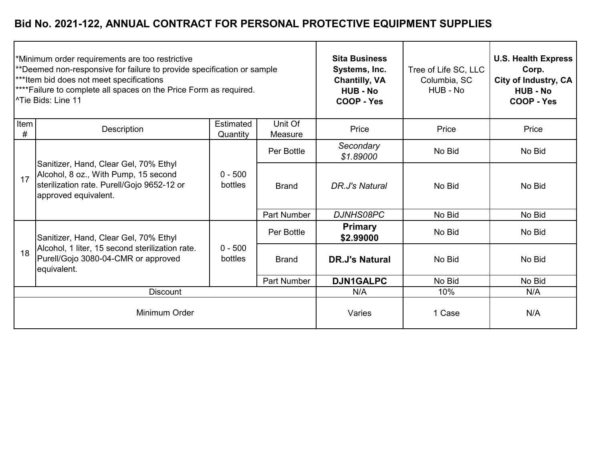| *Minimum order requirements are too restrictive<br>**Deemed non-responsive for failure to provide specification or sample<br>***Item bid does not meet specifications<br><sup>****</sup> Failure to complete all spaces on the Price Form as required.<br>l^Tie Bids: Line 11 |                                                                                                                                                     |                              | <b>Sita Business</b><br>Systems, Inc.<br><b>Chantilly, VA</b><br><b>HUB - No</b><br><b>COOP - Yes</b> | Tree of Life SC, LLC<br>Columbia, SC<br>HUB - No | <b>U.S. Health Express</b><br>Corp.<br>City of Industry, CA<br><b>HUB - No</b><br>COOP - Yes |        |
|-------------------------------------------------------------------------------------------------------------------------------------------------------------------------------------------------------------------------------------------------------------------------------|-----------------------------------------------------------------------------------------------------------------------------------------------------|------------------------------|-------------------------------------------------------------------------------------------------------|--------------------------------------------------|----------------------------------------------------------------------------------------------|--------|
| Item<br>#                                                                                                                                                                                                                                                                     | Description                                                                                                                                         | <b>Estimated</b><br>Quantity | Unit Of<br>Measure                                                                                    | Price                                            | Price                                                                                        | Price  |
| 17                                                                                                                                                                                                                                                                            | Sanitizer, Hand, Clear Gel, 70% Ethyl<br>Alcohol, 8 oz., With Pump, 15 second<br>sterilization rate. Purell/Gojo 9652-12 or<br>approved equivalent. | $0 - 500$<br>bottles         | Per Bottle                                                                                            | Secondary<br>\$1.89000                           | No Bid                                                                                       | No Bid |
|                                                                                                                                                                                                                                                                               |                                                                                                                                                     |                              | <b>Brand</b>                                                                                          | DR.J's Natural                                   | No Bid                                                                                       | No Bid |
|                                                                                                                                                                                                                                                                               |                                                                                                                                                     |                              | Part Number                                                                                           | <b>DJNHS08PC</b>                                 | No Bid                                                                                       | No Bid |
| 18                                                                                                                                                                                                                                                                            | Sanitizer, Hand, Clear Gel, 70% Ethyl<br>Alcohol, 1 liter, 15 second sterilization rate.<br>Purell/Gojo 3080-04-CMR or approved<br>equivalent.      | $0 - 500$<br>bottles         | Per Bottle                                                                                            | <b>Primary</b><br>\$2.99000                      | No Bid                                                                                       | No Bid |
|                                                                                                                                                                                                                                                                               |                                                                                                                                                     |                              | <b>Brand</b>                                                                                          | <b>DR.J's Natural</b>                            | No Bid                                                                                       | No Bid |
|                                                                                                                                                                                                                                                                               |                                                                                                                                                     |                              | <b>Part Number</b>                                                                                    | <b>DJN1GALPC</b>                                 | No Bid                                                                                       | No Bid |
| <b>Discount</b>                                                                                                                                                                                                                                                               |                                                                                                                                                     |                              | N/A                                                                                                   | 10%                                              | N/A                                                                                          |        |
| Minimum Order                                                                                                                                                                                                                                                                 |                                                                                                                                                     |                              | Varies                                                                                                | 1 Case                                           | N/A                                                                                          |        |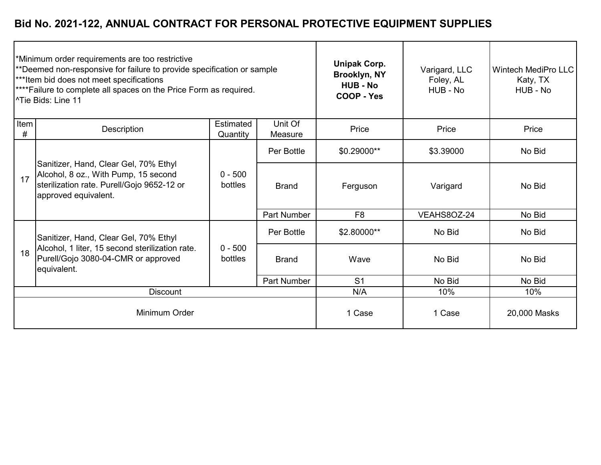| *Minimum order requirements are too restrictive<br>**Deemed non-responsive for failure to provide specification or sample<br>***Item bid does not meet specifications<br><sup>****</sup> Failure to complete all spaces on the Price Form as required.<br>l^Tie Bids: Line 11 |                                                                                                                                                     |                       | <b>Unipak Corp.</b><br>Brooklyn, NY<br><b>HUB - No</b><br>COOP - Yes | Varigard, LLC<br>Foley, AL<br>HUB - No | <b>Wintech MediPro LLC</b><br>Katy, TX<br>HUB - No |        |
|-------------------------------------------------------------------------------------------------------------------------------------------------------------------------------------------------------------------------------------------------------------------------------|-----------------------------------------------------------------------------------------------------------------------------------------------------|-----------------------|----------------------------------------------------------------------|----------------------------------------|----------------------------------------------------|--------|
| Item<br>#                                                                                                                                                                                                                                                                     | Description                                                                                                                                         | Estimated<br>Quantity | Unit Of<br>Measure                                                   | Price                                  | Price                                              | Price  |
| 17                                                                                                                                                                                                                                                                            | Sanitizer, Hand, Clear Gel, 70% Ethyl<br>Alcohol, 8 oz., With Pump, 15 second<br>sterilization rate. Purell/Gojo 9652-12 or<br>approved equivalent. | $0 - 500$<br>bottles  | Per Bottle                                                           | \$0.29000**                            | \$3.39000                                          | No Bid |
|                                                                                                                                                                                                                                                                               |                                                                                                                                                     |                       | <b>Brand</b>                                                         | Varigard<br>Ferguson                   |                                                    | No Bid |
|                                                                                                                                                                                                                                                                               |                                                                                                                                                     |                       | <b>Part Number</b>                                                   | F <sub>8</sub>                         | VEAHS8OZ-24                                        | No Bid |
| 18                                                                                                                                                                                                                                                                            | Sanitizer, Hand, Clear Gel, 70% Ethyl<br>Alcohol, 1 liter, 15 second sterilization rate.<br>Purell/Gojo 3080-04-CMR or approved<br>equivalent.      | $0 - 500$<br>bottles  | Per Bottle                                                           | \$2.80000**                            | No Bid                                             | No Bid |
|                                                                                                                                                                                                                                                                               |                                                                                                                                                     |                       | <b>Brand</b>                                                         | Wave                                   | No Bid                                             | No Bid |
|                                                                                                                                                                                                                                                                               |                                                                                                                                                     |                       | <b>Part Number</b>                                                   | S <sub>1</sub>                         | No Bid                                             | No Bid |
| <b>Discount</b>                                                                                                                                                                                                                                                               |                                                                                                                                                     |                       |                                                                      | N/A                                    | 10%                                                | 10%    |
| Minimum Order                                                                                                                                                                                                                                                                 |                                                                                                                                                     |                       | 1 Case                                                               | 1 Case                                 | 20,000 Masks                                       |        |